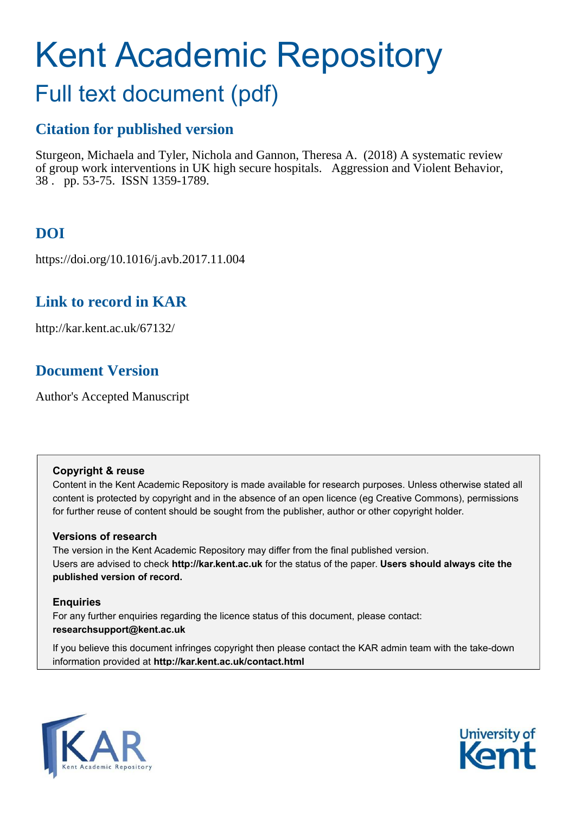# Kent Academic Repository

# Full text document (pdf)

# **Citation for published version**

Sturgeon, Michaela and Tyler, Nichola and Gannon, Theresa A. (2018) A systematic review of group work interventions in UK high secure hospitals. Aggression and Violent Behavior, 38 . pp. 53-75. ISSN 1359-1789.

# **DOI**

https://doi.org/10.1016/j.avb.2017.11.004

# **Link to record in KAR**

http://kar.kent.ac.uk/67132/

# **Document Version**

Author's Accepted Manuscript

## **Copyright & reuse**

Content in the Kent Academic Repository is made available for research purposes. Unless otherwise stated all content is protected by copyright and in the absence of an open licence (eg Creative Commons), permissions for further reuse of content should be sought from the publisher, author or other copyright holder.

## **Versions of research**

The version in the Kent Academic Repository may differ from the final published version. Users are advised to check **http://kar.kent.ac.uk** for the status of the paper. **Users should always cite the published version of record.**

## **Enquiries**

For any further enquiries regarding the licence status of this document, please contact: **researchsupport@kent.ac.uk**

If you believe this document infringes copyright then please contact the KAR admin team with the take-down information provided at **http://kar.kent.ac.uk/contact.html**



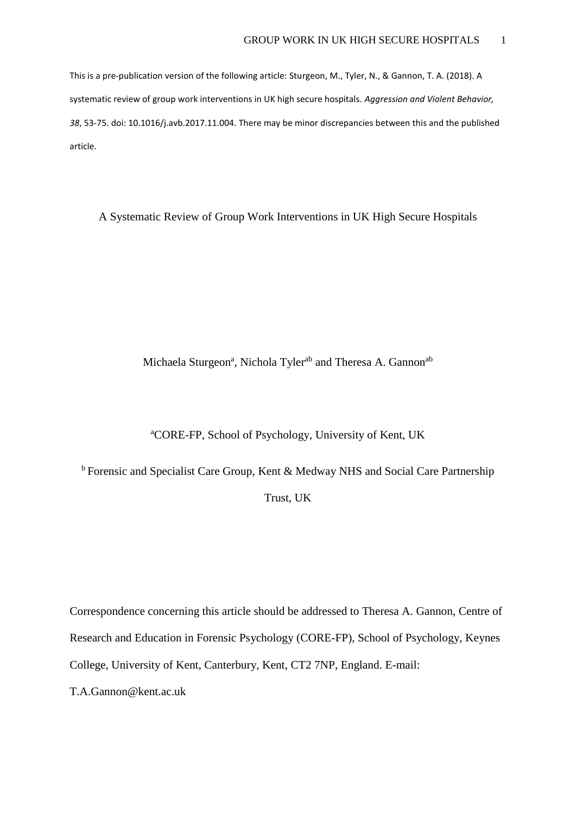This is a pre-publication version of the following article: Sturgeon, M., Tyler, N., & Gannon, T. A. (2018). A systematic review of group work interventions in UK high secure hospitals. *Aggression and Violent Behavior, 38*, 53-75. doi: 10.1016/j.avb.2017.11.004. There may be minor discrepancies between this and the published article.

A Systematic Review of Group Work Interventions in UK High Secure Hospitals

Michaela Sturgeon<sup>a</sup>, Nichola Tyler<sup>ab</sup> and Theresa A. Gannon<sup>ab</sup>

## <sup>a</sup>CORE-FP, School of Psychology, University of Kent, UK

 $b$  Forensic and Specialist Care Group, Kent & Medway NHS and Social Care Partnership

Trust, UK

Correspondence concerning this article should be addressed to Theresa A. Gannon, Centre of Research and Education in Forensic Psychology (CORE-FP), School of Psychology, Keynes College, University of Kent, Canterbury, Kent, CT2 7NP, England. E-mail:

T.A.Gannon@kent.ac.uk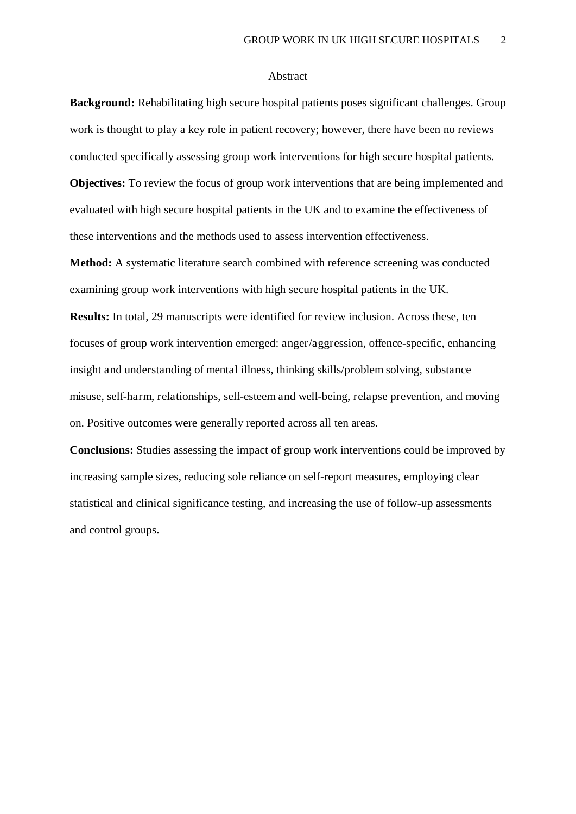#### Abstract

**Background:** Rehabilitating high secure hospital patients poses significant challenges. Group work is thought to play a key role in patient recovery; however, there have been no reviews conducted specifically assessing group work interventions for high secure hospital patients. **Objectives:** To review the focus of group work interventions that are being implemented and evaluated with high secure hospital patients in the UK and to examine the effectiveness of these interventions and the methods used to assess intervention effectiveness.

**Method:** A systematic literature search combined with reference screening was conducted examining group work interventions with high secure hospital patients in the UK.

**Results:** In total, 29 manuscripts were identified for review inclusion. Across these, ten focuses of group work intervention emerged: anger/aggression, offence-specific, enhancing insight and understanding of mental illness, thinking skills/problem solving, substance misuse, self-harm, relationships, self-esteem and well-being, relapse prevention, and moving on. Positive outcomes were generally reported across all ten areas.

**Conclusions:** Studies assessing the impact of group work interventions could be improved by increasing sample sizes, reducing sole reliance on self-report measures, employing clear statistical and clinical significance testing, and increasing the use of follow-up assessments and control groups.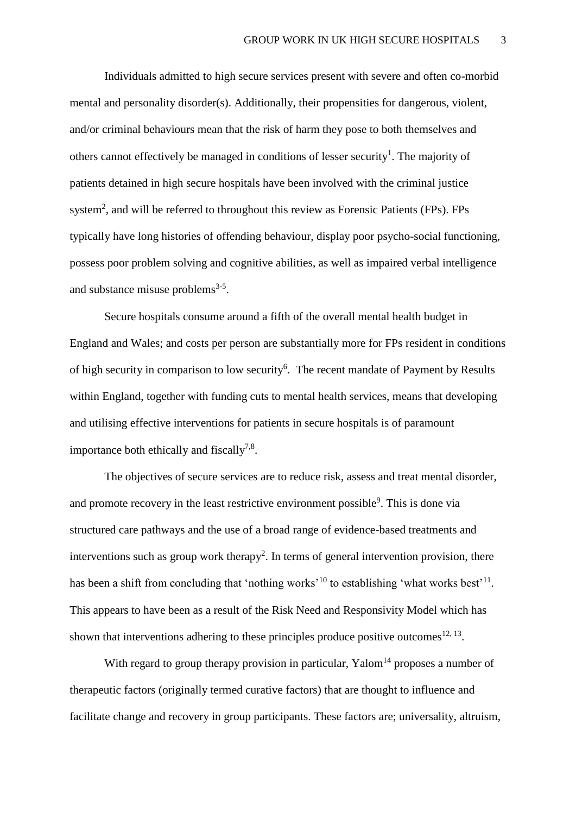Individuals admitted to high secure services present with severe and often co-morbid mental and personality disorder(s). Additionally, their propensities for dangerous, violent, and/or criminal behaviours mean that the risk of harm they pose to both themselves and others cannot effectively be managed in conditions of lesser security<sup>1</sup>. The majority of patients detained in high secure hospitals have been involved with the criminal justice system<sup>2</sup>, and will be referred to throughout this review as Forensic Patients (FPs). FPs typically have long histories of offending behaviour, display poor psycho-social functioning, possess poor problem solving and cognitive abilities, as well as impaired verbal intelligence and substance misuse problems<sup>3-5</sup>.

Secure hospitals consume around a fifth of the overall mental health budget in England and Wales; and costs per person are substantially more for FPs resident in conditions of high security in comparison to low security<sup>6</sup>. The recent mandate of Payment by Results within England, together with funding cuts to mental health services, means that developing and utilising effective interventions for patients in secure hospitals is of paramount importance both ethically and fiscally<sup>7,8</sup>.

 The objectives of secure services are to reduce risk, assess and treat mental disorder, and promote recovery in the least restrictive environment possible<sup>9</sup>. This is done via structured care pathways and the use of a broad range of evidence-based treatments and interventions such as group work therapy<sup>2</sup>. In terms of general intervention provision, there has been a shift from concluding that 'nothing works'<sup>10</sup> to establishing 'what works best'<sup>11</sup>. This appears to have been as a result of the Risk Need and Responsivity Model which has shown that interventions adhering to these principles produce positive outcomes  $12, 13$ .

With regard to group therapy provision in particular,  $Y$ alom<sup>14</sup> proposes a number of therapeutic factors (originally termed curative factors) that are thought to influence and facilitate change and recovery in group participants. These factors are; universality, altruism,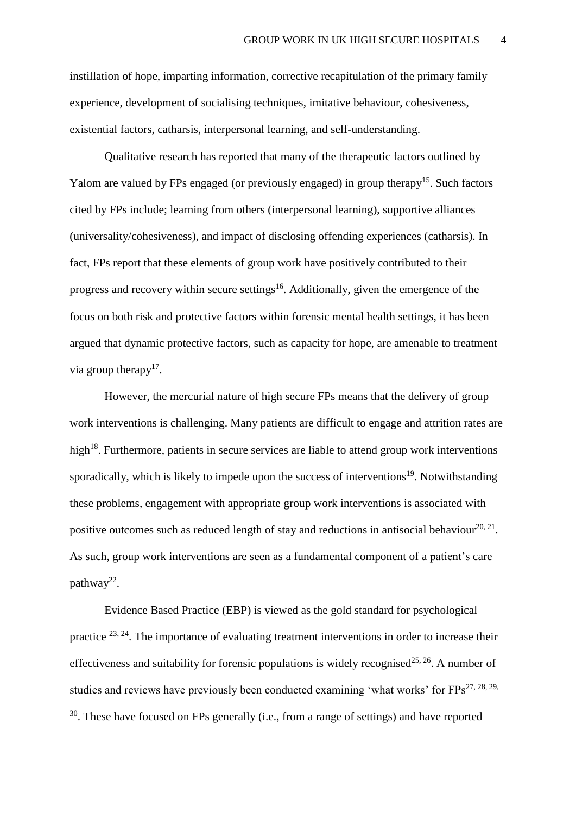instillation of hope, imparting information, corrective recapitulation of the primary family experience, development of socialising techniques, imitative behaviour, cohesiveness, existential factors, catharsis, interpersonal learning, and self-understanding.

Qualitative research has reported that many of the therapeutic factors outlined by Yalom are valued by FPs engaged (or previously engaged) in group therapy<sup>15</sup>. Such factors cited by FPs include; learning from others (interpersonal learning), supportive alliances (universality/cohesiveness), and impact of disclosing offending experiences (catharsis). In fact, FPs report that these elements of group work have positively contributed to their progress and recovery within secure settings<sup>16</sup>. Additionally, given the emergence of the focus on both risk and protective factors within forensic mental health settings, it has been argued that dynamic protective factors, such as capacity for hope, are amenable to treatment via group therapy $17$ .

 However, the mercurial nature of high secure FPs means that the delivery of group work interventions is challenging. Many patients are difficult to engage and attrition rates are high<sup>18</sup>. Furthermore, patients in secure services are liable to attend group work interventions sporadically, which is likely to impede upon the success of interventions<sup>19</sup>. Notwithstanding these problems, engagement with appropriate group work interventions is associated with positive outcomes such as reduced length of stay and reductions in antisocial behaviour<sup>20, 21</sup>. As such, group work interventions are seen as a fundamental component of a patient's care pathway<sup>22</sup>.

Evidence Based Practice (EBP) is viewed as the gold standard for psychological practice 23, 24. The importance of evaluating treatment interventions in order to increase their effectiveness and suitability for forensic populations is widely recognised<sup>25, 26</sup>. A number of studies and reviews have previously been conducted examining 'what works' for  $FPs^{27, 28, 29}$ , <sup>30</sup>. These have focused on FPs generally (i.e., from a range of settings) and have reported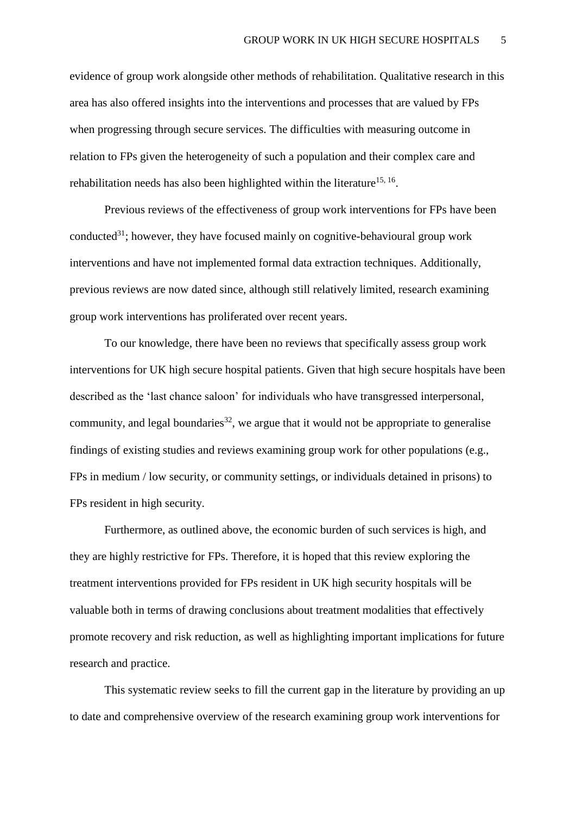evidence of group work alongside other methods of rehabilitation. Qualitative research in this area has also offered insights into the interventions and processes that are valued by FPs when progressing through secure services. The difficulties with measuring outcome in relation to FPs given the heterogeneity of such a population and their complex care and rehabilitation needs has also been highlighted within the literature<sup>15, 16</sup>.

Previous reviews of the effectiveness of group work interventions for FPs have been conducted<sup>31</sup>; however, they have focused mainly on cognitive-behavioural group work interventions and have not implemented formal data extraction techniques. Additionally, previous reviews are now dated since, although still relatively limited, research examining group work interventions has proliferated over recent years.

To our knowledge, there have been no reviews that specifically assess group work interventions for UK high secure hospital patients. Given that high secure hospitals have been described as the 'last chance saloon' for individuals who have transgressed interpersonal, community, and legal boundaries<sup>32</sup>, we argue that it would not be appropriate to generalise findings of existing studies and reviews examining group work for other populations (e.g., FPs in medium / low security, or community settings, or individuals detained in prisons) to FPs resident in high security.

Furthermore, as outlined above, the economic burden of such services is high, and they are highly restrictive for FPs. Therefore, it is hoped that this review exploring the treatment interventions provided for FPs resident in UK high security hospitals will be valuable both in terms of drawing conclusions about treatment modalities that effectively promote recovery and risk reduction, as well as highlighting important implications for future research and practice.

This systematic review seeks to fill the current gap in the literature by providing an up to date and comprehensive overview of the research examining group work interventions for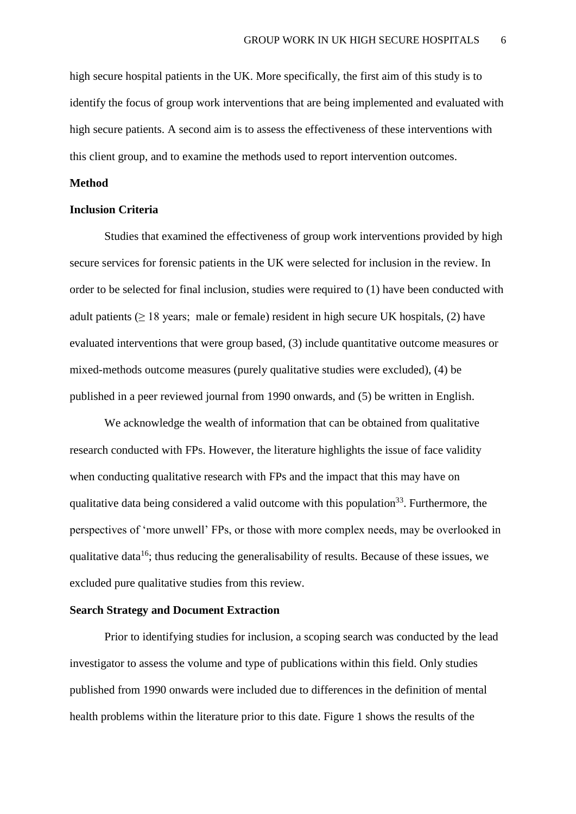high secure hospital patients in the UK. More specifically, the first aim of this study is to identify the focus of group work interventions that are being implemented and evaluated with high secure patients. A second aim is to assess the effectiveness of these interventions with this client group, and to examine the methods used to report intervention outcomes.

#### **Method**

### **Inclusion Criteria**

 Studies that examined the effectiveness of group work interventions provided by high secure services for forensic patients in the UK were selected for inclusion in the review. In order to be selected for final inclusion, studies were required to (1) have been conducted with adult patients (≥ 18 years; male or female) resident in high secure UK hospitals, (2) have evaluated interventions that were group based, (3) include quantitative outcome measures or mixed-methods outcome measures (purely qualitative studies were excluded), (4) be published in a peer reviewed journal from 1990 onwards, and (5) be written in English.

We acknowledge the wealth of information that can be obtained from qualitative research conducted with FPs. However, the literature highlights the issue of face validity when conducting qualitative research with FPs and the impact that this may have on qualitative data being considered a valid outcome with this population<sup>33</sup>. Furthermore, the perspectives of 'more unwell' FPs, or those with more complex needs, may be overlooked in qualitative data<sup>16</sup>; thus reducing the generalisability of results. Because of these issues, we excluded pure qualitative studies from this review.

#### **Search Strategy and Document Extraction**

Prior to identifying studies for inclusion, a scoping search was conducted by the lead investigator to assess the volume and type of publications within this field. Only studies published from 1990 onwards were included due to differences in the definition of mental health problems within the literature prior to this date. Figure 1 shows the results of the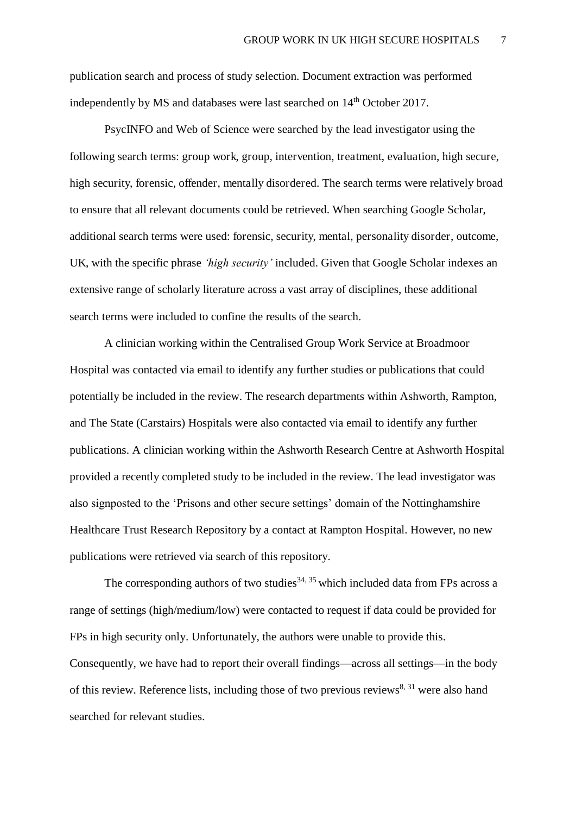publication search and process of study selection. Document extraction was performed independently by MS and databases were last searched on  $14<sup>th</sup>$  October 2017.

PsycINFO and Web of Science were searched by the lead investigator using the following search terms: group work, group, intervention, treatment, evaluation, high secure, high security, forensic, offender, mentally disordered. The search terms were relatively broad to ensure that all relevant documents could be retrieved. When searching Google Scholar, additional search terms were used: forensic, security, mental, personality disorder, outcome, UK, with the specific phrase *'high security'* included. Given that Google Scholar indexes an extensive range of scholarly literature across a vast array of disciplines, these additional search terms were included to confine the results of the search.

 A clinician working within the Centralised Group Work Service at Broadmoor Hospital was contacted via email to identify any further studies or publications that could potentially be included in the review. The research departments within Ashworth, Rampton, and The State (Carstairs) Hospitals were also contacted via email to identify any further publications. A clinician working within the Ashworth Research Centre at Ashworth Hospital provided a recently completed study to be included in the review. The lead investigator was also signposted to the 'Prisons and other secure settings' domain of the Nottinghamshire Healthcare Trust Research Repository by a contact at Rampton Hospital. However, no new publications were retrieved via search of this repository.

The corresponding authors of two studies<sup>34, 35</sup> which included data from FPs across a range of settings (high/medium/low) were contacted to request if data could be provided for FPs in high security only. Unfortunately, the authors were unable to provide this. Consequently, we have had to report their overall findings—across all settings—in the body of this review. Reference lists, including those of two previous reviews<sup>8, 31</sup> were also hand searched for relevant studies.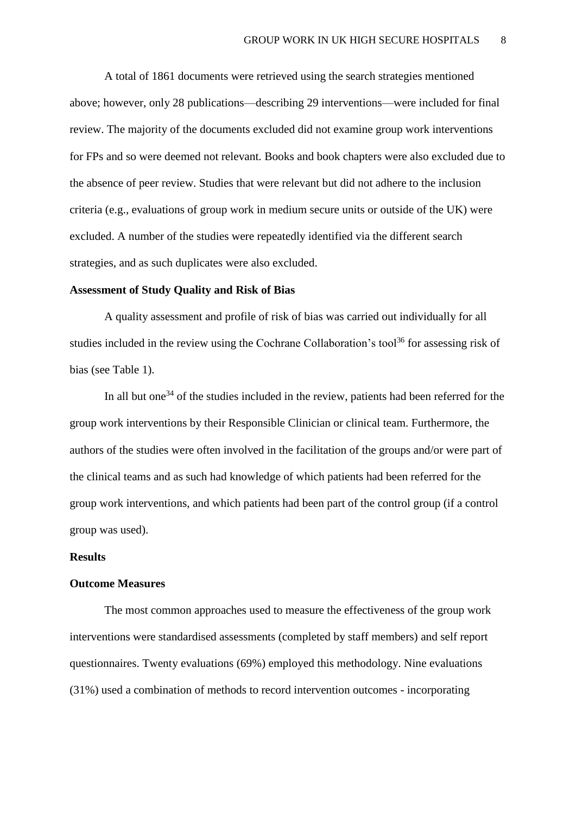A total of 1861 documents were retrieved using the search strategies mentioned above; however, only 28 publications—describing 29 interventions—were included for final review. The majority of the documents excluded did not examine group work interventions for FPs and so were deemed not relevant. Books and book chapters were also excluded due to the absence of peer review. Studies that were relevant but did not adhere to the inclusion criteria (e.g., evaluations of group work in medium secure units or outside of the UK) were excluded. A number of the studies were repeatedly identified via the different search strategies, and as such duplicates were also excluded.

#### **Assessment of Study Quality and Risk of Bias**

 A quality assessment and profile of risk of bias was carried out individually for all studies included in the review using the Cochrane Collaboration's tool<sup>36</sup> for assessing risk of bias (see Table 1).

In all but one<sup>34</sup> of the studies included in the review, patients had been referred for the group work interventions by their Responsible Clinician or clinical team. Furthermore, the authors of the studies were often involved in the facilitation of the groups and/or were part of the clinical teams and as such had knowledge of which patients had been referred for the group work interventions, and which patients had been part of the control group (if a control group was used).

#### **Results**

#### **Outcome Measures**

 The most common approaches used to measure the effectiveness of the group work interventions were standardised assessments (completed by staff members) and self report questionnaires. Twenty evaluations (69%) employed this methodology. Nine evaluations (31%) used a combination of methods to record intervention outcomes - incorporating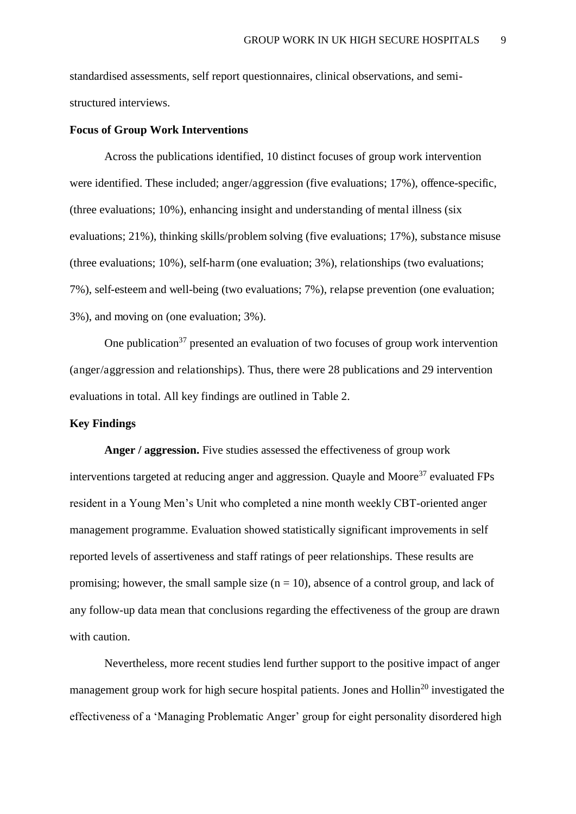standardised assessments, self report questionnaires, clinical observations, and semistructured interviews.

#### **Focus of Group Work Interventions**

 Across the publications identified, 10 distinct focuses of group work intervention were identified. These included; anger/aggression (five evaluations; 17%), offence-specific, (three evaluations; 10%), enhancing insight and understanding of mental illness (six evaluations; 21%), thinking skills/problem solving (five evaluations; 17%), substance misuse (three evaluations; 10%), self-harm (one evaluation; 3%), relationships (two evaluations; 7%), self-esteem and well-being (two evaluations; 7%), relapse prevention (one evaluation; 3%), and moving on (one evaluation; 3%).

One publication<sup>37</sup> presented an evaluation of two focuses of group work intervention (anger/aggression and relationships). Thus, there were 28 publications and 29 intervention evaluations in total. All key findings are outlined in Table 2.

## **Key Findings**

**Anger / aggression.** Five studies assessed the effectiveness of group work interventions targeted at reducing anger and aggression. Quayle and Moore<sup>37</sup> evaluated FPs resident in a Young Men's Unit who completed a nine month weekly CBT-oriented anger management programme. Evaluation showed statistically significant improvements in self reported levels of assertiveness and staff ratings of peer relationships. These results are promising; however, the small sample size  $(n = 10)$ , absence of a control group, and lack of any follow-up data mean that conclusions regarding the effectiveness of the group are drawn with caution.

Nevertheless, more recent studies lend further support to the positive impact of anger management group work for high secure hospital patients. Jones and Hollin<sup>20</sup> investigated the effectiveness of a 'Managing Problematic Anger' group for eight personality disordered high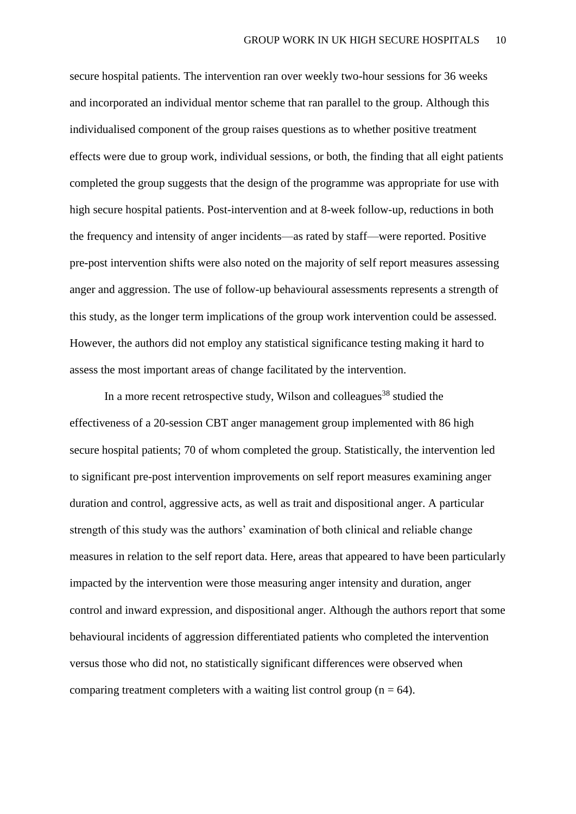secure hospital patients. The intervention ran over weekly two-hour sessions for 36 weeks and incorporated an individual mentor scheme that ran parallel to the group. Although this individualised component of the group raises questions as to whether positive treatment effects were due to group work, individual sessions, or both, the finding that all eight patients completed the group suggests that the design of the programme was appropriate for use with high secure hospital patients. Post-intervention and at 8-week follow-up, reductions in both the frequency and intensity of anger incidents—as rated by staff—were reported. Positive pre-post intervention shifts were also noted on the majority of self report measures assessing anger and aggression. The use of follow-up behavioural assessments represents a strength of this study, as the longer term implications of the group work intervention could be assessed. However, the authors did not employ any statistical significance testing making it hard to assess the most important areas of change facilitated by the intervention.

In a more recent retrospective study, Wilson and colleagues<sup>38</sup> studied the effectiveness of a 20-session CBT anger management group implemented with 86 high secure hospital patients; 70 of whom completed the group. Statistically, the intervention led to significant pre-post intervention improvements on self report measures examining anger duration and control, aggressive acts, as well as trait and dispositional anger. A particular strength of this study was the authors' examination of both clinical and reliable change measures in relation to the self report data. Here, areas that appeared to have been particularly impacted by the intervention were those measuring anger intensity and duration, anger control and inward expression, and dispositional anger. Although the authors report that some behavioural incidents of aggression differentiated patients who completed the intervention versus those who did not, no statistically significant differences were observed when comparing treatment completers with a waiting list control group ( $n = 64$ ).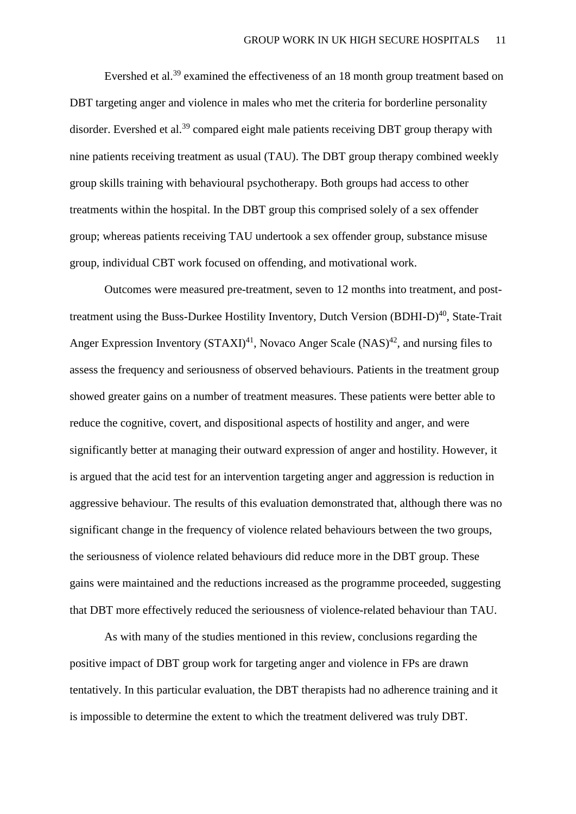Evershed et al.<sup>39</sup> examined the effectiveness of an 18 month group treatment based on DBT targeting anger and violence in males who met the criteria for borderline personality disorder. Evershed et al.<sup>39</sup> compared eight male patients receiving DBT group therapy with nine patients receiving treatment as usual (TAU). The DBT group therapy combined weekly group skills training with behavioural psychotherapy. Both groups had access to other treatments within the hospital. In the DBT group this comprised solely of a sex offender group; whereas patients receiving TAU undertook a sex offender group, substance misuse group, individual CBT work focused on offending, and motivational work.

Outcomes were measured pre-treatment, seven to 12 months into treatment, and posttreatment using the Buss-Durkee Hostility Inventory, Dutch Version (BDHI-D) $^{40}$ , State-Trait Anger Expression Inventory  $(TAXI)^{41}$ , Novaco Anger Scale  $(NAS)^{42}$ , and nursing files to assess the frequency and seriousness of observed behaviours. Patients in the treatment group showed greater gains on a number of treatment measures. These patients were better able to reduce the cognitive, covert, and dispositional aspects of hostility and anger, and were significantly better at managing their outward expression of anger and hostility. However, it is argued that the acid test for an intervention targeting anger and aggression is reduction in aggressive behaviour. The results of this evaluation demonstrated that, although there was no significant change in the frequency of violence related behaviours between the two groups, the seriousness of violence related behaviours did reduce more in the DBT group. These gains were maintained and the reductions increased as the programme proceeded, suggesting that DBT more effectively reduced the seriousness of violence-related behaviour than TAU.

As with many of the studies mentioned in this review, conclusions regarding the positive impact of DBT group work for targeting anger and violence in FPs are drawn tentatively. In this particular evaluation, the DBT therapists had no adherence training and it is impossible to determine the extent to which the treatment delivered was truly DBT.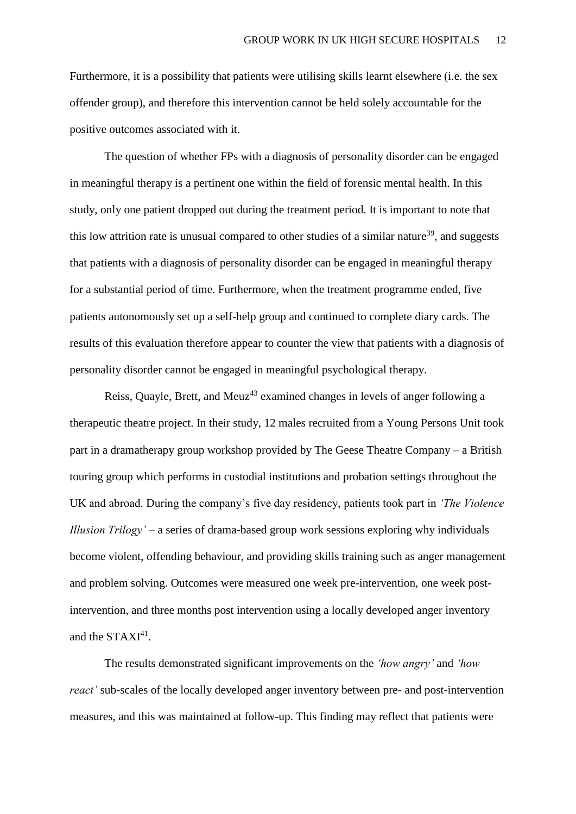Furthermore, it is a possibility that patients were utilising skills learnt elsewhere (i.e. the sex offender group), and therefore this intervention cannot be held solely accountable for the positive outcomes associated with it.

The question of whether FPs with a diagnosis of personality disorder can be engaged in meaningful therapy is a pertinent one within the field of forensic mental health. In this study, only one patient dropped out during the treatment period. It is important to note that this low attrition rate is unusual compared to other studies of a similar nature<sup>39</sup>, and suggests that patients with a diagnosis of personality disorder can be engaged in meaningful therapy for a substantial period of time. Furthermore, when the treatment programme ended, five patients autonomously set up a self-help group and continued to complete diary cards. The results of this evaluation therefore appear to counter the view that patients with a diagnosis of personality disorder cannot be engaged in meaningful psychological therapy.

Reiss, Quayle, Brett, and Meuz<sup>43</sup> examined changes in levels of anger following a therapeutic theatre project. In their study, 12 males recruited from a Young Persons Unit took part in a dramatherapy group workshop provided by The Geese Theatre Company – a British touring group which performs in custodial institutions and probation settings throughout the UK and abroad. During the company's five day residency, patients took part in *'The Violence Illusion Trilogy'* – a series of drama-based group work sessions exploring why individuals become violent, offending behaviour, and providing skills training such as anger management and problem solving. Outcomes were measured one week pre-intervention, one week postintervention, and three months post intervention using a locally developed anger inventory and the  $STAXI<sup>41</sup>$ .

The results demonstrated significant improvements on the *'how angry'* and *'how react'* sub-scales of the locally developed anger inventory between pre- and post-intervention measures, and this was maintained at follow-up. This finding may reflect that patients were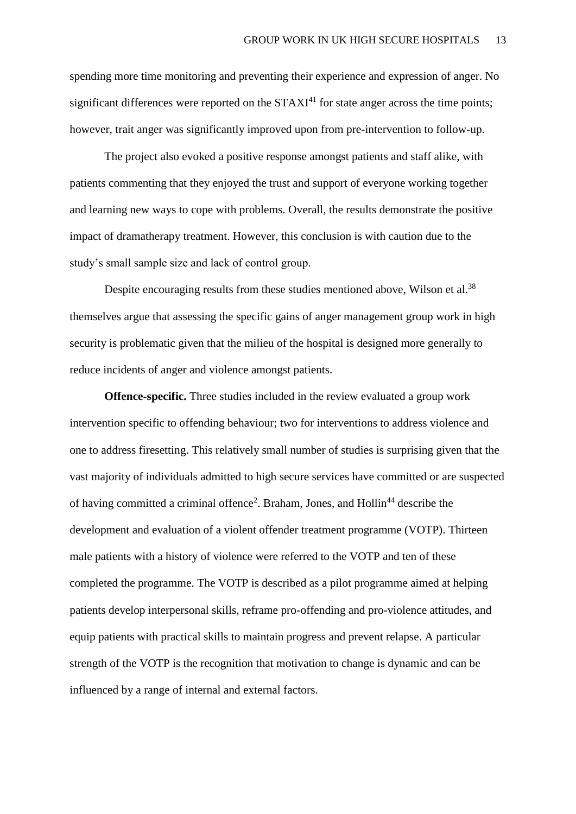spending more time monitoring and preventing their experience and expression of anger. No significant differences were reported on the  $STAXI<sup>41</sup>$  for state anger across the time points; however, trait anger was significantly improved upon from pre-intervention to follow-up.

The project also evoked a positive response amongst patients and staff alike, with patients commenting that they enjoyed the trust and support of everyone working together and learning new ways to cope with problems. Overall, the results demonstrate the positive impact of dramatherapy treatment. However, this conclusion is with caution due to the study's small sample size and lack of control group.

Despite encouraging results from these studies mentioned above, Wilson et al.<sup>38</sup> themselves argue that assessing the specific gains of anger management group work in high security is problematic given that the milieu of the hospital is designed more generally to reduce incidents of anger and violence amongst patients.

**Offence-specific.** Three studies included in the review evaluated a group work intervention specific to offending behaviour; two for interventions to address violence and one to address firesetting. This relatively small number of studies is surprising given that the vast majority of individuals admitted to high secure services have committed or are suspected of having committed a criminal offence<sup>2</sup>. Braham, Jones, and Hollin<sup>44</sup> describe the development and evaluation of a violent offender treatment programme (VOTP). Thirteen male patients with a history of violence were referred to the VOTP and ten of these completed the programme. The VOTP is described as a pilot programme aimed at helping patients develop interpersonal skills, reframe pro-offending and pro-violence attitudes, and equip patients with practical skills to maintain progress and prevent relapse. A particular strength of the VOTP is the recognition that motivation to change is dynamic and can be influenced by a range of internal and external factors.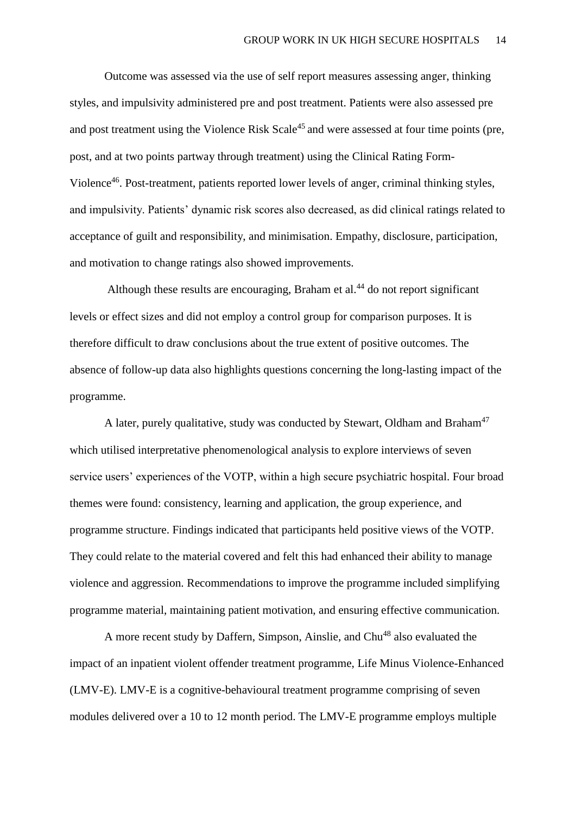Outcome was assessed via the use of self report measures assessing anger, thinking styles, and impulsivity administered pre and post treatment. Patients were also assessed pre and post treatment using the Violence Risk Scale<sup>45</sup> and were assessed at four time points (pre, post, and at two points partway through treatment) using the Clinical Rating Form-Violence<sup>46</sup>. Post-treatment, patients reported lower levels of anger, criminal thinking styles, and impulsivity. Patients' dynamic risk scores also decreased, as did clinical ratings related to acceptance of guilt and responsibility, and minimisation. Empathy, disclosure, participation, and motivation to change ratings also showed improvements.

Although these results are encouraging, Braham et al. $44$  do not report significant levels or effect sizes and did not employ a control group for comparison purposes. It is therefore difficult to draw conclusions about the true extent of positive outcomes. The absence of follow-up data also highlights questions concerning the long-lasting impact of the programme.

A later, purely qualitative, study was conducted by Stewart, Oldham and Braham<sup>47</sup> which utilised interpretative phenomenological analysis to explore interviews of seven service users' experiences of the VOTP, within a high secure psychiatric hospital. Four broad themes were found: consistency, learning and application, the group experience, and programme structure. Findings indicated that participants held positive views of the VOTP. They could relate to the material covered and felt this had enhanced their ability to manage violence and aggression. Recommendations to improve the programme included simplifying programme material, maintaining patient motivation, and ensuring effective communication.

A more recent study by Daffern, Simpson, Ainslie, and Chu<sup>48</sup> also evaluated the impact of an inpatient violent offender treatment programme, Life Minus Violence-Enhanced (LMV-E). LMV-E is a cognitive-behavioural treatment programme comprising of seven modules delivered over a 10 to 12 month period. The LMV-E programme employs multiple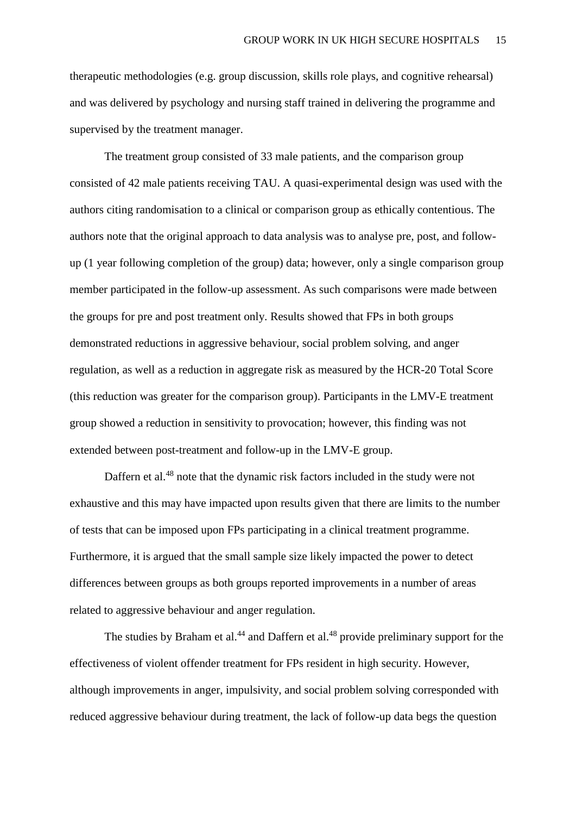therapeutic methodologies (e.g. group discussion, skills role plays, and cognitive rehearsal) and was delivered by psychology and nursing staff trained in delivering the programme and supervised by the treatment manager.

The treatment group consisted of 33 male patients, and the comparison group consisted of 42 male patients receiving TAU. A quasi-experimental design was used with the authors citing randomisation to a clinical or comparison group as ethically contentious. The authors note that the original approach to data analysis was to analyse pre, post, and followup (1 year following completion of the group) data; however, only a single comparison group member participated in the follow-up assessment. As such comparisons were made between the groups for pre and post treatment only. Results showed that FPs in both groups demonstrated reductions in aggressive behaviour, social problem solving, and anger regulation, as well as a reduction in aggregate risk as measured by the HCR-20 Total Score (this reduction was greater for the comparison group). Participants in the LMV-E treatment group showed a reduction in sensitivity to provocation; however, this finding was not extended between post-treatment and follow-up in the LMV-E group.

Daffern et al.<sup>48</sup> note that the dynamic risk factors included in the study were not exhaustive and this may have impacted upon results given that there are limits to the number of tests that can be imposed upon FPs participating in a clinical treatment programme. Furthermore, it is argued that the small sample size likely impacted the power to detect differences between groups as both groups reported improvements in a number of areas related to aggressive behaviour and anger regulation.

The studies by Braham et al.<sup>44</sup> and Daffern et al.<sup>48</sup> provide preliminary support for the effectiveness of violent offender treatment for FPs resident in high security. However, although improvements in anger, impulsivity, and social problem solving corresponded with reduced aggressive behaviour during treatment, the lack of follow-up data begs the question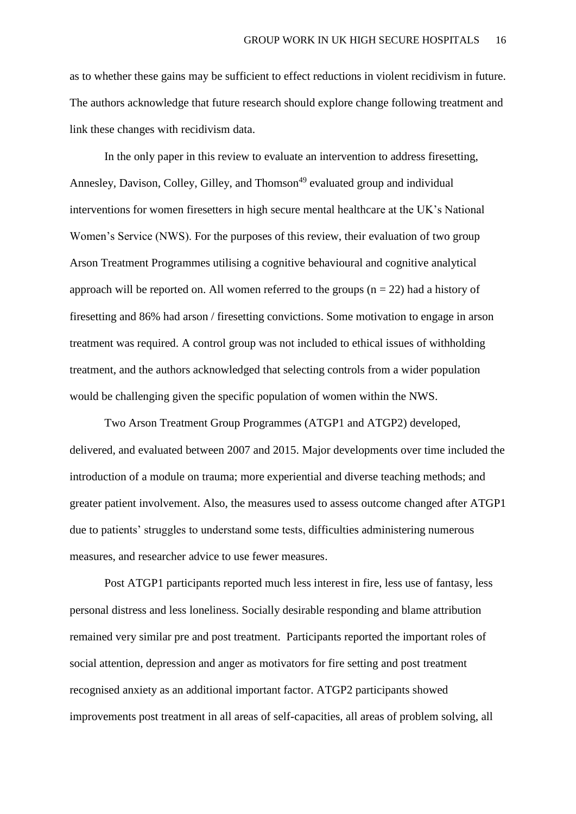as to whether these gains may be sufficient to effect reductions in violent recidivism in future. The authors acknowledge that future research should explore change following treatment and link these changes with recidivism data.

In the only paper in this review to evaluate an intervention to address firesetting, Annesley, Davison, Colley, Gilley, and Thomson<sup>49</sup> evaluated group and individual interventions for women firesetters in high secure mental healthcare at the UK's National Women's Service (NWS). For the purposes of this review, their evaluation of two group Arson Treatment Programmes utilising a cognitive behavioural and cognitive analytical approach will be reported on. All women referred to the groups  $(n = 22)$  had a history of firesetting and 86% had arson / firesetting convictions. Some motivation to engage in arson treatment was required. A control group was not included to ethical issues of withholding treatment, and the authors acknowledged that selecting controls from a wider population would be challenging given the specific population of women within the NWS.

Two Arson Treatment Group Programmes (ATGP1 and ATGP2) developed, delivered, and evaluated between 2007 and 2015. Major developments over time included the introduction of a module on trauma; more experiential and diverse teaching methods; and greater patient involvement. Also, the measures used to assess outcome changed after ATGP1 due to patients' struggles to understand some tests, difficulties administering numerous measures, and researcher advice to use fewer measures.

Post ATGP1 participants reported much less interest in fire, less use of fantasy, less personal distress and less loneliness. Socially desirable responding and blame attribution remained very similar pre and post treatment. Participants reported the important roles of social attention, depression and anger as motivators for fire setting and post treatment recognised anxiety as an additional important factor. ATGP2 participants showed improvements post treatment in all areas of self-capacities, all areas of problem solving, all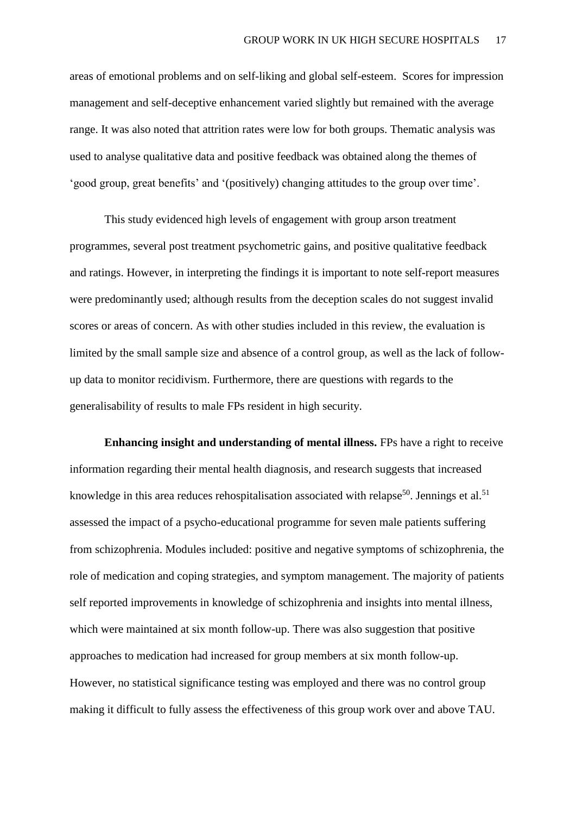areas of emotional problems and on self-liking and global self-esteem. Scores for impression management and self-deceptive enhancement varied slightly but remained with the average range. It was also noted that attrition rates were low for both groups. Thematic analysis was used to analyse qualitative data and positive feedback was obtained along the themes of 'good group, great benefits' and '(positively) changing attitudes to the group over time'.

This study evidenced high levels of engagement with group arson treatment programmes, several post treatment psychometric gains, and positive qualitative feedback and ratings. However, in interpreting the findings it is important to note self-report measures were predominantly used; although results from the deception scales do not suggest invalid scores or areas of concern. As with other studies included in this review, the evaluation is limited by the small sample size and absence of a control group, as well as the lack of followup data to monitor recidivism. Furthermore, there are questions with regards to the generalisability of results to male FPs resident in high security.

**Enhancing insight and understanding of mental illness.** FPs have a right to receive information regarding their mental health diagnosis, and research suggests that increased knowledge in this area reduces rehospitalisation associated with relapse<sup>50</sup>. Jennings et al.<sup>51</sup> assessed the impact of a psycho-educational programme for seven male patients suffering from schizophrenia. Modules included: positive and negative symptoms of schizophrenia, the role of medication and coping strategies, and symptom management. The majority of patients self reported improvements in knowledge of schizophrenia and insights into mental illness, which were maintained at six month follow-up. There was also suggestion that positive approaches to medication had increased for group members at six month follow-up. However, no statistical significance testing was employed and there was no control group making it difficult to fully assess the effectiveness of this group work over and above TAU.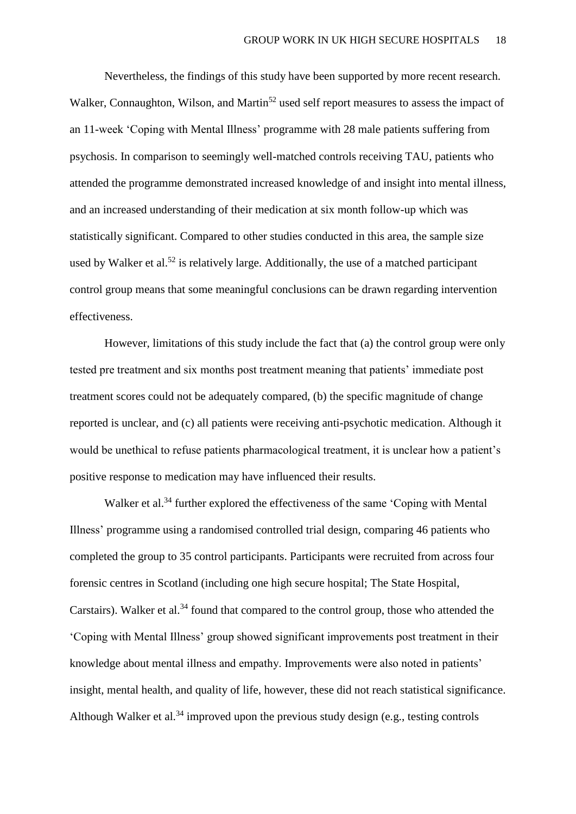Nevertheless, the findings of this study have been supported by more recent research. Walker, Connaughton, Wilson, and Martin<sup>52</sup> used self report measures to assess the impact of an 11-week 'Coping with Mental Illness' programme with 28 male patients suffering from psychosis. In comparison to seemingly well-matched controls receiving TAU, patients who attended the programme demonstrated increased knowledge of and insight into mental illness, and an increased understanding of their medication at six month follow-up which was statistically significant. Compared to other studies conducted in this area, the sample size used by Walker et al.<sup>52</sup> is relatively large. Additionally, the use of a matched participant control group means that some meaningful conclusions can be drawn regarding intervention effectiveness.

However, limitations of this study include the fact that (a) the control group were only tested pre treatment and six months post treatment meaning that patients' immediate post treatment scores could not be adequately compared, (b) the specific magnitude of change reported is unclear, and (c) all patients were receiving anti-psychotic medication. Although it would be unethical to refuse patients pharmacological treatment, it is unclear how a patient's positive response to medication may have influenced their results.

Walker et al.<sup>34</sup> further explored the effectiveness of the same 'Coping with Mental Illness' programme using a randomised controlled trial design, comparing 46 patients who completed the group to 35 control participants. Participants were recruited from across four forensic centres in Scotland (including one high secure hospital; The State Hospital, Carstairs). Walker et al.<sup>34</sup> found that compared to the control group, those who attended the 'Coping with Mental Illness' group showed significant improvements post treatment in their knowledge about mental illness and empathy. Improvements were also noted in patients' insight, mental health, and quality of life, however, these did not reach statistical significance. Although Walker et al.<sup>34</sup> improved upon the previous study design (e.g., testing controls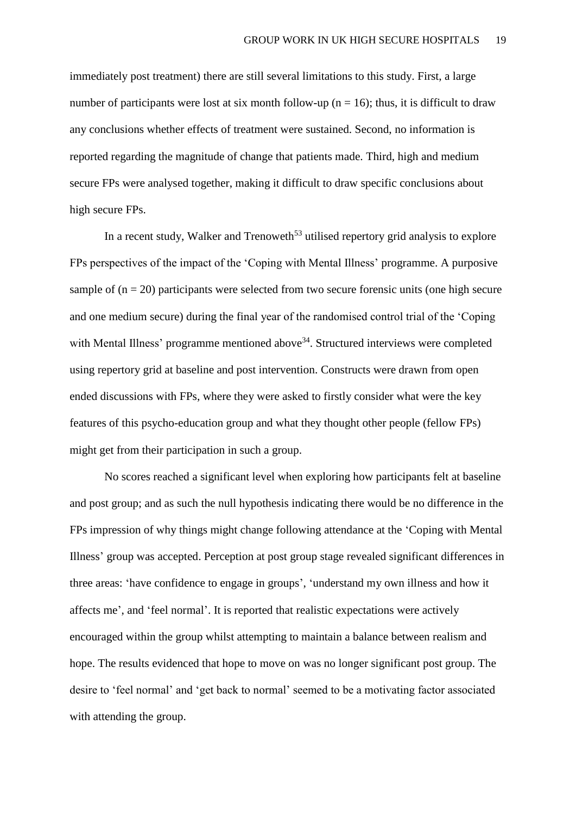immediately post treatment) there are still several limitations to this study. First, a large number of participants were lost at six month follow-up ( $n = 16$ ); thus, it is difficult to draw any conclusions whether effects of treatment were sustained. Second, no information is reported regarding the magnitude of change that patients made. Third, high and medium secure FPs were analysed together, making it difficult to draw specific conclusions about high secure FPs.

In a recent study, Walker and Trenoweth<sup>53</sup> utilised repertory grid analysis to explore FPs perspectives of the impact of the 'Coping with Mental Illness' programme. A purposive sample of  $(n = 20)$  participants were selected from two secure forensic units (one high secure and one medium secure) during the final year of the randomised control trial of the 'Coping with Mental Illness' programme mentioned above<sup>34</sup>. Structured interviews were completed using repertory grid at baseline and post intervention. Constructs were drawn from open ended discussions with FPs, where they were asked to firstly consider what were the key features of this psycho-education group and what they thought other people (fellow FPs) might get from their participation in such a group.

No scores reached a significant level when exploring how participants felt at baseline and post group; and as such the null hypothesis indicating there would be no difference in the FPs impression of why things might change following attendance at the 'Coping with Mental Illness' group was accepted. Perception at post group stage revealed significant differences in three areas: 'have confidence to engage in groups', 'understand my own illness and how it affects me', and 'feel normal'. It is reported that realistic expectations were actively encouraged within the group whilst attempting to maintain a balance between realism and hope. The results evidenced that hope to move on was no longer significant post group. The desire to 'feel normal' and 'get back to normal' seemed to be a motivating factor associated with attending the group.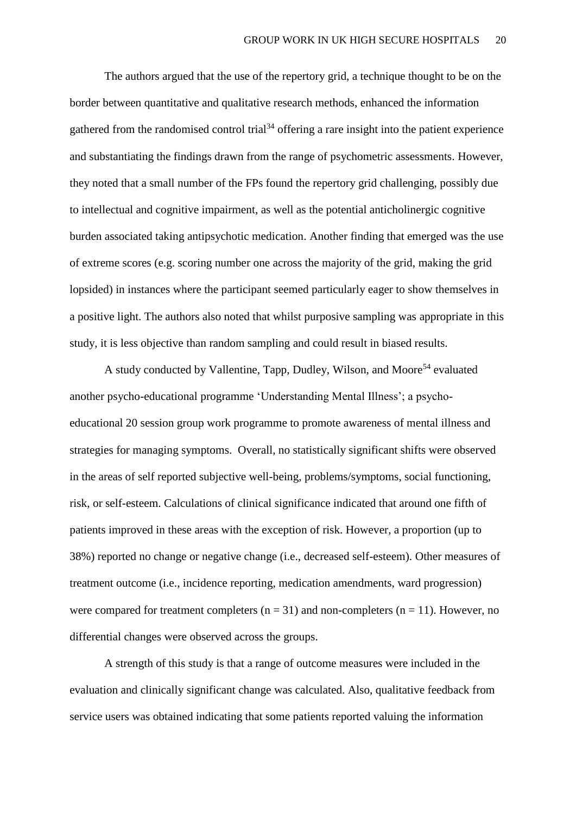The authors argued that the use of the repertory grid, a technique thought to be on the border between quantitative and qualitative research methods, enhanced the information gathered from the randomised control trial<sup>34</sup> offering a rare insight into the patient experience and substantiating the findings drawn from the range of psychometric assessments. However, they noted that a small number of the FPs found the repertory grid challenging, possibly due to intellectual and cognitive impairment, as well as the potential anticholinergic cognitive burden associated taking antipsychotic medication. Another finding that emerged was the use of extreme scores (e.g. scoring number one across the majority of the grid, making the grid lopsided) in instances where the participant seemed particularly eager to show themselves in a positive light. The authors also noted that whilst purposive sampling was appropriate in this study, it is less objective than random sampling and could result in biased results.

A study conducted by Vallentine, Tapp, Dudley, Wilson, and Moore<sup>54</sup> evaluated another psycho-educational programme 'Understanding Mental Illness'; a psychoeducational 20 session group work programme to promote awareness of mental illness and strategies for managing symptoms. Overall, no statistically significant shifts were observed in the areas of self reported subjective well-being, problems/symptoms, social functioning, risk, or self-esteem. Calculations of clinical significance indicated that around one fifth of patients improved in these areas with the exception of risk. However, a proportion (up to 38%) reported no change or negative change (i.e., decreased self-esteem). Other measures of treatment outcome (i.e., incidence reporting, medication amendments, ward progression) were compared for treatment completers  $(n = 31)$  and non-completers  $(n = 11)$ . However, no differential changes were observed across the groups.

A strength of this study is that a range of outcome measures were included in the evaluation and clinically significant change was calculated. Also, qualitative feedback from service users was obtained indicating that some patients reported valuing the information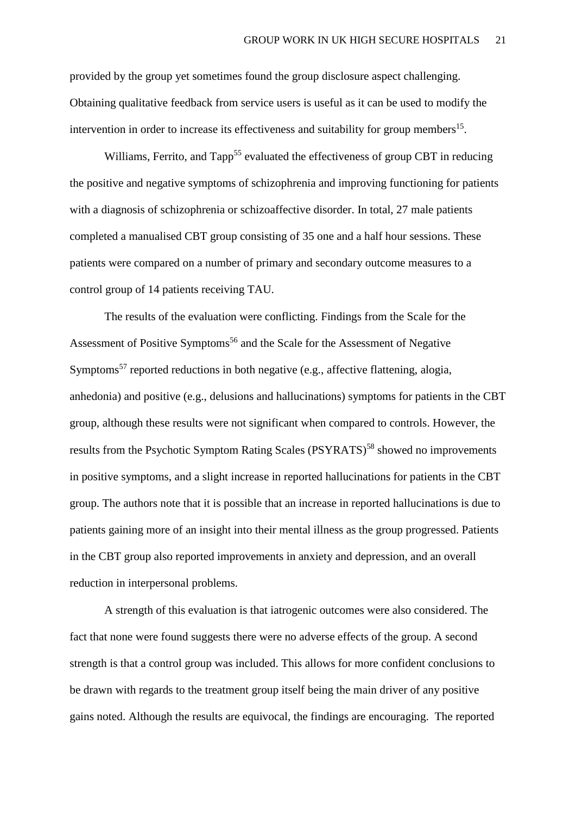provided by the group yet sometimes found the group disclosure aspect challenging. Obtaining qualitative feedback from service users is useful as it can be used to modify the intervention in order to increase its effectiveness and suitability for group members<sup>15</sup>.

Williams, Ferrito, and Tapp<sup>55</sup> evaluated the effectiveness of group CBT in reducing the positive and negative symptoms of schizophrenia and improving functioning for patients with a diagnosis of schizophrenia or schizoaffective disorder. In total, 27 male patients completed a manualised CBT group consisting of 35 one and a half hour sessions. These patients were compared on a number of primary and secondary outcome measures to a control group of 14 patients receiving TAU.

The results of the evaluation were conflicting. Findings from the Scale for the Assessment of Positive Symptoms<sup>56</sup> and the Scale for the Assessment of Negative Symptoms<sup>57</sup> reported reductions in both negative (e.g., affective flattening, alogia, anhedonia) and positive (e.g., delusions and hallucinations) symptoms for patients in the CBT group, although these results were not significant when compared to controls. However, the results from the Psychotic Symptom Rating Scales (PSYRATS)<sup>58</sup> showed no improvements in positive symptoms, and a slight increase in reported hallucinations for patients in the CBT group. The authors note that it is possible that an increase in reported hallucinations is due to patients gaining more of an insight into their mental illness as the group progressed. Patients in the CBT group also reported improvements in anxiety and depression, and an overall reduction in interpersonal problems.

A strength of this evaluation is that iatrogenic outcomes were also considered. The fact that none were found suggests there were no adverse effects of the group. A second strength is that a control group was included. This allows for more confident conclusions to be drawn with regards to the treatment group itself being the main driver of any positive gains noted. Although the results are equivocal, the findings are encouraging. The reported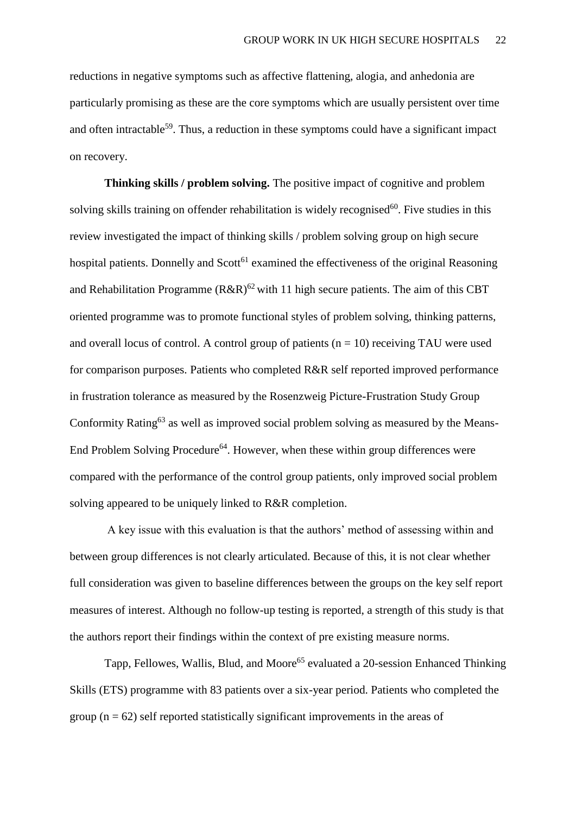reductions in negative symptoms such as affective flattening, alogia, and anhedonia are particularly promising as these are the core symptoms which are usually persistent over time and often intractable<sup>59</sup>. Thus, a reduction in these symptoms could have a significant impact on recovery.

**Thinking skills / problem solving.** The positive impact of cognitive and problem solving skills training on offender rehabilitation is widely recognised<sup>60</sup>. Five studies in this review investigated the impact of thinking skills / problem solving group on high secure hospital patients. Donnelly and  $Scott<sup>61</sup>$  examined the effectiveness of the original Reasoning and Rehabilitation Programme ( $R\&R\&R$ )<sup>62</sup> with 11 high secure patients. The aim of this CBT oriented programme was to promote functional styles of problem solving, thinking patterns, and overall locus of control. A control group of patients  $(n = 10)$  receiving TAU were used for comparison purposes. Patients who completed R&R self reported improved performance in frustration tolerance as measured by the Rosenzweig Picture-Frustration Study Group Conformity Rating<sup>63</sup> as well as improved social problem solving as measured by the Means-End Problem Solving Procedure<sup>64</sup>. However, when these within group differences were compared with the performance of the control group patients, only improved social problem solving appeared to be uniquely linked to R&R completion.

A key issue with this evaluation is that the authors' method of assessing within and between group differences is not clearly articulated. Because of this, it is not clear whether full consideration was given to baseline differences between the groups on the key self report measures of interest. Although no follow-up testing is reported, a strength of this study is that the authors report their findings within the context of pre existing measure norms.

Tapp, Fellowes, Wallis, Blud, and Moore<sup>65</sup> evaluated a 20-session Enhanced Thinking Skills (ETS) programme with 83 patients over a six-year period. Patients who completed the group  $(n = 62)$  self reported statistically significant improvements in the areas of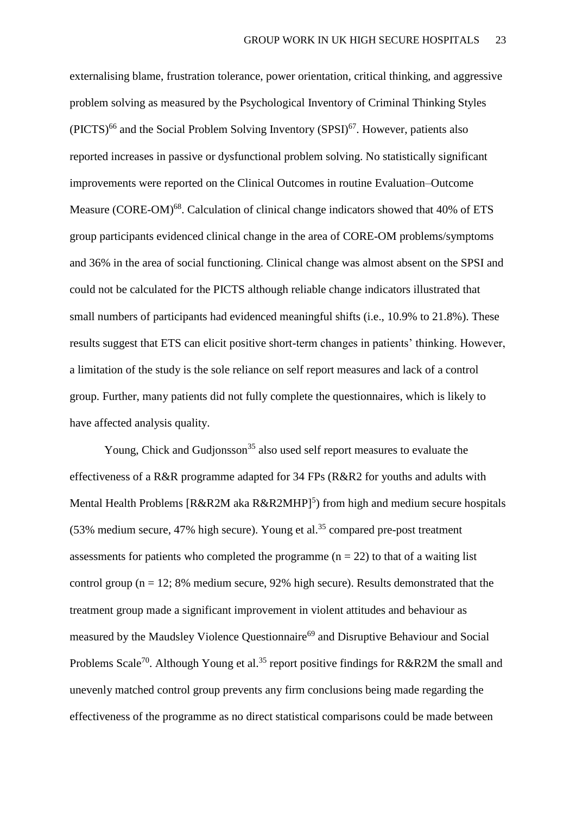externalising blame, frustration tolerance, power orientation, critical thinking, and aggressive problem solving as measured by the Psychological Inventory of Criminal Thinking Styles  $(PICTS)^{66}$  and the Social Problem Solving Inventory  $(SPSI)^{67}$ . However, patients also reported increases in passive or dysfunctional problem solving. No statistically significant improvements were reported on the Clinical Outcomes in routine Evaluation–Outcome Measure (CORE-OM)<sup>68</sup>. Calculation of clinical change indicators showed that 40% of ETS group participants evidenced clinical change in the area of CORE-OM problems/symptoms and 36% in the area of social functioning. Clinical change was almost absent on the SPSI and could not be calculated for the PICTS although reliable change indicators illustrated that small numbers of participants had evidenced meaningful shifts (i.e., 10.9% to 21.8%). These results suggest that ETS can elicit positive short-term changes in patients' thinking. However, a limitation of the study is the sole reliance on self report measures and lack of a control group. Further, many patients did not fully complete the questionnaires, which is likely to have affected analysis quality.

Young, Chick and Gudjonsson<sup>35</sup> also used self report measures to evaluate the effectiveness of a R&R programme adapted for 34 FPs (R&R2 for youths and adults with Mental Health Problems [ $R&R2M$ aka  $R&R2MHP$ ]<sup>5</sup>) from high and medium secure hospitals  $(53% \text{ medium secure}, 47% \text{ high secure})$ . Young et al.<sup>35</sup> compared pre-post treatment assessments for patients who completed the programme  $(n = 22)$  to that of a waiting list control group ( $n = 12$ ; 8% medium secure, 92% high secure). Results demonstrated that the treatment group made a significant improvement in violent attitudes and behaviour as measured by the Maudsley Violence Questionnaire<sup>69</sup> and Disruptive Behaviour and Social Problems Scale<sup>70</sup>. Although Young et al.<sup>35</sup> report positive findings for R&R2M the small and unevenly matched control group prevents any firm conclusions being made regarding the effectiveness of the programme as no direct statistical comparisons could be made between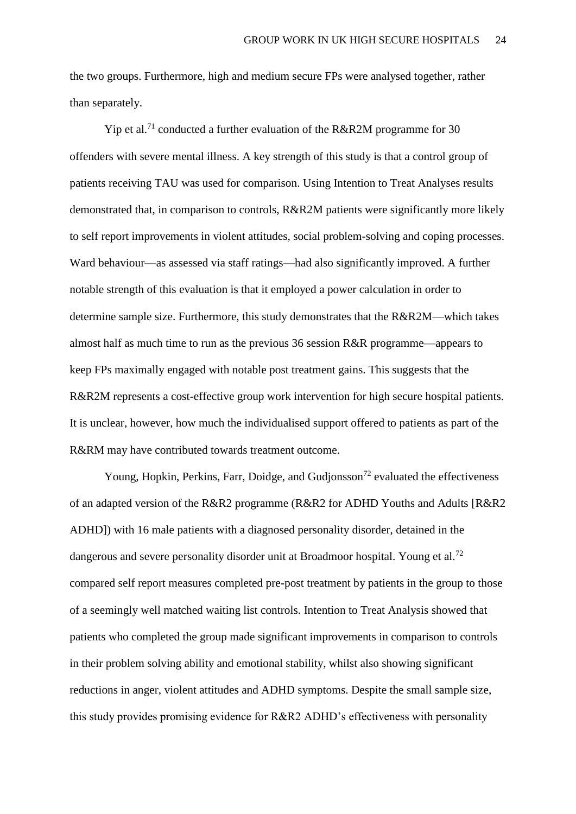the two groups. Furthermore, high and medium secure FPs were analysed together, rather than separately.

Yip et al.<sup>71</sup> conducted a further evaluation of the R&R2M programme for 30 offenders with severe mental illness. A key strength of this study is that a control group of patients receiving TAU was used for comparison. Using Intention to Treat Analyses results demonstrated that, in comparison to controls, R&R2M patients were significantly more likely to self report improvements in violent attitudes, social problem-solving and coping processes. Ward behaviour—as assessed via staff ratings—had also significantly improved. A further notable strength of this evaluation is that it employed a power calculation in order to determine sample size. Furthermore, this study demonstrates that the R&R2M—which takes almost half as much time to run as the previous 36 session R&R programme—appears to keep FPs maximally engaged with notable post treatment gains. This suggests that the R&R2M represents a cost-effective group work intervention for high secure hospital patients. It is unclear, however, how much the individualised support offered to patients as part of the R&RM may have contributed towards treatment outcome.

Young, Hopkin, Perkins, Farr, Doidge, and Gudjonsson<sup>72</sup> evaluated the effectiveness of an adapted version of the R&R2 programme (R&R2 for ADHD Youths and Adults [R&R2 ADHD]) with 16 male patients with a diagnosed personality disorder, detained in the dangerous and severe personality disorder unit at Broadmoor hospital. Young et al.<sup>72</sup> compared self report measures completed pre-post treatment by patients in the group to those of a seemingly well matched waiting list controls. Intention to Treat Analysis showed that patients who completed the group made significant improvements in comparison to controls in their problem solving ability and emotional stability, whilst also showing significant reductions in anger, violent attitudes and ADHD symptoms. Despite the small sample size, this study provides promising evidence for R&R2 ADHD's effectiveness with personality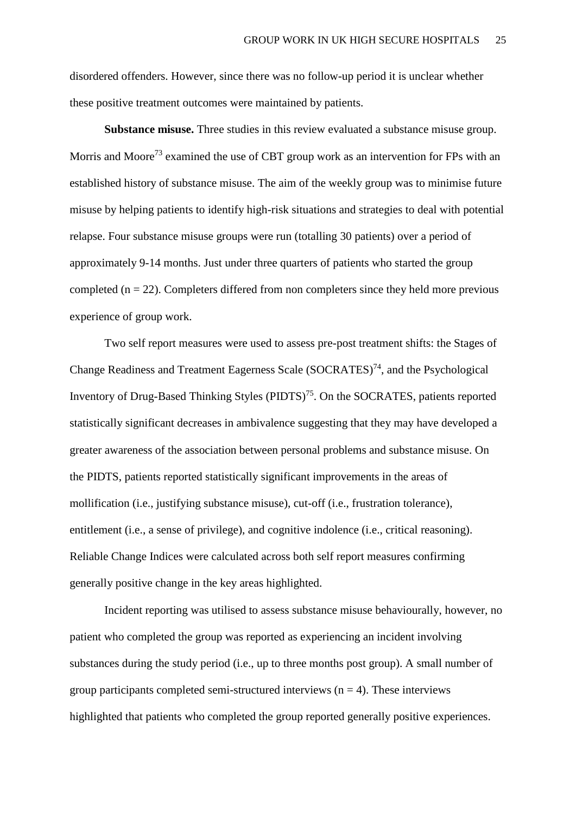disordered offenders. However, since there was no follow-up period it is unclear whether these positive treatment outcomes were maintained by patients.

**Substance misuse.** Three studies in this review evaluated a substance misuse group. Morris and Moore<sup>73</sup> examined the use of CBT group work as an intervention for FPs with an established history of substance misuse. The aim of the weekly group was to minimise future misuse by helping patients to identify high-risk situations and strategies to deal with potential relapse. Four substance misuse groups were run (totalling 30 patients) over a period of approximately 9-14 months. Just under three quarters of patients who started the group completed  $(n = 22)$ . Completers differed from non completers since they held more previous experience of group work.

Two self report measures were used to assess pre-post treatment shifts: the Stages of Change Readiness and Treatment Eagerness Scale (SOCRATES)<sup>74</sup>, and the Psychological Inventory of Drug-Based Thinking Styles  $(PIDTS)^{75}$ . On the SOCRATES, patients reported statistically significant decreases in ambivalence suggesting that they may have developed a greater awareness of the association between personal problems and substance misuse. On the PIDTS, patients reported statistically significant improvements in the areas of mollification (i.e., justifying substance misuse), cut-off (i.e., frustration tolerance), entitlement (i.e., a sense of privilege), and cognitive indolence (i.e., critical reasoning). Reliable Change Indices were calculated across both self report measures confirming generally positive change in the key areas highlighted.

Incident reporting was utilised to assess substance misuse behaviourally, however, no patient who completed the group was reported as experiencing an incident involving substances during the study period (i.e., up to three months post group). A small number of group participants completed semi-structured interviews  $(n = 4)$ . These interviews highlighted that patients who completed the group reported generally positive experiences.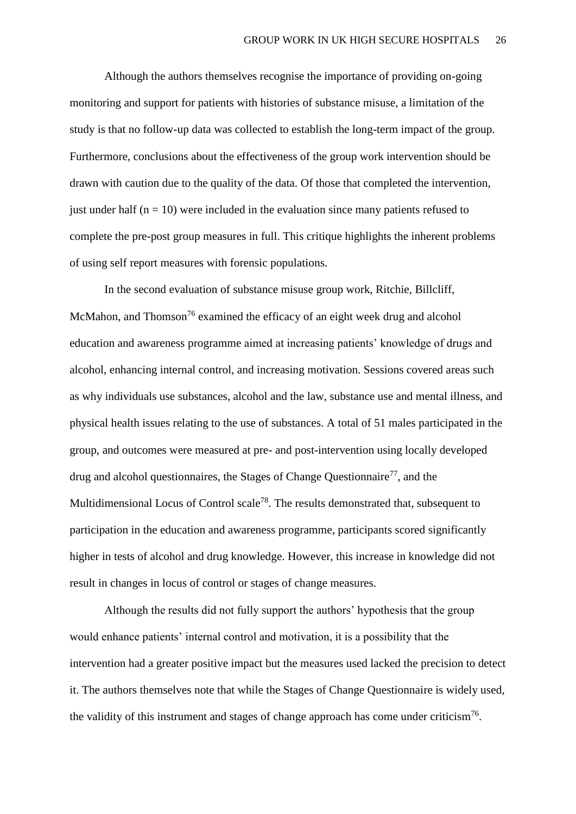Although the authors themselves recognise the importance of providing on-going monitoring and support for patients with histories of substance misuse, a limitation of the study is that no follow-up data was collected to establish the long-term impact of the group. Furthermore, conclusions about the effectiveness of the group work intervention should be drawn with caution due to the quality of the data. Of those that completed the intervention, just under half  $(n = 10)$  were included in the evaluation since many patients refused to complete the pre-post group measures in full. This critique highlights the inherent problems of using self report measures with forensic populations.

 In the second evaluation of substance misuse group work, Ritchie, Billcliff, McMahon, and Thomson<sup>76</sup> examined the efficacy of an eight week drug and alcohol education and awareness programme aimed at increasing patients' knowledge of drugs and alcohol, enhancing internal control, and increasing motivation. Sessions covered areas such as why individuals use substances, alcohol and the law, substance use and mental illness, and physical health issues relating to the use of substances. A total of 51 males participated in the group, and outcomes were measured at pre- and post-intervention using locally developed drug and alcohol questionnaires, the Stages of Change Questionnaire<sup>77</sup>, and the Multidimensional Locus of Control scale<sup>78</sup>. The results demonstrated that, subsequent to participation in the education and awareness programme, participants scored significantly higher in tests of alcohol and drug knowledge. However, this increase in knowledge did not result in changes in locus of control or stages of change measures.

Although the results did not fully support the authors' hypothesis that the group would enhance patients' internal control and motivation, it is a possibility that the intervention had a greater positive impact but the measures used lacked the precision to detect it. The authors themselves note that while the Stages of Change Questionnaire is widely used, the validity of this instrument and stages of change approach has come under criticism<sup>76</sup>.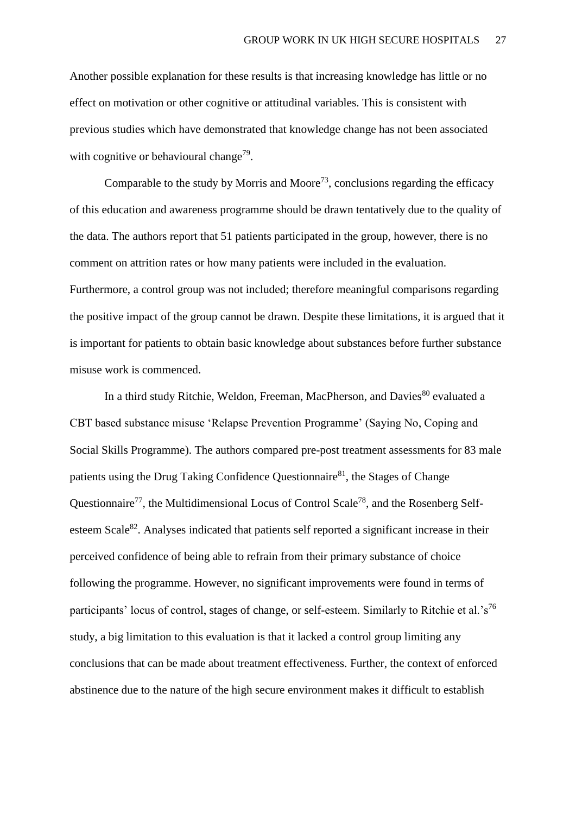Another possible explanation for these results is that increasing knowledge has little or no effect on motivation or other cognitive or attitudinal variables. This is consistent with previous studies which have demonstrated that knowledge change has not been associated with cognitive or behavioural change<sup>79</sup>.

Comparable to the study by Morris and Moore<sup>73</sup>, conclusions regarding the efficacy of this education and awareness programme should be drawn tentatively due to the quality of the data. The authors report that 51 patients participated in the group, however, there is no comment on attrition rates or how many patients were included in the evaluation. Furthermore, a control group was not included; therefore meaningful comparisons regarding the positive impact of the group cannot be drawn. Despite these limitations, it is argued that it is important for patients to obtain basic knowledge about substances before further substance misuse work is commenced.

In a third study Ritchie, Weldon, Freeman, MacPherson, and Davies<sup>80</sup> evaluated a CBT based substance misuse 'Relapse Prevention Programme' (Saying No, Coping and Social Skills Programme). The authors compared pre-post treatment assessments for 83 male patients using the Drug Taking Confidence Questionnaire $^{81}$ , the Stages of Change Questionnaire<sup>77</sup>, the Multidimensional Locus of Control Scale<sup>78</sup>, and the Rosenberg Selfesteem Scale<sup>82</sup>. Analyses indicated that patients self reported a significant increase in their perceived confidence of being able to refrain from their primary substance of choice following the programme. However, no significant improvements were found in terms of participants' locus of control, stages of change, or self-esteem. Similarly to Ritchie et al.'s<sup>76</sup> study, a big limitation to this evaluation is that it lacked a control group limiting any conclusions that can be made about treatment effectiveness. Further, the context of enforced abstinence due to the nature of the high secure environment makes it difficult to establish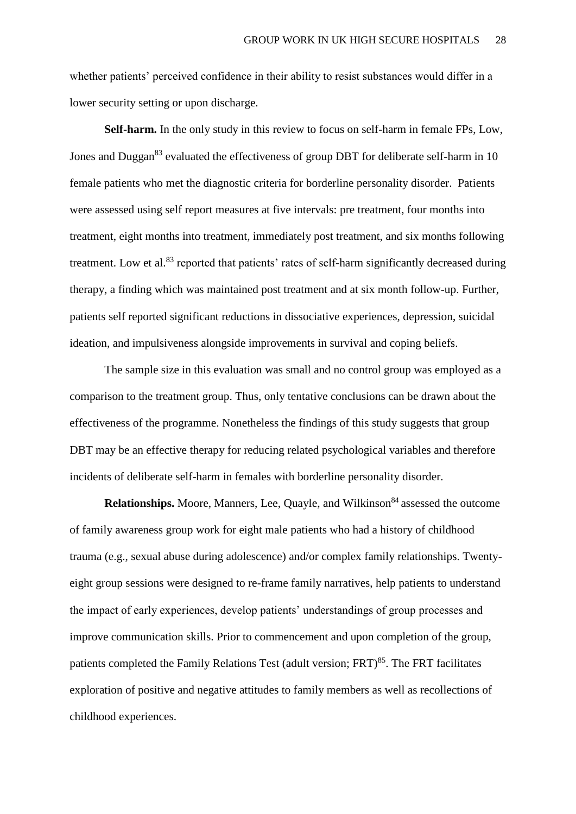whether patients' perceived confidence in their ability to resist substances would differ in a lower security setting or upon discharge.

**Self-harm.** In the only study in this review to focus on self-harm in female FPs, Low, Jones and Duggan<sup>83</sup> evaluated the effectiveness of group DBT for deliberate self-harm in 10 female patients who met the diagnostic criteria for borderline personality disorder. Patients were assessed using self report measures at five intervals: pre treatment, four months into treatment, eight months into treatment, immediately post treatment, and six months following treatment. Low et al.<sup>83</sup> reported that patients' rates of self-harm significantly decreased during therapy, a finding which was maintained post treatment and at six month follow-up. Further, patients self reported significant reductions in dissociative experiences, depression, suicidal ideation, and impulsiveness alongside improvements in survival and coping beliefs.

The sample size in this evaluation was small and no control group was employed as a comparison to the treatment group. Thus, only tentative conclusions can be drawn about the effectiveness of the programme. Nonetheless the findings of this study suggests that group DBT may be an effective therapy for reducing related psychological variables and therefore incidents of deliberate self-harm in females with borderline personality disorder.

**Relationships.** Moore, Manners, Lee, Quayle, and Wilkinson<sup>84</sup> assessed the outcome of family awareness group work for eight male patients who had a history of childhood trauma (e.g., sexual abuse during adolescence) and/or complex family relationships. Twentyeight group sessions were designed to re-frame family narratives, help patients to understand the impact of early experiences, develop patients' understandings of group processes and improve communication skills. Prior to commencement and upon completion of the group, patients completed the Family Relations Test (adult version;  $FRT$ )<sup>85</sup>. The FRT facilitates exploration of positive and negative attitudes to family members as well as recollections of childhood experiences.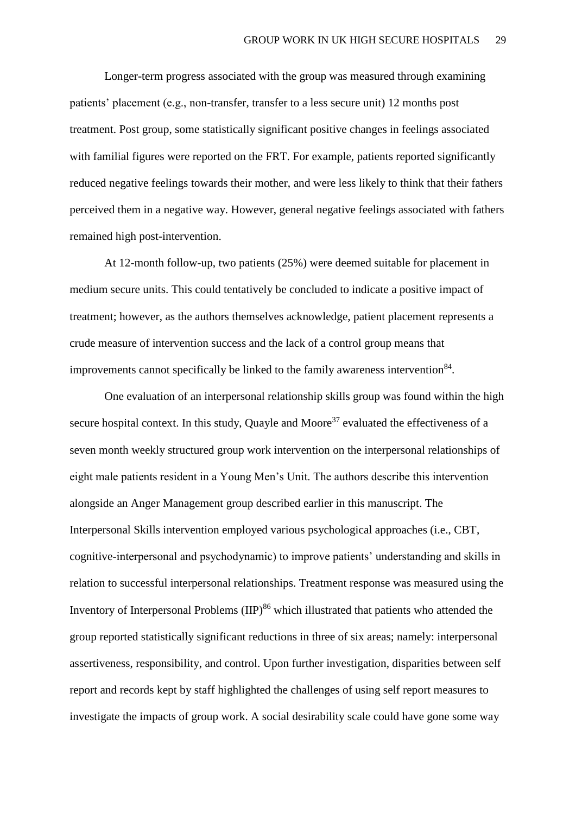Longer-term progress associated with the group was measured through examining patients' placement (e.g., non-transfer, transfer to a less secure unit) 12 months post treatment. Post group, some statistically significant positive changes in feelings associated with familial figures were reported on the FRT. For example, patients reported significantly reduced negative feelings towards their mother, and were less likely to think that their fathers perceived them in a negative way. However, general negative feelings associated with fathers remained high post-intervention.

At 12-month follow-up, two patients (25%) were deemed suitable for placement in medium secure units. This could tentatively be concluded to indicate a positive impact of treatment; however, as the authors themselves acknowledge, patient placement represents a crude measure of intervention success and the lack of a control group means that improvements cannot specifically be linked to the family awareness intervention<sup>84</sup>.

One evaluation of an interpersonal relationship skills group was found within the high secure hospital context. In this study, Quayle and Moore<sup>37</sup> evaluated the effectiveness of a seven month weekly structured group work intervention on the interpersonal relationships of eight male patients resident in a Young Men's Unit. The authors describe this intervention alongside an Anger Management group described earlier in this manuscript. The Interpersonal Skills intervention employed various psychological approaches (i.e., CBT, cognitive-interpersonal and psychodynamic) to improve patients' understanding and skills in relation to successful interpersonal relationships. Treatment response was measured using the Inventory of Interpersonal Problems  $\text{(IP)}^{86}$  which illustrated that patients who attended the group reported statistically significant reductions in three of six areas; namely: interpersonal assertiveness, responsibility, and control. Upon further investigation, disparities between self report and records kept by staff highlighted the challenges of using self report measures to investigate the impacts of group work. A social desirability scale could have gone some way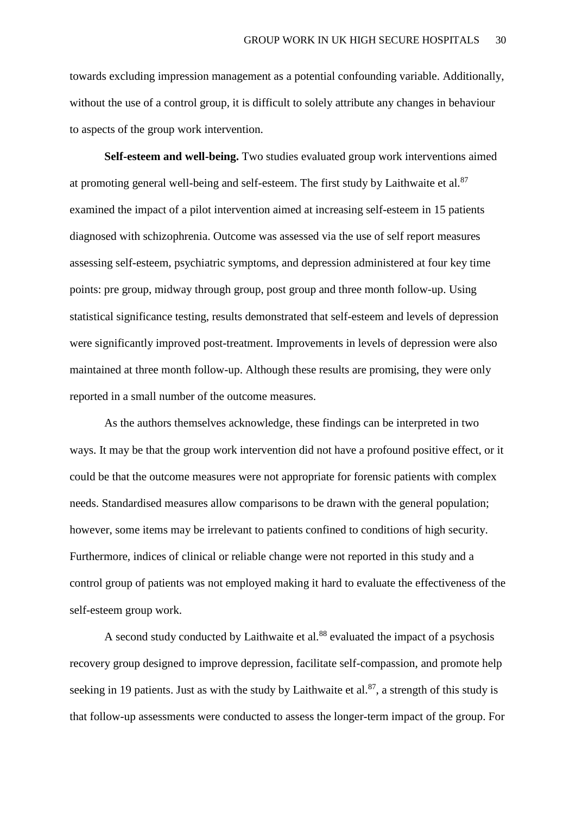towards excluding impression management as a potential confounding variable. Additionally, without the use of a control group, it is difficult to solely attribute any changes in behaviour to aspects of the group work intervention.

**Self-esteem and well-being.** Two studies evaluated group work interventions aimed at promoting general well-being and self-esteem. The first study by Laithwaite et al.<sup>87</sup> examined the impact of a pilot intervention aimed at increasing self-esteem in 15 patients diagnosed with schizophrenia. Outcome was assessed via the use of self report measures assessing self-esteem, psychiatric symptoms, and depression administered at four key time points: pre group, midway through group, post group and three month follow-up. Using statistical significance testing, results demonstrated that self-esteem and levels of depression were significantly improved post-treatment. Improvements in levels of depression were also maintained at three month follow-up. Although these results are promising, they were only reported in a small number of the outcome measures.

As the authors themselves acknowledge, these findings can be interpreted in two ways. It may be that the group work intervention did not have a profound positive effect, or it could be that the outcome measures were not appropriate for forensic patients with complex needs. Standardised measures allow comparisons to be drawn with the general population; however, some items may be irrelevant to patients confined to conditions of high security. Furthermore, indices of clinical or reliable change were not reported in this study and a control group of patients was not employed making it hard to evaluate the effectiveness of the self-esteem group work.

A second study conducted by Laithwaite et al.<sup>88</sup> evaluated the impact of a psychosis recovery group designed to improve depression, facilitate self-compassion, and promote help seeking in 19 patients. Just as with the study by Laithwaite et al.  $87$ , a strength of this study is that follow-up assessments were conducted to assess the longer-term impact of the group. For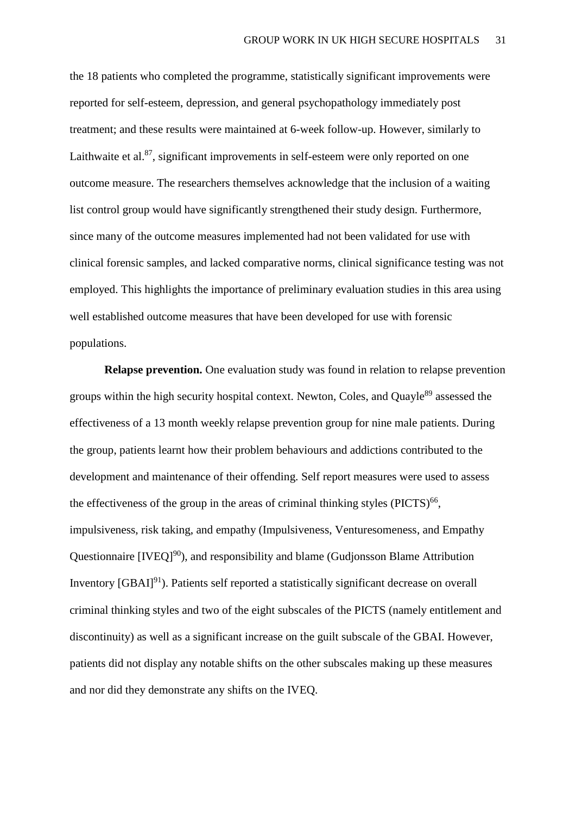the 18 patients who completed the programme, statistically significant improvements were reported for self-esteem, depression, and general psychopathology immediately post treatment; and these results were maintained at 6-week follow-up. However, similarly to Laithwaite et al. $87$ , significant improvements in self-esteem were only reported on one outcome measure. The researchers themselves acknowledge that the inclusion of a waiting list control group would have significantly strengthened their study design. Furthermore, since many of the outcome measures implemented had not been validated for use with clinical forensic samples, and lacked comparative norms, clinical significance testing was not employed. This highlights the importance of preliminary evaluation studies in this area using well established outcome measures that have been developed for use with forensic populations.

**Relapse prevention.** One evaluation study was found in relation to relapse prevention groups within the high security hospital context. Newton, Coles, and Ouavle<sup>89</sup> assessed the effectiveness of a 13 month weekly relapse prevention group for nine male patients. During the group, patients learnt how their problem behaviours and addictions contributed to the development and maintenance of their offending. Self report measures were used to assess the effectiveness of the group in the areas of criminal thinking styles  $(PICTS)^{66}$ , impulsiveness, risk taking, and empathy (Impulsiveness, Venturesomeness, and Empathy Questionnaire [IVEQ]<sup>90</sup>), and responsibility and blame (Gudjonsson Blame Attribution Inventory  $[GBAI]^{91}$ ). Patients self reported a statistically significant decrease on overall criminal thinking styles and two of the eight subscales of the PICTS (namely entitlement and discontinuity) as well as a significant increase on the guilt subscale of the GBAI. However, patients did not display any notable shifts on the other subscales making up these measures and nor did they demonstrate any shifts on the IVEQ.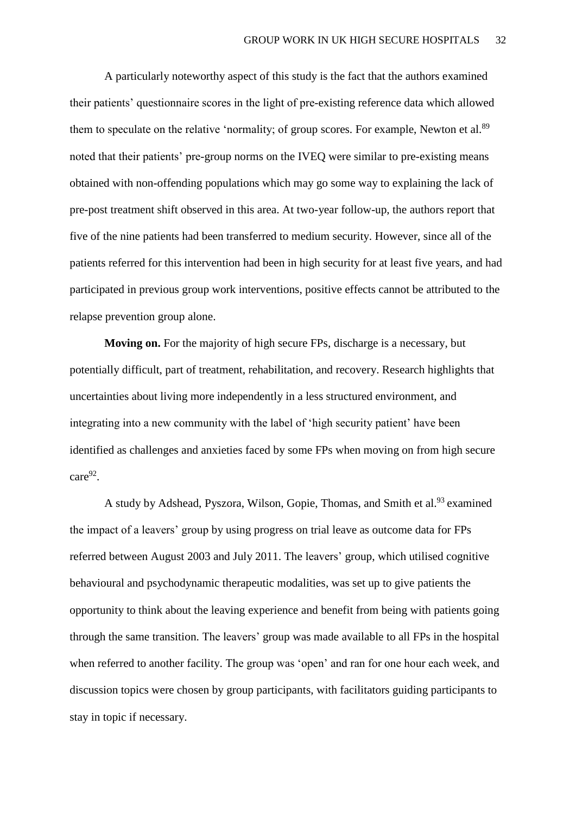A particularly noteworthy aspect of this study is the fact that the authors examined their patients' questionnaire scores in the light of pre-existing reference data which allowed them to speculate on the relative 'normality; of group scores. For example, Newton et al.<sup>89</sup> noted that their patients' pre-group norms on the IVEQ were similar to pre-existing means obtained with non-offending populations which may go some way to explaining the lack of pre-post treatment shift observed in this area. At two-year follow-up, the authors report that five of the nine patients had been transferred to medium security. However, since all of the patients referred for this intervention had been in high security for at least five years, and had participated in previous group work interventions, positive effects cannot be attributed to the relapse prevention group alone.

**Moving on.** For the majority of high secure FPs, discharge is a necessary, but potentially difficult, part of treatment, rehabilitation, and recovery. Research highlights that uncertainties about living more independently in a less structured environment, and integrating into a new community with the label of 'high security patient' have been identified as challenges and anxieties faced by some FPs when moving on from high secure  $care<sup>92</sup>$ .

A study by Adshead, Pyszora, Wilson, Gopie, Thomas, and Smith et al.<sup>93</sup> examined the impact of a leavers' group by using progress on trial leave as outcome data for FPs referred between August 2003 and July 2011. The leavers' group, which utilised cognitive behavioural and psychodynamic therapeutic modalities, was set up to give patients the opportunity to think about the leaving experience and benefit from being with patients going through the same transition. The leavers' group was made available to all FPs in the hospital when referred to another facility. The group was 'open' and ran for one hour each week, and discussion topics were chosen by group participants, with facilitators guiding participants to stay in topic if necessary.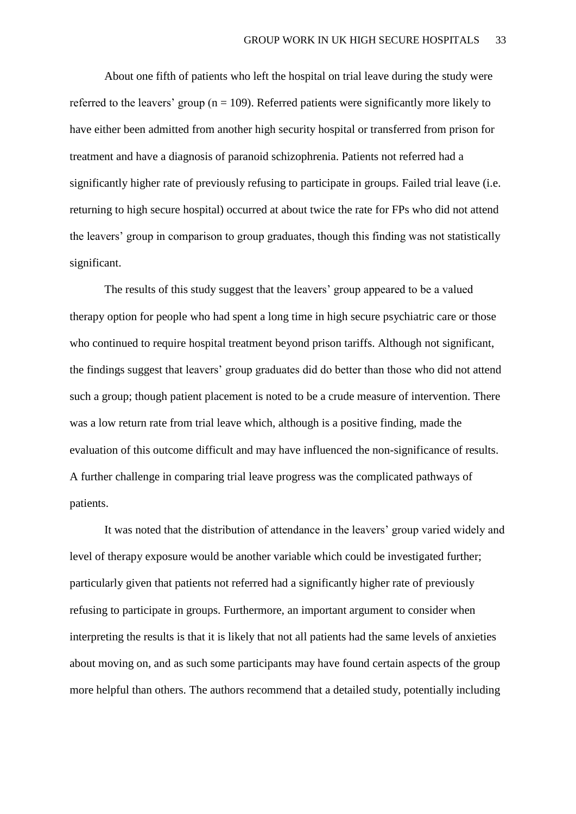About one fifth of patients who left the hospital on trial leave during the study were referred to the leavers' group ( $n = 109$ ). Referred patients were significantly more likely to have either been admitted from another high security hospital or transferred from prison for treatment and have a diagnosis of paranoid schizophrenia. Patients not referred had a significantly higher rate of previously refusing to participate in groups. Failed trial leave (i.e. returning to high secure hospital) occurred at about twice the rate for FPs who did not attend the leavers' group in comparison to group graduates, though this finding was not statistically significant.

The results of this study suggest that the leavers' group appeared to be a valued therapy option for people who had spent a long time in high secure psychiatric care or those who continued to require hospital treatment beyond prison tariffs. Although not significant, the findings suggest that leavers' group graduates did do better than those who did not attend such a group; though patient placement is noted to be a crude measure of intervention. There was a low return rate from trial leave which, although is a positive finding, made the evaluation of this outcome difficult and may have influenced the non-significance of results. A further challenge in comparing trial leave progress was the complicated pathways of patients.

It was noted that the distribution of attendance in the leavers' group varied widely and level of therapy exposure would be another variable which could be investigated further; particularly given that patients not referred had a significantly higher rate of previously refusing to participate in groups. Furthermore, an important argument to consider when interpreting the results is that it is likely that not all patients had the same levels of anxieties about moving on, and as such some participants may have found certain aspects of the group more helpful than others. The authors recommend that a detailed study, potentially including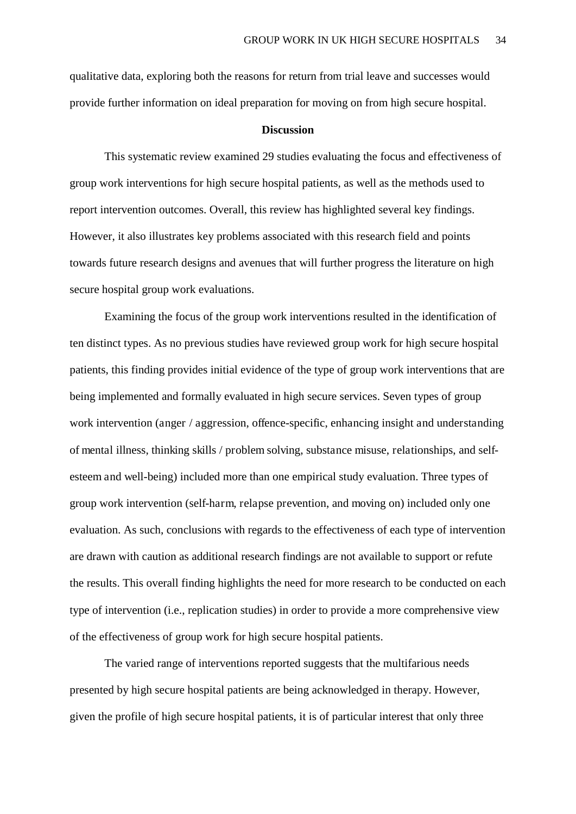qualitative data, exploring both the reasons for return from trial leave and successes would provide further information on ideal preparation for moving on from high secure hospital.

#### **Discussion**

This systematic review examined 29 studies evaluating the focus and effectiveness of group work interventions for high secure hospital patients, as well as the methods used to report intervention outcomes. Overall, this review has highlighted several key findings. However, it also illustrates key problems associated with this research field and points towards future research designs and avenues that will further progress the literature on high secure hospital group work evaluations.

Examining the focus of the group work interventions resulted in the identification of ten distinct types. As no previous studies have reviewed group work for high secure hospital patients, this finding provides initial evidence of the type of group work interventions that are being implemented and formally evaluated in high secure services. Seven types of group work intervention (anger / aggression, offence-specific, enhancing insight and understanding of mental illness, thinking skills / problem solving, substance misuse, relationships, and selfesteem and well-being) included more than one empirical study evaluation. Three types of group work intervention (self-harm, relapse prevention, and moving on) included only one evaluation. As such, conclusions with regards to the effectiveness of each type of intervention are drawn with caution as additional research findings are not available to support or refute the results. This overall finding highlights the need for more research to be conducted on each type of intervention (i.e., replication studies) in order to provide a more comprehensive view of the effectiveness of group work for high secure hospital patients.

The varied range of interventions reported suggests that the multifarious needs presented by high secure hospital patients are being acknowledged in therapy. However, given the profile of high secure hospital patients, it is of particular interest that only three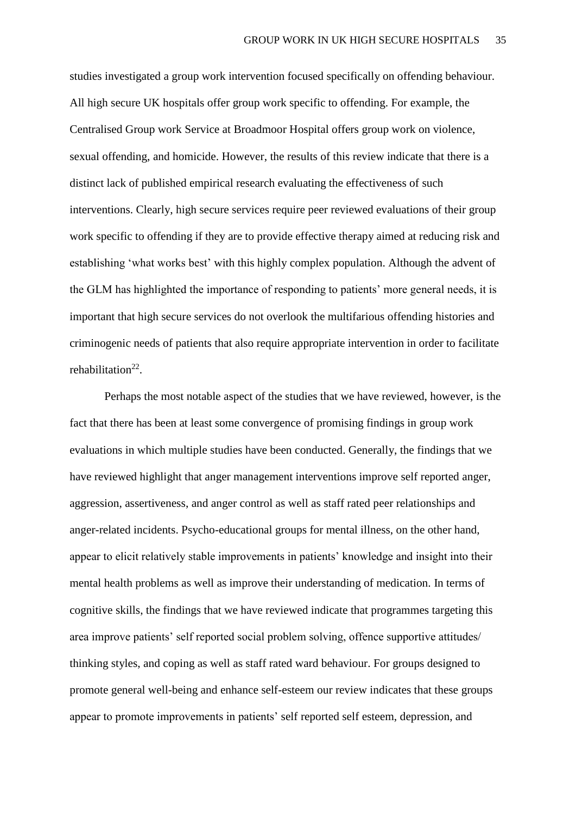studies investigated a group work intervention focused specifically on offending behaviour. All high secure UK hospitals offer group work specific to offending. For example, the Centralised Group work Service at Broadmoor Hospital offers group work on violence, sexual offending, and homicide. However, the results of this review indicate that there is a distinct lack of published empirical research evaluating the effectiveness of such interventions. Clearly, high secure services require peer reviewed evaluations of their group work specific to offending if they are to provide effective therapy aimed at reducing risk and establishing 'what works best' with this highly complex population. Although the advent of the GLM has highlighted the importance of responding to patients' more general needs, it is important that high secure services do not overlook the multifarious offending histories and criminogenic needs of patients that also require appropriate intervention in order to facilitate rehabilitation<sup>22</sup>.

Perhaps the most notable aspect of the studies that we have reviewed, however, is the fact that there has been at least some convergence of promising findings in group work evaluations in which multiple studies have been conducted. Generally, the findings that we have reviewed highlight that anger management interventions improve self reported anger, aggression, assertiveness, and anger control as well as staff rated peer relationships and anger-related incidents. Psycho-educational groups for mental illness, on the other hand, appear to elicit relatively stable improvements in patients' knowledge and insight into their mental health problems as well as improve their understanding of medication. In terms of cognitive skills, the findings that we have reviewed indicate that programmes targeting this area improve patients' self reported social problem solving, offence supportive attitudes/ thinking styles, and coping as well as staff rated ward behaviour. For groups designed to promote general well-being and enhance self-esteem our review indicates that these groups appear to promote improvements in patients' self reported self esteem, depression, and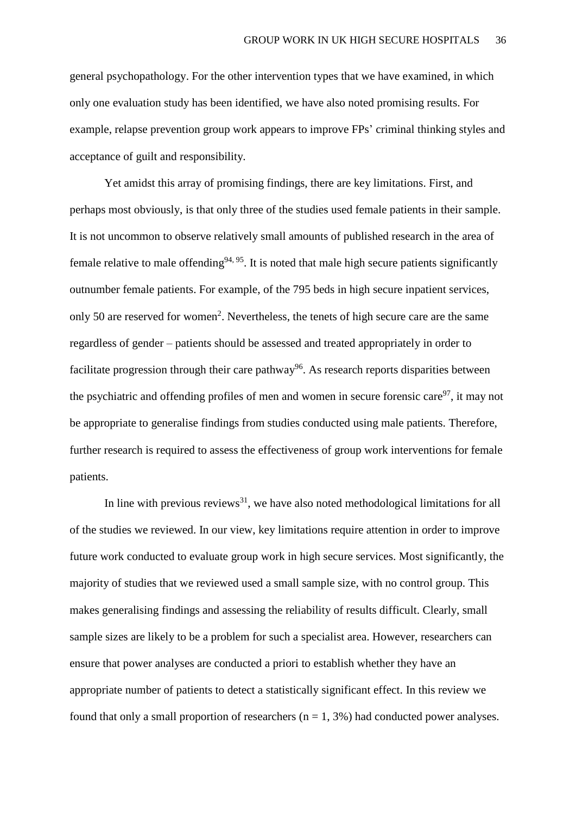general psychopathology. For the other intervention types that we have examined, in which only one evaluation study has been identified, we have also noted promising results. For example, relapse prevention group work appears to improve FPs' criminal thinking styles and acceptance of guilt and responsibility.

Yet amidst this array of promising findings, there are key limitations. First, and perhaps most obviously, is that only three of the studies used female patients in their sample. It is not uncommon to observe relatively small amounts of published research in the area of female relative to male offending  $94, 95$ . It is noted that male high secure patients significantly outnumber female patients. For example, of the 795 beds in high secure inpatient services, only 50 are reserved for women<sup>2</sup>. Nevertheless, the tenets of high secure care are the same regardless of gender – patients should be assessed and treated appropriately in order to facilitate progression through their care pathway<sup>96</sup>. As research reports disparities between the psychiatric and offending profiles of men and women in secure forensic care  $97$ , it may not be appropriate to generalise findings from studies conducted using male patients. Therefore, further research is required to assess the effectiveness of group work interventions for female patients.

In line with previous reviews<sup>31</sup>, we have also noted methodological limitations for all of the studies we reviewed. In our view, key limitations require attention in order to improve future work conducted to evaluate group work in high secure services. Most significantly, the majority of studies that we reviewed used a small sample size, with no control group. This makes generalising findings and assessing the reliability of results difficult. Clearly, small sample sizes are likely to be a problem for such a specialist area. However, researchers can ensure that power analyses are conducted a priori to establish whether they have an appropriate number of patients to detect a statistically significant effect. In this review we found that only a small proportion of researchers ( $n = 1, 3%$ ) had conducted power analyses.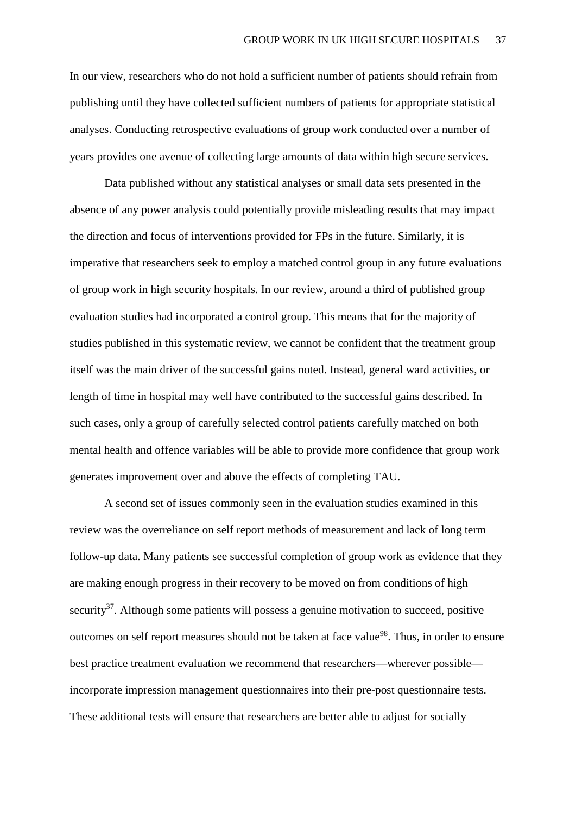In our view, researchers who do not hold a sufficient number of patients should refrain from publishing until they have collected sufficient numbers of patients for appropriate statistical analyses. Conducting retrospective evaluations of group work conducted over a number of years provides one avenue of collecting large amounts of data within high secure services.

Data published without any statistical analyses or small data sets presented in the absence of any power analysis could potentially provide misleading results that may impact the direction and focus of interventions provided for FPs in the future. Similarly, it is imperative that researchers seek to employ a matched control group in any future evaluations of group work in high security hospitals. In our review, around a third of published group evaluation studies had incorporated a control group. This means that for the majority of studies published in this systematic review, we cannot be confident that the treatment group itself was the main driver of the successful gains noted. Instead, general ward activities, or length of time in hospital may well have contributed to the successful gains described. In such cases, only a group of carefully selected control patients carefully matched on both mental health and offence variables will be able to provide more confidence that group work generates improvement over and above the effects of completing TAU.

A second set of issues commonly seen in the evaluation studies examined in this review was the overreliance on self report methods of measurement and lack of long term follow-up data. Many patients see successful completion of group work as evidence that they are making enough progress in their recovery to be moved on from conditions of high security<sup>37</sup>. Although some patients will possess a genuine motivation to succeed, positive outcomes on self report measures should not be taken at face value<sup>98</sup>. Thus, in order to ensure best practice treatment evaluation we recommend that researchers—wherever possible incorporate impression management questionnaires into their pre-post questionnaire tests. These additional tests will ensure that researchers are better able to adjust for socially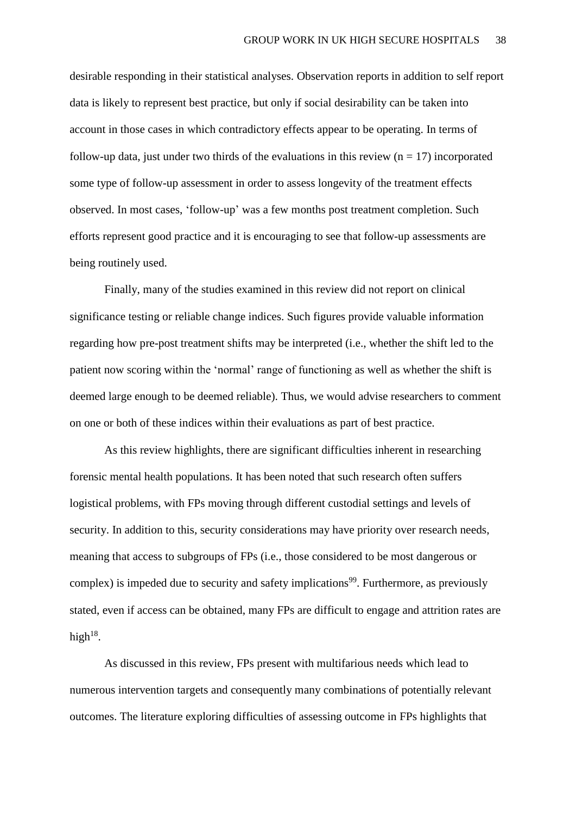desirable responding in their statistical analyses. Observation reports in addition to self report data is likely to represent best practice, but only if social desirability can be taken into account in those cases in which contradictory effects appear to be operating. In terms of follow-up data, just under two thirds of the evaluations in this review  $(n = 17)$  incorporated some type of follow-up assessment in order to assess longevity of the treatment effects observed. In most cases, 'follow-up' was a few months post treatment completion. Such efforts represent good practice and it is encouraging to see that follow-up assessments are being routinely used.

Finally, many of the studies examined in this review did not report on clinical significance testing or reliable change indices. Such figures provide valuable information regarding how pre-post treatment shifts may be interpreted (i.e., whether the shift led to the patient now scoring within the 'normal' range of functioning as well as whether the shift is deemed large enough to be deemed reliable). Thus, we would advise researchers to comment on one or both of these indices within their evaluations as part of best practice.

As this review highlights, there are significant difficulties inherent in researching forensic mental health populations. It has been noted that such research often suffers logistical problems, with FPs moving through different custodial settings and levels of security. In addition to this, security considerations may have priority over research needs, meaning that access to subgroups of FPs (i.e., those considered to be most dangerous or complex) is impeded due to security and safety implications<sup>99</sup>. Furthermore, as previously stated, even if access can be obtained, many FPs are difficult to engage and attrition rates are high $^{18}$ .

As discussed in this review, FPs present with multifarious needs which lead to numerous intervention targets and consequently many combinations of potentially relevant outcomes. The literature exploring difficulties of assessing outcome in FPs highlights that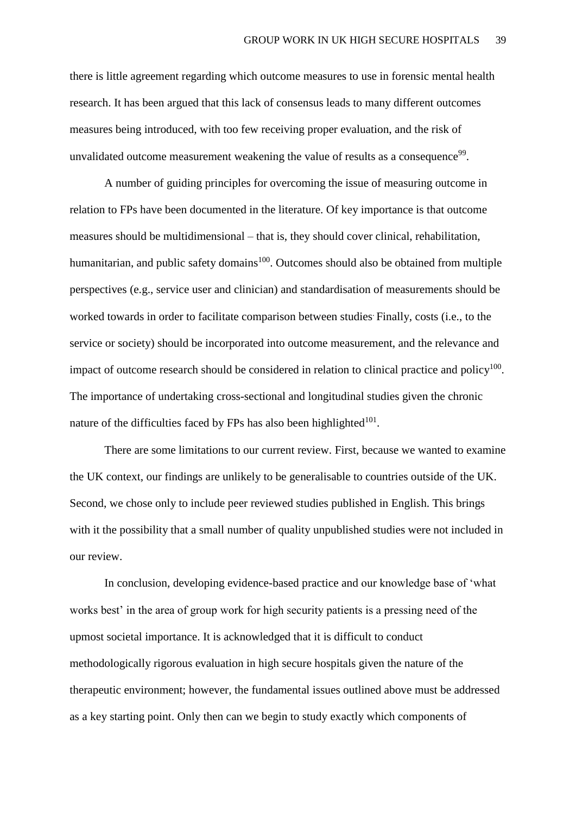there is little agreement regarding which outcome measures to use in forensic mental health research. It has been argued that this lack of consensus leads to many different outcomes measures being introduced, with too few receiving proper evaluation, and the risk of unvalidated outcome measurement weakening the value of results as a consequence<sup>99</sup>.

A number of guiding principles for overcoming the issue of measuring outcome in relation to FPs have been documented in the literature. Of key importance is that outcome measures should be multidimensional – that is, they should cover clinical, rehabilitation, humanitarian, and public safety domains<sup>100</sup>. Outcomes should also be obtained from multiple perspectives (e.g., service user and clinician) and standardisation of measurements should be worked towards in order to facilitate comparison between studies. Finally, costs (i.e., to the service or society) should be incorporated into outcome measurement, and the relevance and impact of outcome research should be considered in relation to clinical practice and policy $100$ . The importance of undertaking cross-sectional and longitudinal studies given the chronic nature of the difficulties faced by FPs has also been highlighted $101$ .

There are some limitations to our current review. First, because we wanted to examine the UK context, our findings are unlikely to be generalisable to countries outside of the UK. Second, we chose only to include peer reviewed studies published in English. This brings with it the possibility that a small number of quality unpublished studies were not included in our review.

In conclusion, developing evidence-based practice and our knowledge base of 'what works best' in the area of group work for high security patients is a pressing need of the upmost societal importance. It is acknowledged that it is difficult to conduct methodologically rigorous evaluation in high secure hospitals given the nature of the therapeutic environment; however, the fundamental issues outlined above must be addressed as a key starting point. Only then can we begin to study exactly which components of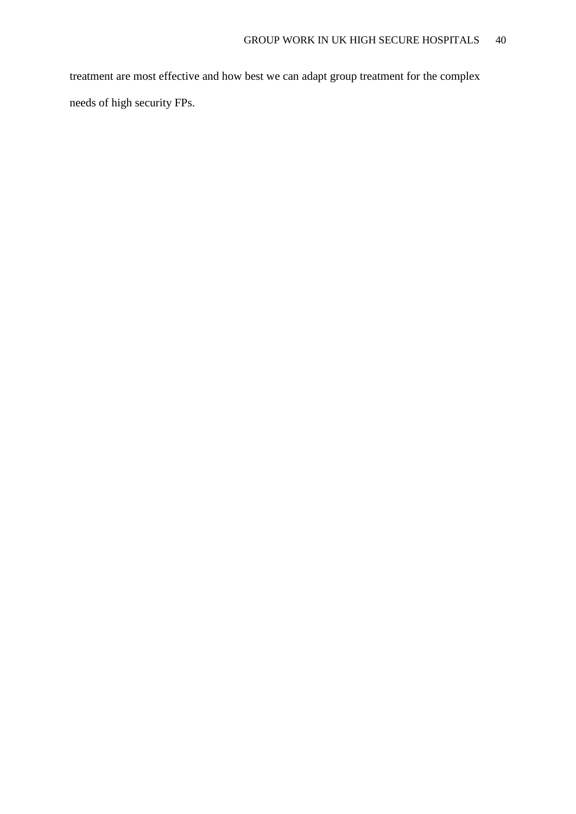treatment are most effective and how best we can adapt group treatment for the complex needs of high security FPs.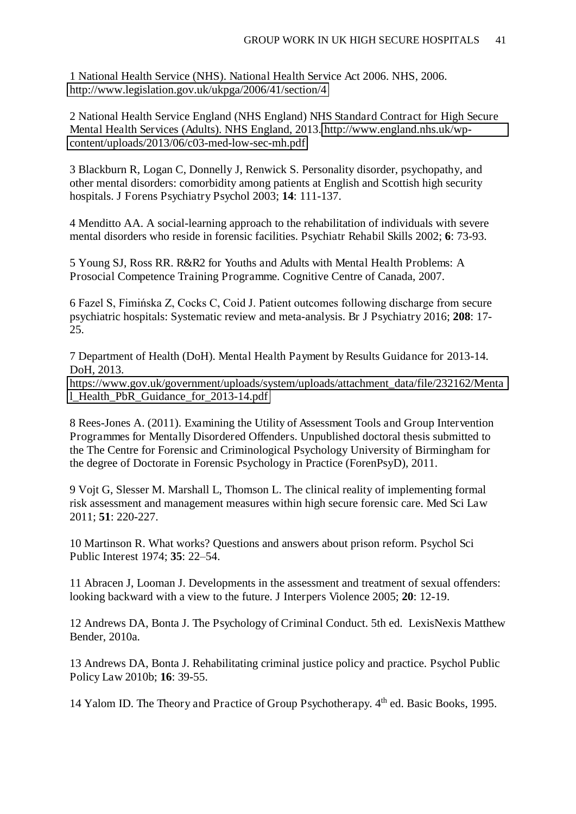1 National Health Service (NHS). National Health Service Act 2006. NHS, 2006. <http://www.legislation.gov.uk/ukpga/2006/41/section/4>

2 National Health Service England (NHS England) NHS Standard Contract for High Secure Mental Health Services (Adults). NHS England, 2013. [http://www.england.nhs.uk/wp](http://www.england.nhs.uk/wp-content/uploads/2013/06/c03-med-low-sec-mh.pdf)[content/uploads/2013/06/c03-med-low-sec-mh.pdf](http://www.england.nhs.uk/wp-content/uploads/2013/06/c03-med-low-sec-mh.pdf) 

3 Blackburn R, Logan C, Donnelly J, Renwick S. Personality disorder, psychopathy, and other mental disorders: comorbidity among patients at English and Scottish high security hospitals. J Forens Psychiatry Psychol 2003; **14**: 111-137.

4 Menditto AA. A social-learning approach to the rehabilitation of individuals with severe mental disorders who reside in forensic facilities. Psychiatr Rehabil Skills 2002; **6**: 73-93.

5 Young SJ, Ross RR. R&R2 for Youths and Adults with Mental Health Problems: A Prosocial Competence Training Programme. Cognitive Centre of Canada, 2007.

6 Fazel S, Fimińska Z, Cocks C, Coid J. Patient outcomes following discharge from secure psychiatric hospitals: Systematic review and meta-analysis. Br J Psychiatry 2016; **208**: 17- 25.

7 Department of Health (DoH). Mental Health Payment by Results Guidance for 2013-14. DoH, 2013.

[https://www.gov.uk/government/uploads/system/uploads/attachment\\_data/file/232162/Menta](https://www.gov.uk/government/uploads/system/uploads/attachment_data/file/232162/Mental_Health_PbR_Guidance_for_2013-14.pdf) [l\\_Health\\_PbR\\_Guidance\\_for\\_2013-14.pdf](https://www.gov.uk/government/uploads/system/uploads/attachment_data/file/232162/Mental_Health_PbR_Guidance_for_2013-14.pdf) 

8 Rees-Jones A. (2011). Examining the Utility of Assessment Tools and Group Intervention Programmes for Mentally Disordered Offenders. Unpublished doctoral thesis submitted to the The Centre for Forensic and Criminological Psychology University of Birmingham for the degree of Doctorate in Forensic Psychology in Practice (ForenPsyD), 2011.

9 Vojt G, Slesser M. Marshall L, Thomson L. The clinical reality of implementing formal risk assessment and management measures within high secure forensic care. Med Sci Law 2011; **51**: 220-227.

10 Martinson R. What works? Questions and answers about prison reform. Psychol Sci Public Interest 1974; **35**: 22–54.

11 Abracen J, Looman J. Developments in the assessment and treatment of sexual offenders: looking backward with a view to the future. J Interpers Violence 2005; **20**: 12-19.

12 Andrews DA, Bonta J. The Psychology of Criminal Conduct. 5th ed. LexisNexis Matthew Bender, 2010a.

13 Andrews DA, Bonta J. Rehabilitating criminal justice policy and practice. Psychol Public Policy Law 2010b; **16**: 39-55.

14 Yalom ID. The Theory and Practice of Group Psychotherapy. 4<sup>th</sup> ed. Basic Books, 1995.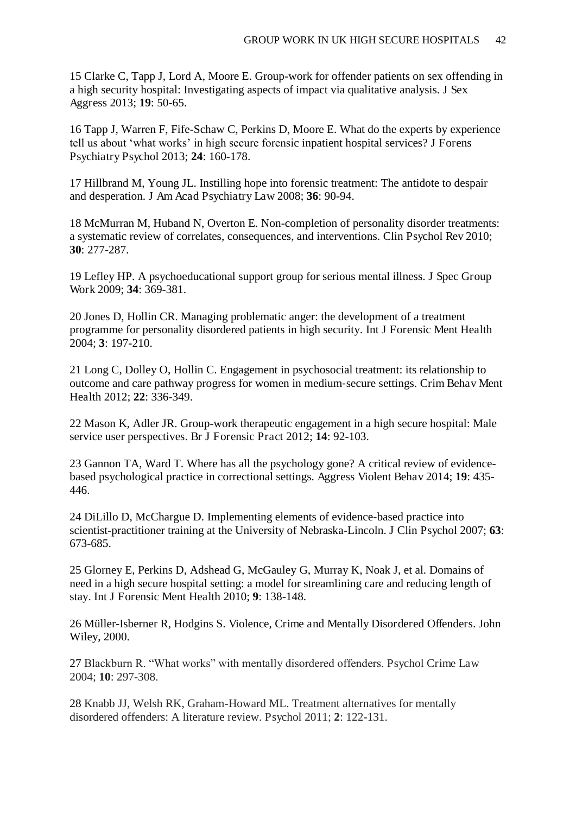15 Clarke C, Tapp J, Lord A, Moore E. Group-work for offender patients on sex offending in a high security hospital: Investigating aspects of impact via qualitative analysis. J Sex Aggress 2013; **19**: 50-65.

16 Tapp J, Warren F, Fife-Schaw C, Perkins D, Moore E. What do the experts by experience tell us about 'what works' in high secure forensic inpatient hospital services? J Forens Psychiatry Psychol 2013; **24**: 160-178.

17 Hillbrand M, Young JL. Instilling hope into forensic treatment: The antidote to despair and desperation. J Am Acad Psychiatry Law 2008; **36**: 90-94.

18 McMurran M, Huband N, Overton E. Non-completion of personality disorder treatments: a systematic review of correlates, consequences, and interventions. Clin Psychol Rev 2010; **30**: 277-287.

19 Lefley HP. A psychoeducational support group for serious mental illness. J Spec Group Work 2009; **34**: 369-381.

20 Jones D, Hollin CR. Managing problematic anger: the development of a treatment programme for personality disordered patients in high security. Int J Forensic Ment Health 2004; **3**: 197-210.

21 Long C, Dolley O, Hollin C. Engagement in psychosocial treatment: its relationship to outcome and care pathway progress for women in medium-secure settings. Crim Behav Ment Health 2012; **22**: 336-349.

22 Mason K, Adler JR. Group-work therapeutic engagement in a high secure hospital: Male service user perspectives. Br J Forensic Pract 2012; **14**: 92-103.

23 Gannon TA, Ward T. Where has all the psychology gone? A critical review of evidencebased psychological practice in correctional settings. Aggress Violent Behav 2014; **19**: 435- 446.

24 DiLillo D, McChargue D. Implementing elements of evidence-based practice into scientist-practitioner training at the University of Nebraska-Lincoln. J Clin Psychol 2007; **63**: 673-685.

25 Glorney E, Perkins D, Adshead G, McGauley G, Murray K, Noak J, et al. Domains of need in a high secure hospital setting: a model for streamlining care and reducing length of stay. Int J Forensic Ment Health 2010; **9**: 138-148.

26 Müller-Isberner R, Hodgins S. Violence, Crime and Mentally Disordered Offenders. John Wiley, 2000.

27 Blackburn R. "What works" with mentally disordered offenders. Psychol Crime Law 2004; **10**: 297-308.

28 Knabb JJ, Welsh RK, Graham-Howard ML. Treatment alternatives for mentally disordered offenders: A literature review. Psychol 2011; **2**: 122-131.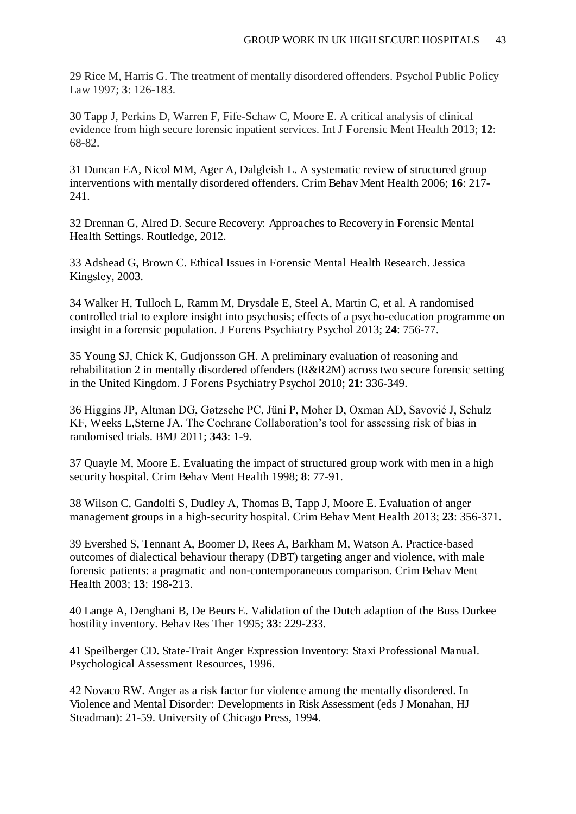29 Rice M, Harris G. The treatment of mentally disordered offenders. Psychol Public Policy Law 1997; **3**: 126-183.

30 Tapp J, Perkins D, Warren F, Fife-Schaw C, Moore E. A critical analysis of clinical evidence from high secure forensic inpatient services. Int J Forensic Ment Health 2013; **12**: 68-82.

31 Duncan EA, Nicol MM, Ager A, Dalgleish L. A systematic review of structured group interventions with mentally disordered offenders. Crim Behav Ment Health 2006; **16**: 217- 241.

32 Drennan G, Alred D. Secure Recovery: Approaches to Recovery in Forensic Mental Health Settings. Routledge, 2012.

33 Adshead G, Brown C. Ethical Issues in Forensic Mental Health Research. Jessica Kingsley, 2003.

34 Walker H, Tulloch L, Ramm M, Drysdale E, Steel A, Martin C, et al. A randomised controlled trial to explore insight into psychosis; effects of a psycho-education programme on insight in a forensic population. J Forens Psychiatry Psychol 2013; **24**: 756-77.

35 Young SJ, Chick K, Gudjonsson GH. A preliminary evaluation of reasoning and rehabilitation 2 in mentally disordered offenders (R&R2M) across two secure forensic setting in the United Kingdom. J Forens Psychiatry Psychol 2010; **21**: 336-349.

36 Higgins JP, Altman DG, Gøtzsche PC, Jüni P, Moher D, Oxman AD, Savović J, Schulz KF, Weeks L,Sterne JA. The Cochrane Collaboration's tool for assessing risk of bias in randomised trials. BMJ 2011; **343**: 1-9.

37 Quayle M, Moore E. Evaluating the impact of structured group work with men in a high security hospital. Crim Behav Ment Health 1998; **8**: 77-91.

38 Wilson C, Gandolfi S, Dudley A, Thomas B, Tapp J, Moore E. Evaluation of anger management groups in a high-security hospital. Crim Behav Ment Health 2013; 23: 356-371.

39 Evershed S, Tennant A, Boomer D, Rees A, Barkham M, Watson A. Practice-based outcomes of dialectical behaviour therapy (DBT) targeting anger and violence, with male forensic patients: a pragmatic and non-contemporaneous comparison. Crim Behav Ment Health 2003; **13**: 198-213.

40 Lange A, Denghani B, De Beurs E. Validation of the Dutch adaption of the Buss Durkee hostility inventory. Behav Res Ther 1995; **33**: 229-233.

41 Speilberger CD. State-Trait Anger Expression Inventory: Staxi Professional Manual. Psychological Assessment Resources, 1996.

42 Novaco RW. Anger as a risk factor for violence among the mentally disordered. In Violence and Mental Disorder: Developments in Risk Assessment (eds J Monahan, HJ Steadman): 21-59. University of Chicago Press, 1994.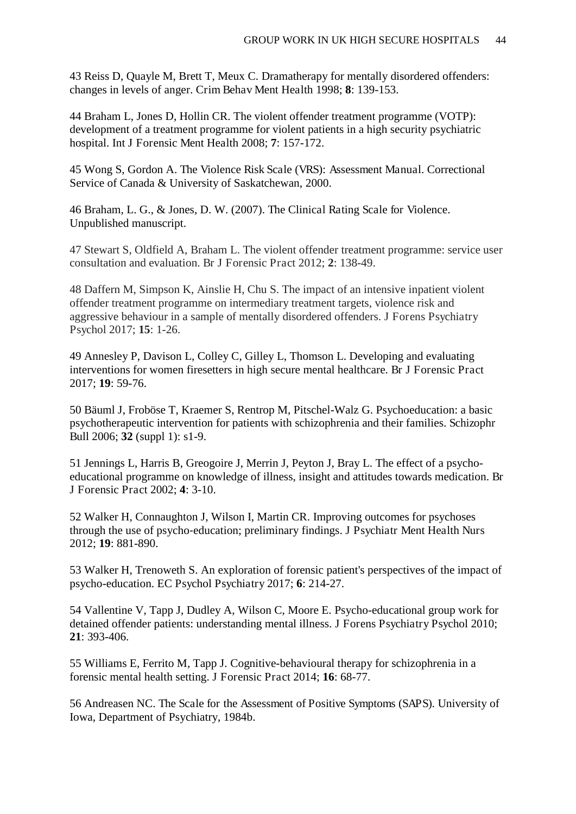43 Reiss D, Quayle M, Brett T, Meux C. Dramatherapy for mentally disordered offenders: changes in levels of anger. Crim Behav Ment Health 1998; **8**: 139-153.

44 Braham L, Jones D, Hollin CR. The violent offender treatment programme (VOTP): development of a treatment programme for violent patients in a high security psychiatric hospital. Int J Forensic Ment Health 2008; **7**: 157-172.

45 Wong S, Gordon A. The Violence Risk Scale (VRS): Assessment Manual. Correctional Service of Canada & University of Saskatchewan, 2000.

46 Braham, L. G., & Jones, D. W. (2007). The Clinical Rating Scale for Violence. Unpublished manuscript.

47 Stewart S, Oldfield A, Braham L. The violent offender treatment programme: service user consultation and evaluation. Br J Forensic Pract 2012; **2**: 138-49.

48 Daffern M, Simpson K, Ainslie H, Chu S. The impact of an intensive inpatient violent offender treatment programme on intermediary treatment targets, violence risk and aggressive behaviour in a sample of mentally disordered offenders. J Forens Psychiatry Psychol 2017; **15**: 1-26.

49 Annesley P, Davison L, Colley C, Gilley L, Thomson L. Developing and evaluating interventions for women firesetters in high secure mental healthcare. Br J Forensic Pract 2017; **19**: 59-76.

50 Bäuml J, Froböse T, Kraemer S, Rentrop M, Pitschel-Walz G. Psychoeducation: a basic psychotherapeutic intervention for patients with schizophrenia and their families. Schizophr Bull 2006; **32** (suppl 1): s1-9.

51 Jennings L, Harris B, Greogoire J, Merrin J, Peyton J, Bray L. The effect of a psychoeducational programme on knowledge of illness, insight and attitudes towards medication. Br J Forensic Pract 2002; **4**: 3-10.

52 Walker H, Connaughton J, Wilson I, Martin CR. Improving outcomes for psychoses through the use of psycho-education; preliminary findings. J Psychiatr Ment Health Nurs 2012; **19**: 881-890.

53 Walker H, Trenoweth S. An exploration of forensic patient's perspectives of the impact of psycho-education. EC Psychol Psychiatry 2017; **6**: 214-27.

54 Vallentine V, Tapp J, Dudley A, Wilson C, Moore E. Psycho-educational group work for detained offender patients: understanding mental illness. J Forens Psychiatry Psychol 2010; **21**: 393-406.

55 Williams E, Ferrito M, Tapp J. Cognitive-behavioural therapy for schizophrenia in a forensic mental health setting. J Forensic Pract 2014; **16**: 68-77.

56 Andreasen NC. The Scale for the Assessment of Positive Symptoms (SAPS). University of Iowa, Department of Psychiatry, 1984b.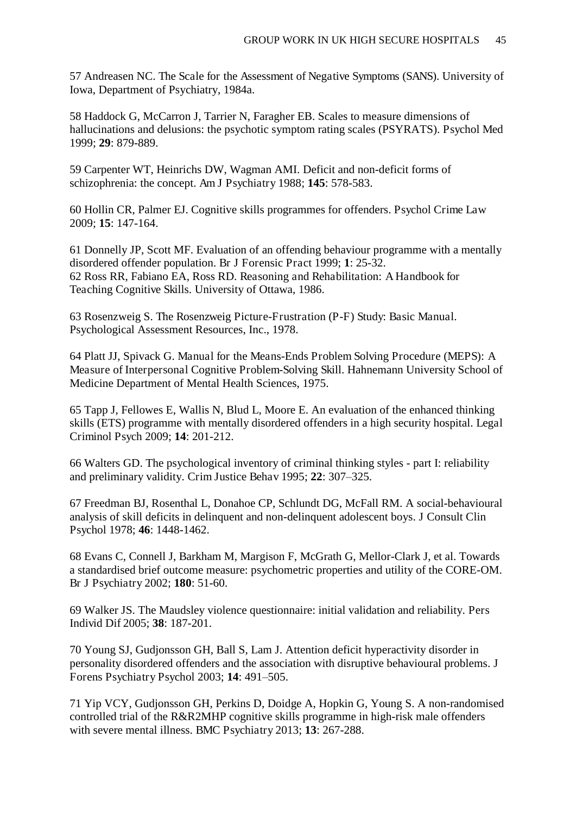57 Andreasen NC. The Scale for the Assessment of Negative Symptoms (SANS). University of Iowa, Department of Psychiatry, 1984a.

58 Haddock G, McCarron J, Tarrier N, Faragher EB. Scales to measure dimensions of hallucinations and delusions: the psychotic symptom rating scales (PSYRATS). Psychol Med 1999; **29**: 879-889.

59 Carpenter WT, Heinrichs DW, Wagman AMI. Deficit and non-deficit forms of schizophrenia: the concept. Am J Psychiatry 1988; **145**: 578-583.

60 Hollin CR, Palmer EJ. Cognitive skills programmes for offenders. Psychol Crime Law 2009; **15**: 147-164.

61 Donnelly JP, Scott MF. Evaluation of an offending behaviour programme with a mentally disordered offender population. Br J Forensic Pract 1999; **1**: 25-32. 62 Ross RR, Fabiano EA, Ross RD. Reasoning and Rehabilitation: A Handbook for Teaching Cognitive Skills. University of Ottawa, 1986.

63 Rosenzweig S. The Rosenzweig Picture-Frustration (P-F) Study: Basic Manual. Psychological Assessment Resources, Inc., 1978.

64 Platt JJ, Spivack G. Manual for the Means-Ends Problem Solving Procedure (MEPS): A Measure of Interpersonal Cognitive Problem-Solving Skill. Hahnemann University School of Medicine Department of Mental Health Sciences, 1975.

65 Tapp J, Fellowes E, Wallis N, Blud L, Moore E. An evaluation of the enhanced thinking skills (ETS) programme with mentally disordered offenders in a high security hospital. Legal Criminol Psych 2009; **14**: 201-212.

66 Walters GD. The psychological inventory of criminal thinking styles - part I: reliability and preliminary validity. Crim Justice Behav 1995; **22**: 307–325.

67 Freedman BJ, Rosenthal L, Donahoe CP, Schlundt DG, McFall RM. A social-behavioural analysis of skill deficits in delinquent and non-delinquent adolescent boys. J Consult Clin Psychol 1978; **46**: 1448-1462.

68 Evans C, Connell J, Barkham M, Margison F, McGrath G, Mellor-Clark J, et al. Towards a standardised brief outcome measure: psychometric properties and utility of the CORE-OM. Br J Psychiatry 2002; **180**: 51-60.

69 Walker JS. The Maudsley violence questionnaire: initial validation and reliability. Pers Individ Dif 2005; **38**: 187-201.

70 Young SJ, Gudjonsson GH, Ball S, Lam J. Attention deficit hyperactivity disorder in personality disordered offenders and the association with disruptive behavioural problems. J Forens Psychiatry Psychol 2003; **14**: 491–505.

71 Yip VCY, Gudjonsson GH, Perkins D, Doidge A, Hopkin G, Young S. A non-randomised controlled trial of the R&R2MHP cognitive skills programme in high-risk male offenders with severe mental illness. BMC Psychiatry 2013; **13**: 267-288.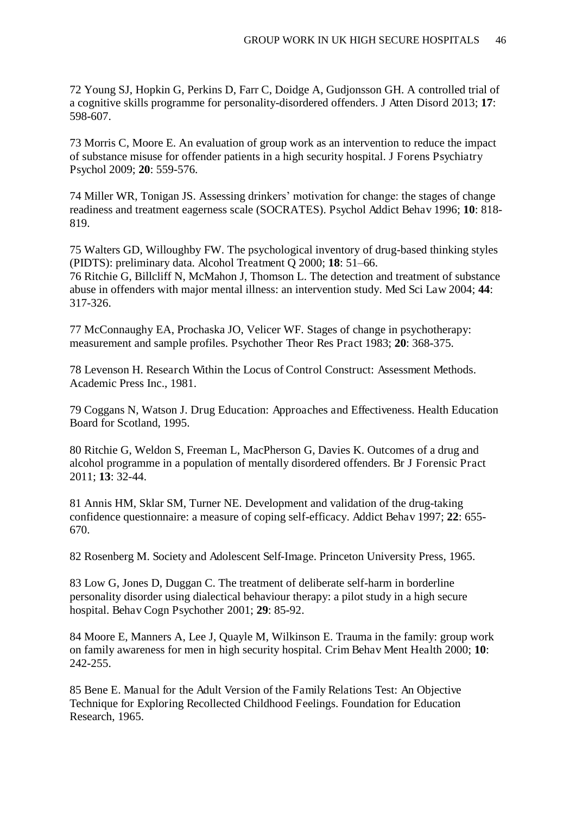72 Young SJ, Hopkin G, Perkins D, Farr C, Doidge A, Gudjonsson GH. A controlled trial of a cognitive skills programme for personality-disordered offenders. J Atten Disord 2013; **17**: 598-607.

73 Morris C, Moore E. An evaluation of group work as an intervention to reduce the impact of substance misuse for offender patients in a high security hospital. J Forens Psychiatry Psychol 2009; **20**: 559-576.

74 Miller WR, Tonigan JS. Assessing drinkers' motivation for change: the stages of change readiness and treatment eagerness scale (SOCRATES). Psychol Addict Behav 1996; **10**: 818- 819.

75 Walters GD, Willoughby FW. The psychological inventory of drug-based thinking styles (PIDTS): preliminary data. Alcohol Treatment Q 2000; **18**: 51–66.

76 Ritchie G, Billcliff N, McMahon J, Thomson L. The detection and treatment of substance abuse in offenders with major mental illness: an intervention study. Med Sci Law 2004; **44**: 317-326.

77 McConnaughy EA, Prochaska JO, Velicer WF. Stages of change in psychotherapy: measurement and sample profiles. Psychother Theor Res Pract 1983; **20**: 368-375.

78 Levenson H. Research Within the Locus of Control Construct: Assessment Methods. Academic Press Inc., 1981.

79 Coggans N, Watson J. Drug Education: Approaches and Effectiveness. Health Education Board for Scotland, 1995.

80 Ritchie G, Weldon S, Freeman L, MacPherson G, Davies K. Outcomes of a drug and alcohol programme in a population of mentally disordered offenders. Br J Forensic Pract 2011; **13**: 32-44.

81 Annis HM, Sklar SM, Turner NE. Development and validation of the drug-taking confidence questionnaire: a measure of coping self-efficacy. Addict Behav 1997; **22**: 655- 670.

82 Rosenberg M. Society and Adolescent Self-Image. Princeton University Press, 1965.

83 Low G, Jones D, Duggan C. The treatment of deliberate self-harm in borderline personality disorder using dialectical behaviour therapy: a pilot study in a high secure hospital. Behav Cogn Psychother 2001; **29**: 85-92.

84 Moore E, Manners A, Lee J, Quayle M, Wilkinson E. Trauma in the family: group work on family awareness for men in high security hospital. Crim Behav Ment Health 2000; **10**: 242-255.

85 Bene E. Manual for the Adult Version of the Family Relations Test: An Objective Technique for Exploring Recollected Childhood Feelings. Foundation for Education Research, 1965.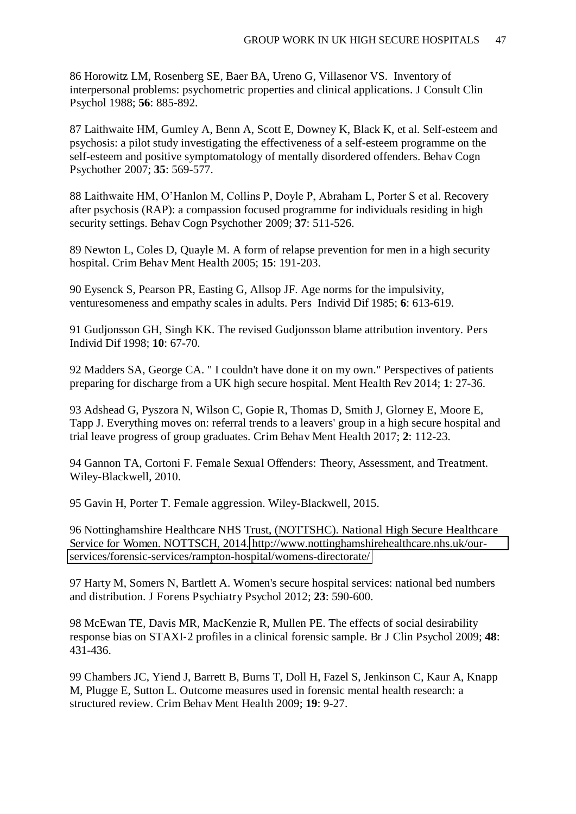86 Horowitz LM, Rosenberg SE, Baer BA, Ureno G, Villasenor VS. Inventory of interpersonal problems: psychometric properties and clinical applications. J Consult Clin Psychol 1988; **56**: 885-892.

87 Laithwaite HM, Gumley A, Benn A, Scott E, Downey K, Black K, et al. Self-esteem and psychosis: a pilot study investigating the effectiveness of a self-esteem programme on the self-esteem and positive symptomatology of mentally disordered offenders. Behav Cogn Psychother 2007; **35**: 569-577.

88 Laithwaite HM, O'Hanlon M, Collins P, Doyle P, Abraham L, Porter S et al. Recovery after psychosis (RAP): a compassion focused programme for individuals residing in high security settings. Behav Cogn Psychother 2009; **37**: 511-526.

89 Newton L, Coles D, Quayle M. A form of relapse prevention for men in a high security hospital. Crim Behav Ment Health 2005; **15**: 191-203.

90 Eysenck S, Pearson PR, Easting G, Allsop JF. Age norms for the impulsivity, venturesomeness and empathy scales in adults. Pers Individ Dif 1985; **6**: 613-619.

91 Gudjonsson GH, Singh KK. The revised Gudjonsson blame attribution inventory. Pers Individ Dif 1998; **10**: 67-70.

92 Madders SA, George CA. " I couldn't have done it on my own." Perspectives of patients preparing for discharge from a UK high secure hospital. Ment Health Rev 2014; **1**: 27-36.

93 Adshead G, Pyszora N, Wilson C, Gopie R, Thomas D, Smith J, Glorney E, Moore E, Tapp J. Everything moves on: referral trends to a leavers' group in a high secure hospital and trial leave progress of group graduates. Crim Behav Ment Health 2017; **2**: 112-23.

94 Gannon TA, Cortoni F. Female Sexual Offenders: Theory, Assessment, and Treatment. Wiley-Blackwell, 2010.

95 Gavin H, Porter T. Female aggression. Wiley-Blackwell, 2015.

96 Nottinghamshire Healthcare NHS Trust, (NOTTSHC). National High Secure Healthcare Service for Women. NOTTSCH, 2014. [http://www.nottinghamshirehealthcare.nhs.uk/our](http://www.nottinghamshirehealthcare.nhs.uk/our-services/forensic-services/rampton-hospital/womens-directorate/)[services/forensic-services/rampton-hospital/womens-directorate/](http://www.nottinghamshirehealthcare.nhs.uk/our-services/forensic-services/rampton-hospital/womens-directorate/) 

97 Harty M, Somers N, Bartlett A. Women's secure hospital services: national bed numbers and distribution. J Forens Psychiatry Psychol 2012; **23**: 590-600.

98 McEwan TE, Davis MR, MacKenzie R, Mullen PE. The effects of social desirability response bias on STAXI-2 profiles in a clinical forensic sample. Br J Clin Psychol 2009; **48**: 431-436.

99 Chambers JC, Yiend J, Barrett B, Burns T, Doll H, Fazel S, Jenkinson C, Kaur A, Knapp M, Plugge E, Sutton L. Outcome measures used in forensic mental health research: a structured review. Crim Behav Ment Health 2009; **19**: 9-27.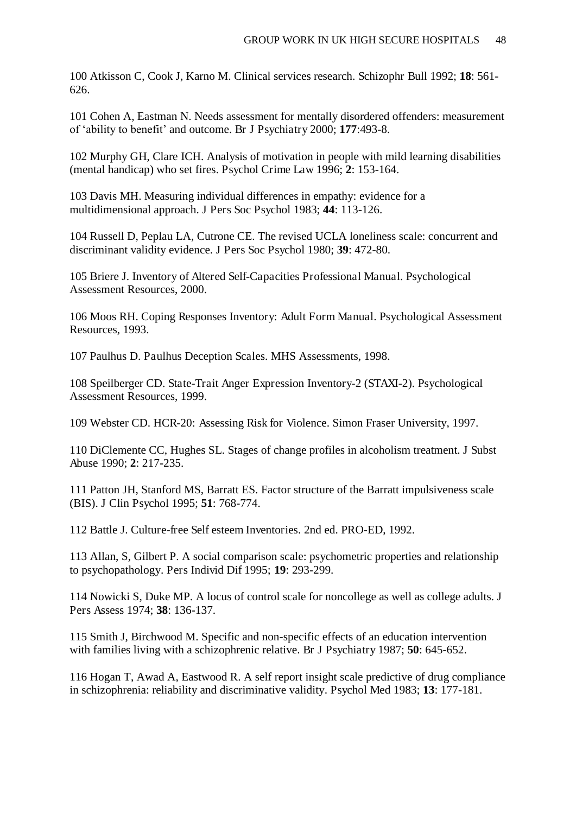100 Atkisson C, Cook J, Karno M. Clinical services research. Schizophr Bull 1992; **18**: 561- 626.

101 Cohen A, Eastman N. Needs assessment for mentally disordered offenders: measurement of 'ability to benefit' and outcome. Br J Psychiatry 2000; **177**:493-8.

102 Murphy GH, Clare ICH. Analysis of motivation in people with mild learning disabilities (mental handicap) who set fires. Psychol Crime Law 1996; **2**: 153-164.

103 Davis MH. Measuring individual differences in empathy: evidence for a multidimensional approach. J Pers Soc Psychol 1983; **44**: 113-126.

104 Russell D, Peplau LA, Cutrone CE. The revised UCLA loneliness scale: concurrent and discriminant validity evidence. J Pers Soc Psychol 1980; **39**: 472-80.

105 Briere J. Inventory of Altered Self-Capacities Professional Manual. Psychological Assessment Resources, 2000.

106 Moos RH. Coping Responses Inventory: Adult Form Manual. Psychological Assessment Resources, 1993.

107 Paulhus D. Paulhus Deception Scales. MHS Assessments, 1998.

108 Speilberger CD. State-Trait Anger Expression Inventory-2 (STAXI-2). Psychological Assessment Resources, 1999.

109 Webster CD. HCR-20: Assessing Risk for Violence. Simon Fraser University, 1997.

110 DiClemente CC, Hughes SL. Stages of change profiles in alcoholism treatment. J Subst Abuse 1990; **2**: 217-235.

111 Patton JH, Stanford MS, Barratt ES. Factor structure of the Barratt impulsiveness scale (BIS). J Clin Psychol 1995; **51**: 768-774.

112 Battle J. Culture-free Self esteem Inventories. 2nd ed. PRO-ED, 1992.

113 Allan, S, Gilbert P. A social comparison scale: psychometric properties and relationship to psychopathology. Pers Individ Dif 1995; **19**: 293-299.

114 Nowicki S, Duke MP. A locus of control scale for noncollege as well as college adults. J Pers Assess 1974; **38**: 136-137.

115 Smith J, Birchwood M. Specific and non-specific effects of an education intervention with families living with a schizophrenic relative. Br J Psychiatry 1987; **50**: 645-652.

116 Hogan T, Awad A, Eastwood R. A self report insight scale predictive of drug compliance in schizophrenia: reliability and discriminative validity. Psychol Med 1983; **13**: 177-181.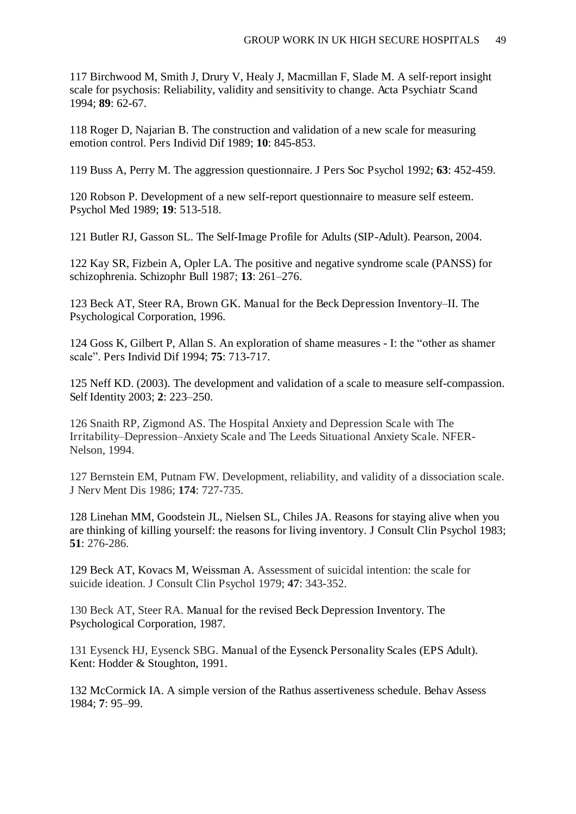117 Birchwood M, Smith J, Drury V, Healy J, Macmillan F, Slade M. A self-report insight scale for psychosis: Reliability, validity and sensitivity to change. Acta Psychiatr Scand 1994; **89**: 62-67.

118 Roger D, Najarian B. The construction and validation of a new scale for measuring emotion control. Pers Individ Dif 1989; **10**: 845-853.

119 Buss A, Perry M. The aggression questionnaire. J Pers Soc Psychol 1992; **63**: 452-459.

120 Robson P. Development of a new self-report questionnaire to measure self esteem. Psychol Med 1989; **19**: 513-518.

121 Butler RJ, Gasson SL. The Self-Image Profile for Adults (SIP-Adult). Pearson, 2004.

122 Kay SR, Fizbein A, Opler LA. The positive and negative syndrome scale (PANSS) for schizophrenia. Schizophr Bull 1987; **13**: 261–276.

123 Beck AT, Steer RA, Brown GK. Manual for the Beck Depression Inventory*–*II. The Psychological Corporation, 1996.

124 Goss K, Gilbert P, Allan S. An exploration of shame measures - I: the "other as shamer scale". Pers Individ Dif 1994; **75**: 713-717.

125 Neff KD. (2003). The development and validation of a scale to measure self-compassion. Self Identity 2003; **2**: 223–250.

126 Snaith RP, Zigmond AS. The Hospital Anxiety and Depression Scale with The Irritability*–*Depression*–*Anxiety Scale and The Leeds Situational Anxiety Scale. NFER-Nelson, 1994.

127 Bernstein EM, Putnam FW. Development, reliability, and validity of a dissociation scale. J Nerv Ment Dis 1986; **174**: 727-735.

128 Linehan MM, Goodstein JL, Nielsen SL, Chiles JA. Reasons for staying alive when you are thinking of killing yourself: the reasons for living inventory. J Consult Clin Psychol 1983; **51**: 276-286.

129 Beck AT, Kovacs M, Weissman A. Assessment of suicidal intention: the scale for suicide ideation. J Consult Clin Psychol 1979; **47**: 343-352.

130 Beck AT, Steer RA. Manual for the revised Beck Depression Inventory. The Psychological Corporation, 1987.

131 Eysenck HJ, Eysenck SBG. Manual of the Eysenck Personality Scales (EPS Adult). Kent: Hodder & Stoughton, 1991.

132 McCormick IA. A simple version of the Rathus assertiveness schedule. Behav Assess 1984; **7**: 95–99.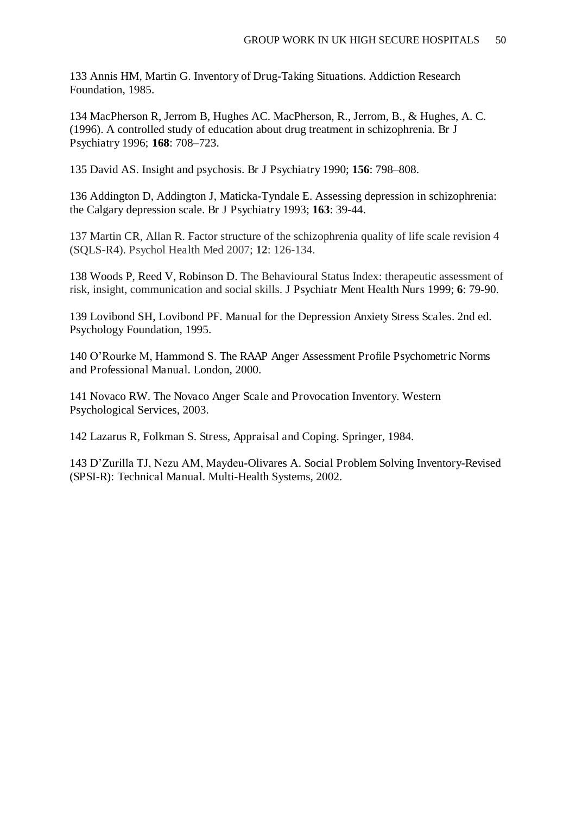133 Annis HM, Martin G. Inventory of Drug-Taking Situations. Addiction Research Foundation, 1985.

134 MacPherson R, Jerrom B, Hughes AC. MacPherson, R., Jerrom, B., & Hughes, A. C. (1996). A controlled study of education about drug treatment in schizophrenia. Br J Psychiatry 1996; **168**: 708–723.

135 David AS. Insight and psychosis. Br J Psychiatry 1990; **156**: 798–808.

136 Addington D, Addington J, Maticka-Tyndale E. Assessing depression in schizophrenia: the Calgary depression scale. Br J Psychiatry 1993; **163**: 39-44.

137 Martin CR, Allan R. Factor structure of the schizophrenia quality of life scale revision 4 (SQLS-R4). Psychol Health Med 2007; **12**: 126-134.

138 Woods P, Reed V, Robinson D. The Behavioural Status Index: therapeutic assessment of risk, insight, communication and social skills. J Psychiatr Ment Health Nurs 1999; **6**: 79-90.

139 Lovibond SH, Lovibond PF. Manual for the Depression Anxiety Stress Scales. 2nd ed. Psychology Foundation, 1995.

140 O'Rourke M, Hammond S. The RAAP Anger Assessment Profile Psychometric Norms and Professional Manual. London, 2000.

141 Novaco RW. The Novaco Anger Scale and Provocation Inventory. Western Psychological Services, 2003.

142 Lazarus R, Folkman S. Stress, Appraisal and Coping. Springer, 1984.

143 D'Zurilla TJ, Nezu AM, Maydeu-Olivares A. Social Problem Solving Inventory-Revised (SPSI-R): Technical Manual. Multi-Health Systems, 2002.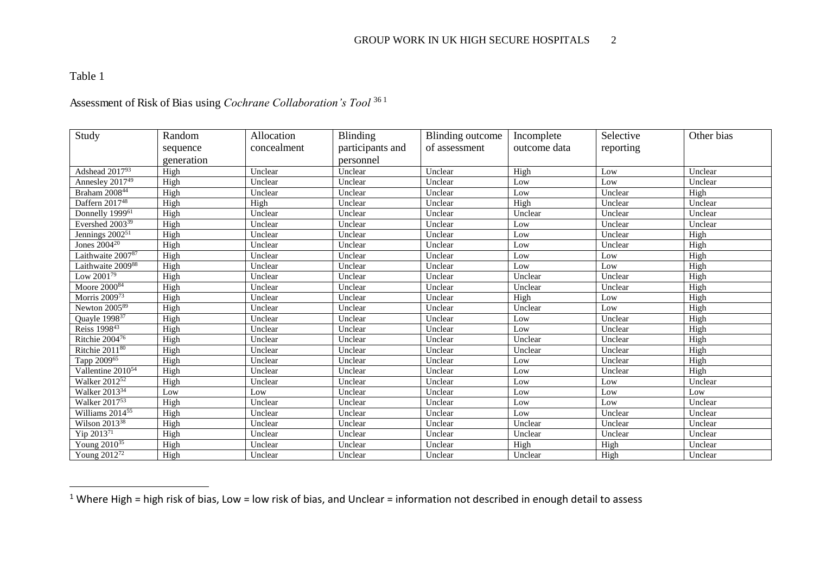# Table 1

 $\overline{a}$ 

# Assessment of Risk of Bias using *Cochrane Collaboration's Tool* <sup>36</sup> <sup>1</sup>

| Study                           | Random     | Allocation  | <b>Blinding</b>  | Blinding outcome | Incomplete   | Selective | Other bias |
|---------------------------------|------------|-------------|------------------|------------------|--------------|-----------|------------|
|                                 | sequence   | concealment | participants and | of assessment    | outcome data | reporting |            |
|                                 | generation |             | personnel        |                  |              |           |            |
| Adshead 201793                  | High       | Unclear     | Unclear          | Unclear          | High         | Low       | Unclear    |
| Annesley $201\overline{7^{49}}$ | High       | Unclear     | Unclear          | Unclear          | Low          | Low       | Unclear    |
| Braham 200844                   | High       | Unclear     | Unclear          | Unclear          | Low          | Unclear   | High       |
| Daffern 201748                  | High       | High        | Unclear          | Unclear          | High         | Unclear   | Unclear    |
| Donnelly 1999 <sup>61</sup>     | High       | Unclear     | Unclear          | Unclear          | Unclear      | Unclear   | Unclear    |
| Evershed 2003 <sup>39</sup>     | High       | Unclear     | Unclear          | Unclear          | Low          | Unclear   | Unclear    |
| Jennings $2002^{51}$            | High       | Unclear     | Unclear          | Unclear          | Low          | Unclear   | High       |
| Jones 2004 <sup>20</sup>        | High       | Unclear     | Unclear          | Unclear          | Low          | Unclear   | High       |
| Laithwaite 200787               | High       | Unclear     | Unclear          | Unclear          | Low          | Low       | High       |
| Laithwaite 200988               | High       | Unclear     | Unclear          | Unclear          | Low          | Low       | High       |
| Low 200179                      | High       | Unclear     | Unclear          | Unclear          | Unclear      | Unclear   | High       |
| Moore $2000^{84}$               | High       | Unclear     | Unclear          | Unclear          | Unclear      | Unclear   | High       |
| Morris $2009^{73}$              | High       | Unclear     | Unclear          | Unclear          | High         | Low       | High       |
| Newton 2005 <sup>89</sup>       | High       | Unclear     | Unclear          | Unclear          | Unclear      | Low       | High       |
| Quayle 1998 <sup>37</sup>       | High       | Unclear     | Unclear          | Unclear          | Low          | Unclear   | High       |
| Reiss 1998 <sup>43</sup>        | High       | Unclear     | Unclear          | Unclear          | Low          | Unclear   | High       |
| Ritchie 200476                  | High       | Unclear     | Unclear          | Unclear          | Unclear      | Unclear   | High       |
| Ritchie $2011^{80}$             | High       | Unclear     | Unclear          | Unclear          | Unclear      | Unclear   | High       |
| Tapp 2009 <sup>65</sup>         | High       | Unclear     | Unclear          | Unclear          | Low          | Unclear   | High       |
| Vallentine 2010 <sup>54</sup>   | High       | Unclear     | Unclear          | Unclear          | Low          | Unclear   | High       |
| Walker 2012 <sup>52</sup>       | High       | Unclear     | Unclear          | Unclear          | Low          | Low       | Unclear    |
| Walker 2013 <sup>34</sup>       | Low        | Low         | Unclear          | Unclear          | Low          | Low       | Low        |
| Walker 201753                   | High       | Unclear     | Unclear          | Unclear          | Low          | Low       | Unclear    |
| Williams 2014 <sup>55</sup>     | High       | Unclear     | Unclear          | Unclear          | Low          | Unclear   | Unclear    |
| Wilson 2013 <sup>38</sup>       | High       | Unclear     | Unclear          | Unclear          | Unclear      | Unclear   | Unclear    |
| Yip $2013^{71}$                 | High       | Unclear     | Unclear          | Unclear          | Unclear      | Unclear   | Unclear    |
| Young $2010^{35}$               | High       | Unclear     | Unclear          | Unclear          | High         | High      | Unclear    |
| Young 2012 <sup>72</sup>        | High       | Unclear     | Unclear          | Unclear          | Unclear      | High      | Unclear    |

 $1$  Where High = high risk of bias, Low = low risk of bias, and Unclear = information not described in enough detail to assess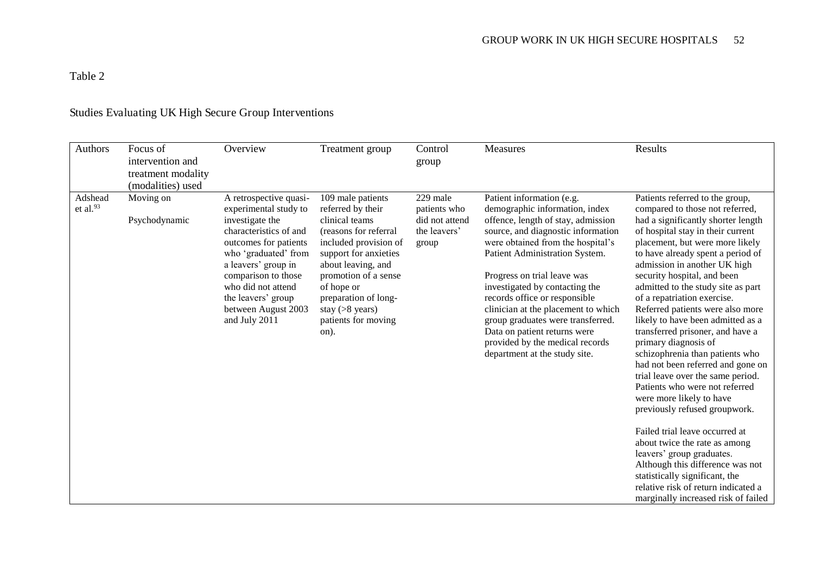Table 2

| Authors                | Focus of<br>intervention and<br>treatment modality<br>(modalities) used | Overview                                                                                                                                                                                                                                                                        | Treatment group                                                                                                                                                                                                                                                                 | Control<br>group                                                    | <b>Measures</b>                                                                                                                                                                                                                                                                                                                                                                                                                                                                                  | Results                                                                                                                                                                                                                                                                                                                                                                                                                                                                                                                                                                                                                                                                                                                                                                                                                                                                                                                                                        |
|------------------------|-------------------------------------------------------------------------|---------------------------------------------------------------------------------------------------------------------------------------------------------------------------------------------------------------------------------------------------------------------------------|---------------------------------------------------------------------------------------------------------------------------------------------------------------------------------------------------------------------------------------------------------------------------------|---------------------------------------------------------------------|--------------------------------------------------------------------------------------------------------------------------------------------------------------------------------------------------------------------------------------------------------------------------------------------------------------------------------------------------------------------------------------------------------------------------------------------------------------------------------------------------|----------------------------------------------------------------------------------------------------------------------------------------------------------------------------------------------------------------------------------------------------------------------------------------------------------------------------------------------------------------------------------------------------------------------------------------------------------------------------------------------------------------------------------------------------------------------------------------------------------------------------------------------------------------------------------------------------------------------------------------------------------------------------------------------------------------------------------------------------------------------------------------------------------------------------------------------------------------|
| Adshead<br>et al. $93$ | Moving on<br>Psychodynamic                                              | A retrospective quasi-<br>experimental study to<br>investigate the<br>characteristics of and<br>outcomes for patients<br>who 'graduated' from<br>a leavers' group in<br>comparison to those<br>who did not attend<br>the leavers' group<br>between August 2003<br>and July 2011 | 109 male patients<br>referred by their<br>clinical teams<br>(reasons for referral<br>included provision of<br>support for anxieties<br>about leaving, and<br>promotion of a sense<br>of hope or<br>preparation of long-<br>stay $($ >8 years $)$<br>patients for moving<br>on). | 229 male<br>patients who<br>did not attend<br>the leavers'<br>group | Patient information (e.g.<br>demographic information, index<br>offence, length of stay, admission<br>source, and diagnostic information<br>were obtained from the hospital's<br>Patient Administration System.<br>Progress on trial leave was<br>investigated by contacting the<br>records office or responsible<br>clinician at the placement to which<br>group graduates were transferred.<br>Data on patient returns were<br>provided by the medical records<br>department at the study site. | Patients referred to the group,<br>compared to those not referred,<br>had a significantly shorter length<br>of hospital stay in their current<br>placement, but were more likely<br>to have already spent a period of<br>admission in another UK high<br>security hospital, and been<br>admitted to the study site as part<br>of a repatriation exercise.<br>Referred patients were also more<br>likely to have been admitted as a<br>transferred prisoner, and have a<br>primary diagnosis of<br>schizophrenia than patients who<br>had not been referred and gone on<br>trial leave over the same period.<br>Patients who were not referred<br>were more likely to have<br>previously refused groupwork.<br>Failed trial leave occurred at<br>about twice the rate as among<br>leavers' group graduates.<br>Although this difference was not<br>statistically significant, the<br>relative risk of return indicated a<br>marginally increased risk of failed |

# Studies Evaluating UK High Secure Group Interventions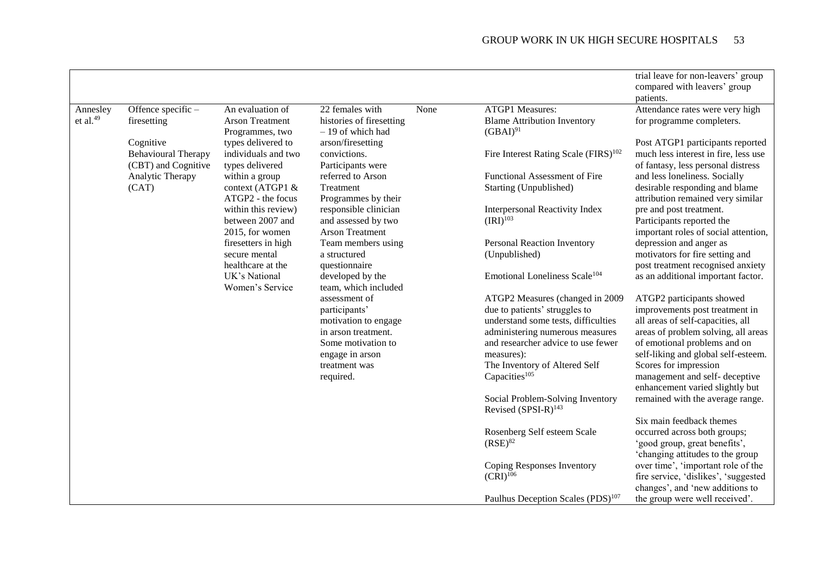|             |                            |                                        |                                               |      |                                                                     | trial leave for non-leavers' group                              |
|-------------|----------------------------|----------------------------------------|-----------------------------------------------|------|---------------------------------------------------------------------|-----------------------------------------------------------------|
|             |                            |                                        |                                               |      |                                                                     | compared with leavers' group                                    |
|             |                            |                                        |                                               |      |                                                                     | patients.                                                       |
| Annesley    | Offence specific -         | An evaluation of                       | 22 females with                               | None | <b>ATGP1</b> Measures:                                              | Attendance rates were very high                                 |
| et al. $49$ | firesetting                | <b>Arson Treatment</b>                 | histories of firesetting                      |      | <b>Blame Attribution Inventory</b>                                  | for programme completers.                                       |
|             |                            | Programmes, two                        | - 19 of which had                             |      | $(GBAI)^{91}$                                                       |                                                                 |
|             | Cognitive                  | types delivered to                     | arson/firesetting                             |      |                                                                     | Post ATGP1 participants reported                                |
|             | <b>Behavioural Therapy</b> | individuals and two                    | convictions.                                  |      | Fire Interest Rating Scale (FIRS) <sup>102</sup>                    | much less interest in fire, less use                            |
|             | (CBT) and Cognitive        | types delivered                        | Participants were                             |      |                                                                     | of fantasy, less personal distress                              |
|             | Analytic Therapy           | within a group                         | referred to Arson                             |      | Functional Assessment of Fire                                       | and less loneliness. Socially                                   |
|             | (CAT)                      | context (ATGP1 &                       | Treatment                                     |      | Starting (Unpublished)                                              | desirable responding and blame                                  |
|             |                            | ATGP2 - the focus                      | Programmes by their                           |      |                                                                     | attribution remained very similar                               |
|             |                            | within this review)                    | responsible clinician                         |      | <b>Interpersonal Reactivity Index</b>                               | pre and post treatment.                                         |
|             |                            | between 2007 and                       | and assessed by two<br><b>Arson Treatment</b> |      | $(IRI)^{103}$                                                       | Participants reported the                                       |
|             |                            | 2015, for women<br>firesetters in high | Team members using                            |      | Personal Reaction Inventory                                         | important roles of social attention,<br>depression and anger as |
|             |                            | secure mental                          | a structured                                  |      | (Unpublished)                                                       | motivators for fire setting and                                 |
|             |                            | healthcare at the                      | questionnaire                                 |      |                                                                     | post treatment recognised anxiety                               |
|             |                            | UK's National                          | developed by the                              |      | Emotional Loneliness Scale <sup>104</sup>                           | as an additional important factor.                              |
|             |                            | Women's Service                        | team, which included                          |      |                                                                     |                                                                 |
|             |                            |                                        | assessment of                                 |      | ATGP2 Measures (changed in 2009                                     | ATGP2 participants showed                                       |
|             |                            |                                        | participants'                                 |      | due to patients' struggles to                                       | improvements post treatment in                                  |
|             |                            |                                        | motivation to engage                          |      | understand some tests, difficulties                                 | all areas of self-capacities, all                               |
|             |                            |                                        | in arson treatment.                           |      | administering numerous measures                                     | areas of problem solving, all areas                             |
|             |                            |                                        | Some motivation to                            |      | and researcher advice to use fewer                                  | of emotional problems and on                                    |
|             |                            |                                        | engage in arson                               |      | measures):                                                          | self-liking and global self-esteem.                             |
|             |                            |                                        | treatment was                                 |      | The Inventory of Altered Self                                       | Scores for impression                                           |
|             |                            |                                        | required.                                     |      | Capacities <sup>105</sup>                                           | management and self- deceptive                                  |
|             |                            |                                        |                                               |      |                                                                     | enhancement varied slightly but                                 |
|             |                            |                                        |                                               |      | Social Problem-Solving Inventory<br>Revised (SPSI-R) <sup>143</sup> | remained with the average range.                                |
|             |                            |                                        |                                               |      |                                                                     | Six main feedback themes                                        |
|             |                            |                                        |                                               |      | Rosenberg Self esteem Scale                                         | occurred across both groups;                                    |
|             |                            |                                        |                                               |      | $(RSE)^{82}$                                                        | 'good group, great benefits',                                   |
|             |                            |                                        |                                               |      |                                                                     | 'changing attitudes to the group                                |
|             |                            |                                        |                                               |      | Coping Responses Inventory                                          | over time', 'important role of the                              |
|             |                            |                                        |                                               |      | $(CRI)^{106}$                                                       | fire service, 'dislikes', 'suggested                            |
|             |                            |                                        |                                               |      |                                                                     | changes', and 'new additions to                                 |
|             |                            |                                        |                                               |      | Paulhus Deception Scales (PDS) <sup>107</sup>                       | the group were well received'.                                  |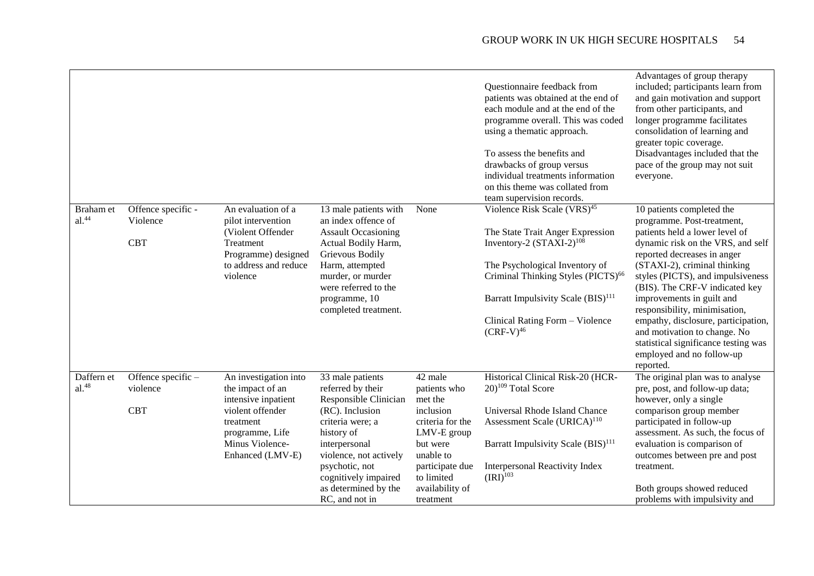|                                |                                |                                                               |                                                                            |                                 | Questionnaire feedback from<br>patients was obtained at the end of<br>each module and at the end of the<br>programme overall. This was coded<br>using a thematic approach.<br>To assess the benefits and<br>drawbacks of group versus<br>individual treatments information<br>on this theme was collated from<br>team supervision records. | Advantages of group therapy<br>included; participants learn from<br>and gain motivation and support<br>from other participants, and<br>longer programme facilitates<br>consolidation of learning and<br>greater topic coverage.<br>Disadvantages included that the<br>pace of the group may not suit<br>everyone. |
|--------------------------------|--------------------------------|---------------------------------------------------------------|----------------------------------------------------------------------------|---------------------------------|--------------------------------------------------------------------------------------------------------------------------------------------------------------------------------------------------------------------------------------------------------------------------------------------------------------------------------------------|-------------------------------------------------------------------------------------------------------------------------------------------------------------------------------------------------------------------------------------------------------------------------------------------------------------------|
| Braham et<br>al. <sup>44</sup> | Offence specific -<br>Violence | An evaluation of a<br>pilot intervention<br>(Violent Offender | 13 male patients with<br>an index offence of<br><b>Assault Occasioning</b> | None                            | Violence Risk Scale (VRS) <sup>45</sup>                                                                                                                                                                                                                                                                                                    | 10 patients completed the<br>programme. Post-treatment,<br>patients held a lower level of                                                                                                                                                                                                                         |
|                                | <b>CBT</b>                     | Treatment<br>Programme) designed                              | Actual Bodily Harm,<br>Grievous Bodily                                     |                                 | The State Trait Anger Expression<br>Inventory-2 $(STAXI-2)^{108}$                                                                                                                                                                                                                                                                          | dynamic risk on the VRS, and self<br>reported decreases in anger                                                                                                                                                                                                                                                  |
|                                |                                | to address and reduce<br>violence                             | Harm, attempted<br>murder, or murder<br>were referred to the               |                                 | The Psychological Inventory of<br>Criminal Thinking Styles (PICTS) <sup>66</sup>                                                                                                                                                                                                                                                           | (STAXI-2), criminal thinking<br>styles (PICTS), and impulsiveness<br>(BIS). The CRF-V indicated key                                                                                                                                                                                                               |
|                                |                                |                                                               | programme, 10<br>completed treatment.                                      |                                 | Barratt Impulsivity Scale (BIS) <sup>111</sup>                                                                                                                                                                                                                                                                                             | improvements in guilt and<br>responsibility, minimisation,                                                                                                                                                                                                                                                        |
|                                |                                |                                                               |                                                                            |                                 | Clinical Rating Form - Violence<br>$(CRF-V)^{46}$                                                                                                                                                                                                                                                                                          | empathy, disclosure, participation,<br>and motivation to change. No<br>statistical significance testing was<br>employed and no follow-up<br>reported.                                                                                                                                                             |
| Daffern et<br>$al.^{48}$       | Offence specific -<br>violence | An investigation into<br>the impact of an                     | 33 male patients<br>referred by their                                      | 42 male<br>patients who         | Historical Clinical Risk-20 (HCR-<br>$20)^{109}$ Total Score                                                                                                                                                                                                                                                                               | The original plan was to analyse<br>pre, post, and follow-up data;                                                                                                                                                                                                                                                |
|                                |                                | intensive inpatient                                           | Responsible Clinician                                                      | met the                         |                                                                                                                                                                                                                                                                                                                                            | however, only a single                                                                                                                                                                                                                                                                                            |
|                                | <b>CBT</b>                     | violent offender                                              | (RC). Inclusion<br>criteria were; a                                        | inclusion                       | Universal Rhode Island Chance                                                                                                                                                                                                                                                                                                              | comparison group member                                                                                                                                                                                                                                                                                           |
|                                |                                | treatment<br>programme, Life                                  | history of                                                                 | criteria for the<br>LMV-E group | Assessment Scale (URICA) <sup>110</sup>                                                                                                                                                                                                                                                                                                    | participated in follow-up<br>assessment. As such, the focus of                                                                                                                                                                                                                                                    |
|                                |                                | Minus Violence-                                               | interpersonal                                                              | but were                        | Barratt Impulsivity Scale (BIS) <sup>111</sup>                                                                                                                                                                                                                                                                                             | evaluation is comparison of                                                                                                                                                                                                                                                                                       |
|                                |                                | Enhanced (LMV-E)                                              | violence, not actively                                                     | unable to                       |                                                                                                                                                                                                                                                                                                                                            | outcomes between pre and post                                                                                                                                                                                                                                                                                     |
|                                |                                |                                                               | psychotic, not<br>cognitively impaired                                     | participate due<br>to limited   | Interpersonal Reactivity Index<br>$(IRI)^{103}$                                                                                                                                                                                                                                                                                            | treatment.                                                                                                                                                                                                                                                                                                        |
|                                |                                |                                                               | as determined by the<br>RC, and not in                                     | availability of<br>treatment    |                                                                                                                                                                                                                                                                                                                                            | Both groups showed reduced<br>problems with impulsivity and                                                                                                                                                                                                                                                       |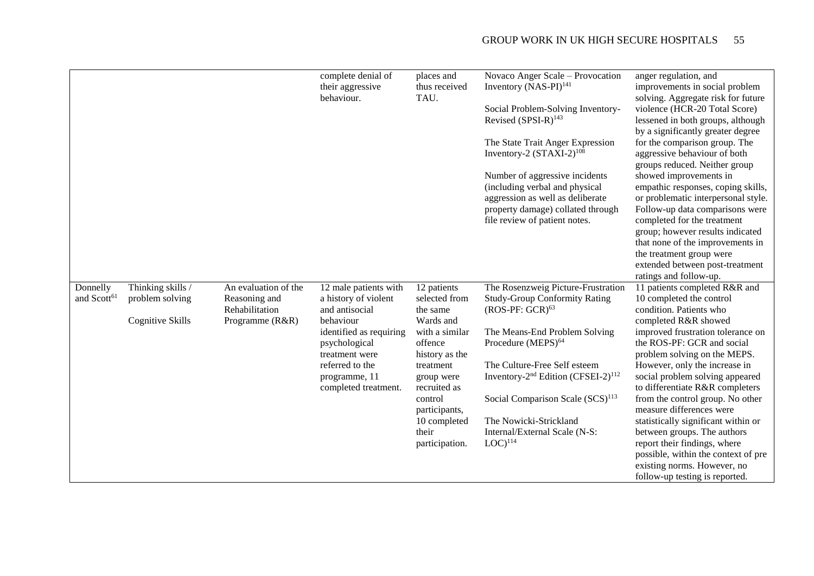|                                     |                                                                 |                                                                            | complete denial of<br>their aggressive<br>behaviour.                                                                                                                                                   | places and<br>thus received<br>TAU.                                                                                                                                                                                    | Novaco Anger Scale - Provocation<br>Inventory $(NAS-PI)^{141}$<br>Social Problem-Solving Inventory-<br>Revised (SPSI-R) <sup>143</sup><br>The State Trait Anger Expression<br>Inventory-2 $(STAXI-2)^{108}$<br>Number of aggressive incidents<br>(including verbal and physical<br>aggression as well as deliberate<br>property damage) collated through<br>file review of patient notes.      | anger regulation, and<br>improvements in social problem<br>solving. Aggregate risk for future<br>violence (HCR-20 Total Score)<br>lessened in both groups, although<br>by a significantly greater degree<br>for the comparison group. The<br>aggressive behaviour of both<br>groups reduced. Neither group<br>showed improvements in<br>empathic responses, coping skills,<br>or problematic interpersonal style.<br>Follow-up data comparisons were<br>completed for the treatment<br>group; however results indicated<br>that none of the improvements in<br>the treatment group were<br>extended between post-treatment<br>ratings and follow-up. |
|-------------------------------------|-----------------------------------------------------------------|----------------------------------------------------------------------------|--------------------------------------------------------------------------------------------------------------------------------------------------------------------------------------------------------|------------------------------------------------------------------------------------------------------------------------------------------------------------------------------------------------------------------------|------------------------------------------------------------------------------------------------------------------------------------------------------------------------------------------------------------------------------------------------------------------------------------------------------------------------------------------------------------------------------------------------|------------------------------------------------------------------------------------------------------------------------------------------------------------------------------------------------------------------------------------------------------------------------------------------------------------------------------------------------------------------------------------------------------------------------------------------------------------------------------------------------------------------------------------------------------------------------------------------------------------------------------------------------------|
| Donnelly<br>and Scott <sup>61</sup> | Thinking skills /<br>problem solving<br><b>Cognitive Skills</b> | An evaluation of the<br>Reasoning and<br>Rehabilitation<br>Programme (R&R) | 12 male patients with<br>a history of violent<br>and antisocial<br>behaviour<br>identified as requiring<br>psychological<br>treatment were<br>referred to the<br>programme, 11<br>completed treatment. | 12 patients<br>selected from<br>the same<br>Wards and<br>with a similar<br>offence<br>history as the<br>treatment<br>group were<br>recruited as<br>control<br>participants,<br>10 completed<br>their<br>participation. | The Rosenzweig Picture-Frustration<br><b>Study-Group Conformity Rating</b><br>$(ROS-PF: GCR)^{63}$<br>The Means-End Problem Solving<br>Procedure (MEPS) <sup>64</sup><br>The Culture-Free Self esteem<br>Inventory-2 <sup>nd</sup> Edition (CFSEI-2) <sup>112</sup><br>Social Comparison Scale (SCS) <sup>113</sup><br>The Nowicki-Strickland<br>Internal/External Scale (N-S:<br>$LOC)^{114}$ | 11 patients completed R&R and<br>10 completed the control<br>condition. Patients who<br>completed R&R showed<br>improved frustration tolerance on<br>the ROS-PF: GCR and social<br>problem solving on the MEPS.<br>However, only the increase in<br>social problem solving appeared<br>to differentiate R&R completers<br>from the control group. No other<br>measure differences were<br>statistically significant within or<br>between groups. The authors<br>report their findings, where<br>possible, within the context of pre<br>existing norms. However, no<br>follow-up testing is reported.                                                 |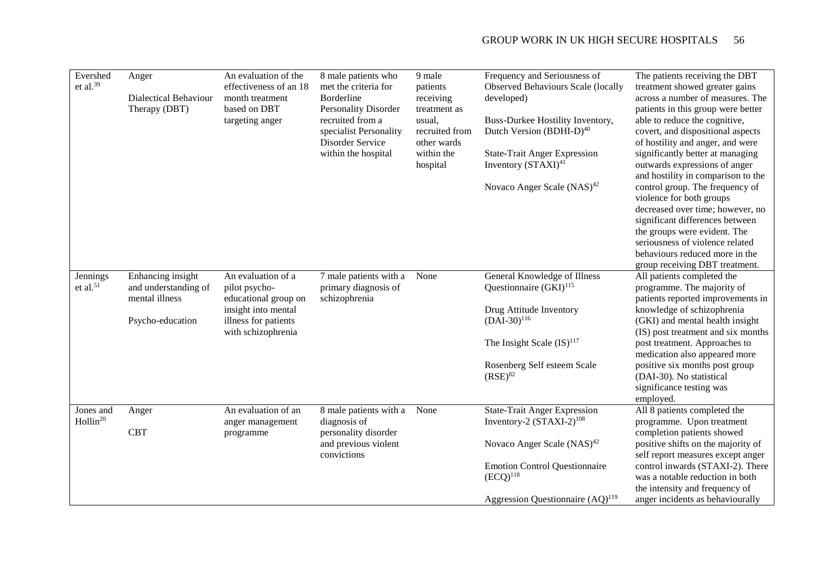| Evershed<br>et al. $39$           | Anger<br><b>Dialectical Behaviour</b><br>Therapy (DBT)                          | An evaluation of the<br>effectiveness of an 18<br>month treatment<br>based on DBT<br>targeting anger                             | 8 male patients who<br>met the criteria for<br>Borderline<br><b>Personality Disorder</b><br>recruited from a<br>specialist Personality<br>Disorder Service<br>within the hospital | 9 male<br>patients<br>receiving<br>treatment as<br>usual,<br>recruited from<br>other wards<br>within the<br>hospital | Frequency and Seriousness of<br><b>Observed Behaviours Scale (locally</b><br>developed)<br>Buss-Durkee Hostility Inventory,<br>Dutch Version (BDHI-D) <sup>40</sup><br><b>State-Trait Anger Expression</b><br>Inventory (STAXI) <sup>41</sup><br>Novaco Anger Scale (NAS) <sup>42</sup> | The patients receiving the DBT<br>treatment showed greater gains<br>across a number of measures. The<br>patients in this group were better<br>able to reduce the cognitive,<br>covert, and dispositional aspects<br>of hostility and anger, and were<br>significantly better at managing<br>outwards expressions of anger<br>and hostility in comparison to the<br>control group. The frequency of<br>violence for both groups<br>decreased over time; however, no<br>significant differences between<br>the groups were evident. The<br>seriousness of violence related<br>behaviours reduced more in the<br>group receiving DBT treatment. |
|-----------------------------------|---------------------------------------------------------------------------------|----------------------------------------------------------------------------------------------------------------------------------|-----------------------------------------------------------------------------------------------------------------------------------------------------------------------------------|----------------------------------------------------------------------------------------------------------------------|-----------------------------------------------------------------------------------------------------------------------------------------------------------------------------------------------------------------------------------------------------------------------------------------|----------------------------------------------------------------------------------------------------------------------------------------------------------------------------------------------------------------------------------------------------------------------------------------------------------------------------------------------------------------------------------------------------------------------------------------------------------------------------------------------------------------------------------------------------------------------------------------------------------------------------------------------|
| Jennings<br>et al. $51$           | Enhancing insight<br>and understanding of<br>mental illness<br>Psycho-education | An evaluation of a<br>pilot psycho-<br>educational group on<br>insight into mental<br>illness for patients<br>with schizophrenia | 7 male patients with a<br>primary diagnosis of<br>schizophrenia                                                                                                                   | None                                                                                                                 | General Knowledge of Illness<br>Questionnaire $(GKI)^{115}$<br>Drug Attitude Inventory<br>$(DAI-30)^{116}$<br>The Insight Scale $(IS)^{117}$<br>Rosenberg Self esteem Scale<br>$(RSE)^{82}$                                                                                             | All patients completed the<br>programme. The majority of<br>patients reported improvements in<br>knowledge of schizophrenia<br>(GKI) and mental health insight<br>(IS) post treatment and six months<br>post treatment. Approaches to<br>medication also appeared more<br>positive six months post group<br>(DAI-30). No statistical<br>significance testing was<br>employed.                                                                                                                                                                                                                                                                |
| Jones and<br>Hollin <sup>20</sup> | Anger<br><b>CBT</b>                                                             | An evaluation of an<br>anger management<br>programme                                                                             | 8 male patients with a<br>diagnosis of<br>personality disorder<br>and previous violent<br>convictions                                                                             | None                                                                                                                 | <b>State-Trait Anger Expression</b><br>Inventory-2 $(STAXI-2)^{108}$<br>Novaco Anger Scale $(NAS)^{42}$<br><b>Emotion Control Questionnaire</b><br>$(ECQ)^{118}$<br>Aggression Questionnaire (AQ) <sup>119</sup>                                                                        | All 8 patients completed the<br>programme. Upon treatment<br>completion patients showed<br>positive shifts on the majority of<br>self report measures except anger<br>control inwards (STAXI-2). There<br>was a notable reduction in both<br>the intensity and frequency of<br>anger incidents as behaviourally                                                                                                                                                                                                                                                                                                                              |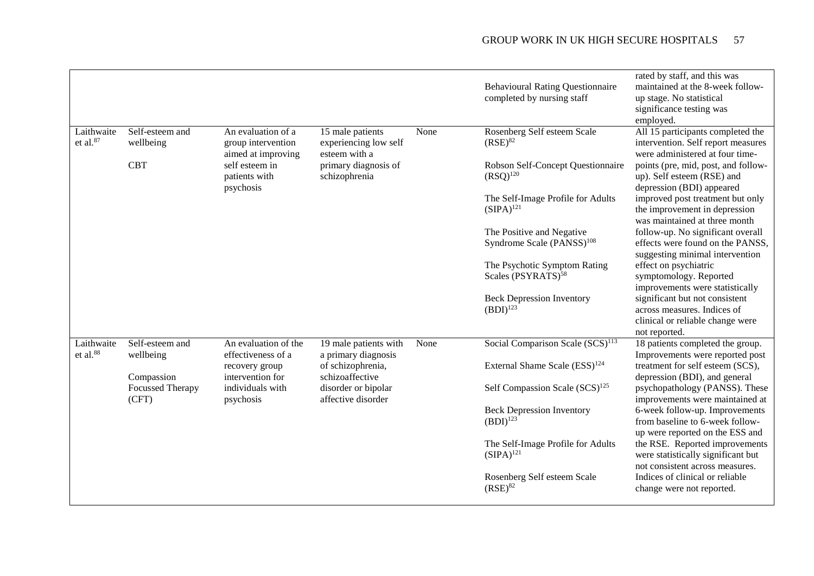|                                    |                                  |                                                                |                                                            |      | <b>Behavioural Rating Questionnaire</b><br>completed by nursing staff | rated by staff, and this was<br>maintained at the 8-week follow-<br>up stage. No statistical<br>significance testing was<br>employed. |
|------------------------------------|----------------------------------|----------------------------------------------------------------|------------------------------------------------------------|------|-----------------------------------------------------------------------|---------------------------------------------------------------------------------------------------------------------------------------|
| Laithwaite<br>et al. <sup>87</sup> | Self-esteem and<br>wellbeing     | An evaluation of a<br>group intervention<br>aimed at improving | 15 male patients<br>experiencing low self<br>esteem with a | None | Rosenberg Self esteem Scale<br>$(RSE)^{82}$                           | All 15 participants completed the<br>intervention. Self report measures<br>were administered at four time-                            |
|                                    | <b>CBT</b>                       | self esteem in<br>patients with<br>psychosis                   | primary diagnosis of<br>schizophrenia                      |      | Robson Self-Concept Questionnaire<br>$(RSQ)^{120}$                    | points (pre, mid, post, and follow-<br>up). Self esteem (RSE) and<br>depression (BDI) appeared                                        |
|                                    |                                  |                                                                |                                                            |      | The Self-Image Profile for Adults<br>$(SIPA)^{121}$                   | improved post treatment but only<br>the improvement in depression<br>was maintained at three month                                    |
|                                    |                                  |                                                                |                                                            |      | The Positive and Negative<br>Syndrome Scale (PANSS) <sup>108</sup>    | follow-up. No significant overall<br>effects were found on the PANSS,<br>suggesting minimal intervention                              |
|                                    |                                  |                                                                |                                                            |      | The Psychotic Symptom Rating<br>Scales (PSYRATS) <sup>58</sup>        | effect on psychiatric<br>symptomology. Reported<br>improvements were statistically                                                    |
|                                    |                                  |                                                                |                                                            |      | <b>Beck Depression Inventory</b><br>$(BDI)^{123}$                     | significant but not consistent<br>across measures. Indices of<br>clinical or reliable change were<br>not reported.                    |
| Laithwaite<br>et al. <sup>88</sup> | Self-esteem and<br>wellbeing     | An evaluation of the<br>effectiveness of a                     | 19 male patients with<br>a primary diagnosis               | None | Social Comparison Scale (SCS) <sup>113</sup>                          | 18 patients completed the group.<br>Improvements were reported post                                                                   |
|                                    | Compassion                       | recovery group<br>intervention for                             | of schizophrenia,<br>schizoaffective                       |      | External Shame Scale (ESS) <sup>124</sup>                             | treatment for self esteem (SCS),<br>depression (BDI), and general                                                                     |
|                                    | <b>Focussed Therapy</b><br>(CFT) | individuals with<br>psychosis                                  | disorder or bipolar<br>affective disorder                  |      | Self Compassion Scale (SCS) <sup>125</sup>                            | psychopathology (PANSS). These<br>improvements were maintained at                                                                     |
|                                    |                                  |                                                                |                                                            |      | <b>Beck Depression Inventory</b><br>$(BDI)^{123}$                     | 6-week follow-up. Improvements<br>from baseline to 6-week follow-<br>up were reported on the ESS and                                  |
|                                    |                                  |                                                                |                                                            |      | The Self-Image Profile for Adults<br>$(SIPA)^{121}$                   | the RSE. Reported improvements<br>were statistically significant but<br>not consistent across measures.                               |
|                                    |                                  |                                                                |                                                            |      | Rosenberg Self esteem Scale<br>$(RSE)^{82}$                           | Indices of clinical or reliable<br>change were not reported.                                                                          |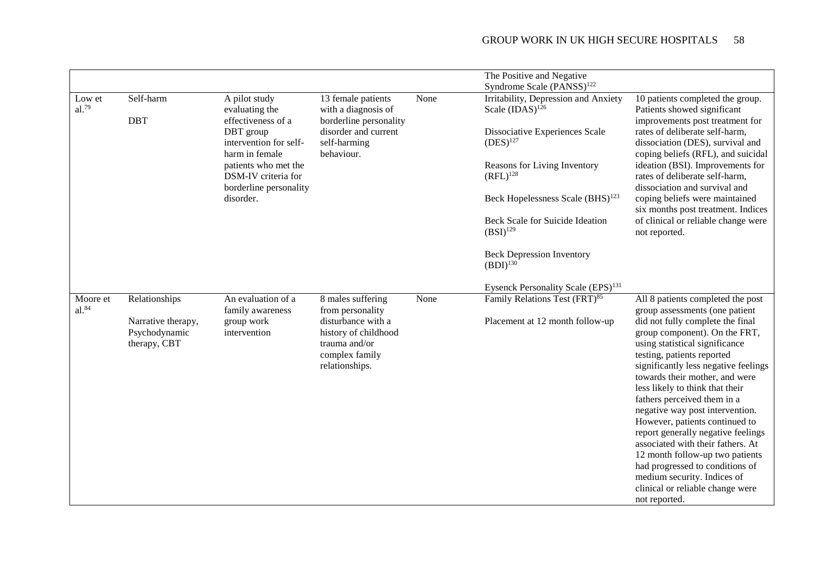|            |                    |                        |                        |      | The Positive and Negative                      |                                                                           |
|------------|--------------------|------------------------|------------------------|------|------------------------------------------------|---------------------------------------------------------------------------|
|            |                    |                        |                        |      | Syndrome Scale (PANSS) <sup>122</sup>          |                                                                           |
| Low et     | Self-harm          | A pilot study          | 13 female patients     | None | Irritability, Depression and Anxiety           | 10 patients completed the group.                                          |
| al.79      |                    | evaluating the         | with a diagnosis of    |      | Scale $(IDAS)^{126}$                           | Patients showed significant                                               |
|            | <b>DBT</b>         | effectiveness of a     | borderline personality |      |                                                | improvements post treatment for                                           |
|            |                    | DBT group              | disorder and current   |      | Dissociative Experiences Scale                 | rates of deliberate self-harm,                                            |
|            |                    | intervention for self- | self-harming           |      | $(DES)^{127}$                                  | dissociation (DES), survival and                                          |
|            |                    | harm in female         | behaviour.             |      |                                                | coping beliefs (RFL), and suicidal                                        |
|            |                    | patients who met the   |                        |      | Reasons for Living Inventory                   | ideation (BSI). Improvements for                                          |
|            |                    | DSM-IV criteria for    |                        |      | $(RFL)^{128}$                                  | rates of deliberate self-harm,                                            |
|            |                    | borderline personality |                        |      |                                                | dissociation and survival and                                             |
|            |                    | disorder.              |                        |      | Beck Hopelessness Scale (BHS) <sup>123</sup>   | coping beliefs were maintained                                            |
|            |                    |                        |                        |      | Beck Scale for Suicide Ideation                | six months post treatment. Indices<br>of clinical or reliable change were |
|            |                    |                        |                        |      | $(BSI)^{129}$                                  | not reported.                                                             |
|            |                    |                        |                        |      |                                                |                                                                           |
|            |                    |                        |                        |      | <b>Beck Depression Inventory</b>               |                                                                           |
|            |                    |                        |                        |      | $(BDI)^{130}$                                  |                                                                           |
|            |                    |                        |                        |      |                                                |                                                                           |
|            |                    |                        |                        |      | Eysenck Personality Scale (EPS) <sup>131</sup> |                                                                           |
| Moore et   | Relationships      | An evaluation of a     | 8 males suffering      | None | Family Relations Test (FRT) <sup>85</sup>      | All 8 patients completed the post                                         |
| $al.^{84}$ |                    | family awareness       | from personality       |      |                                                | group assessments (one patient                                            |
|            | Narrative therapy, | group work             | disturbance with a     |      | Placement at 12 month follow-up                | did not fully complete the final                                          |
|            | Psychodynamic      | intervention           | history of childhood   |      |                                                | group component). On the FRT,                                             |
|            | therapy, CBT       |                        | trauma and/or          |      |                                                | using statistical significance                                            |
|            |                    |                        | complex family         |      |                                                | testing, patients reported                                                |
|            |                    |                        | relationships.         |      |                                                | significantly less negative feelings<br>towards their mother, and were    |
|            |                    |                        |                        |      |                                                | less likely to think that their                                           |
|            |                    |                        |                        |      |                                                | fathers perceived them in a                                               |
|            |                    |                        |                        |      |                                                | negative way post intervention.                                           |
|            |                    |                        |                        |      |                                                | However, patients continued to                                            |
|            |                    |                        |                        |      |                                                | report generally negative feelings                                        |
|            |                    |                        |                        |      |                                                | associated with their fathers. At                                         |
|            |                    |                        |                        |      |                                                | 12 month follow-up two patients                                           |
|            |                    |                        |                        |      |                                                | had progressed to conditions of                                           |
|            |                    |                        |                        |      |                                                | medium security. Indices of                                               |
|            |                    |                        |                        |      |                                                | clinical or reliable change were                                          |
|            |                    |                        |                        |      |                                                | not reported.                                                             |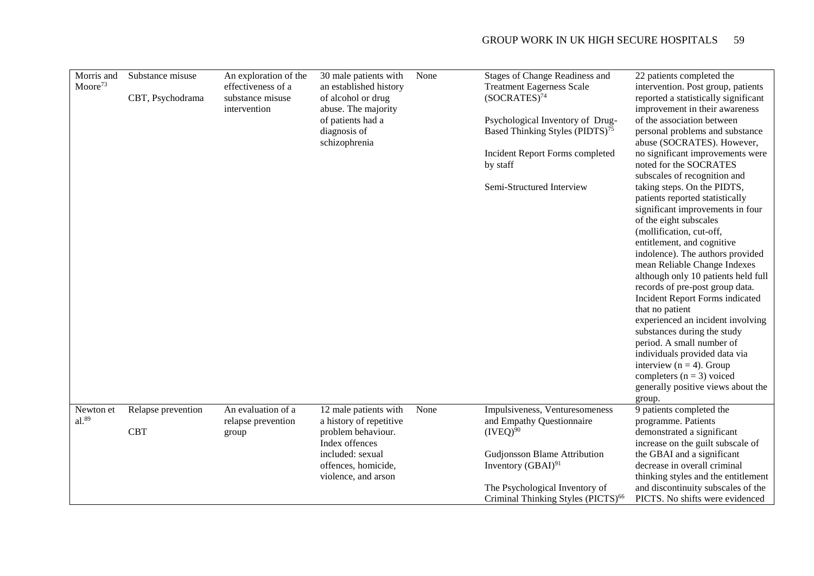| Morris and<br>Moore <sup>73</sup> | Substance misuse<br>CBT, Psychodrama | An exploration of the<br>effectiveness of a<br>substance misuse<br>intervention | 30 male patients with<br>an established history<br>of alcohol or drug<br>abuse. The majority<br>of patients had a<br>diagnosis of<br>schizophrenia         | None | <b>Stages of Change Readiness and</b><br><b>Treatment Eagerness Scale</b><br>$(SOCRATES)^{74}$<br>Psychological Inventory of Drug-<br>Based Thinking Styles (PIDTS) <sup>75</sup><br>Incident Report Forms completed<br>by staff<br>Semi-Structured Interview | 22 patients completed the<br>intervention. Post group, patients<br>reported a statistically significant<br>improvement in their awareness<br>of the association between<br>personal problems and substance<br>abuse (SOCRATES). However,<br>no significant improvements were<br>noted for the SOCRATES<br>subscales of recognition and<br>taking steps. On the PIDTS,<br>patients reported statistically<br>significant improvements in four<br>of the eight subscales<br>(mollification, cut-off,<br>entitlement, and cognitive<br>indolence). The authors provided<br>mean Reliable Change Indexes<br>although only 10 patients held full<br>records of pre-post group data.<br>Incident Report Forms indicated<br>that no patient<br>experienced an incident involving<br>substances during the study<br>period. A small number of<br>individuals provided data via<br>interview ( $n = 4$ ). Group<br>completers $(n = 3)$ voiced<br>generally positive views about the<br>group. |
|-----------------------------------|--------------------------------------|---------------------------------------------------------------------------------|------------------------------------------------------------------------------------------------------------------------------------------------------------|------|---------------------------------------------------------------------------------------------------------------------------------------------------------------------------------------------------------------------------------------------------------------|---------------------------------------------------------------------------------------------------------------------------------------------------------------------------------------------------------------------------------------------------------------------------------------------------------------------------------------------------------------------------------------------------------------------------------------------------------------------------------------------------------------------------------------------------------------------------------------------------------------------------------------------------------------------------------------------------------------------------------------------------------------------------------------------------------------------------------------------------------------------------------------------------------------------------------------------------------------------------------------|
| Newton et<br>$al.^{89}$           | Relapse prevention<br><b>CBT</b>     | An evaluation of a<br>relapse prevention<br>group                               | 12 male patients with<br>a history of repetitive<br>problem behaviour.<br>Index offences<br>included: sexual<br>offences, homicide,<br>violence, and arson | None | Impulsiveness, Venturesomeness<br>and Empathy Questionnaire<br>$(IVEO)^{90}$<br><b>Gudjonsson Blame Attribution</b><br>Inventory $(GBAI)^{91}$<br>The Psychological Inventory of<br>Criminal Thinking Styles (PICTS) <sup>66</sup>                            | 9 patients completed the<br>programme. Patients<br>demonstrated a significant<br>increase on the guilt subscale of<br>the GBAI and a significant<br>decrease in overall criminal<br>thinking styles and the entitlement<br>and discontinuity subscales of the<br>PICTS. No shifts were evidenced                                                                                                                                                                                                                                                                                                                                                                                                                                                                                                                                                                                                                                                                                      |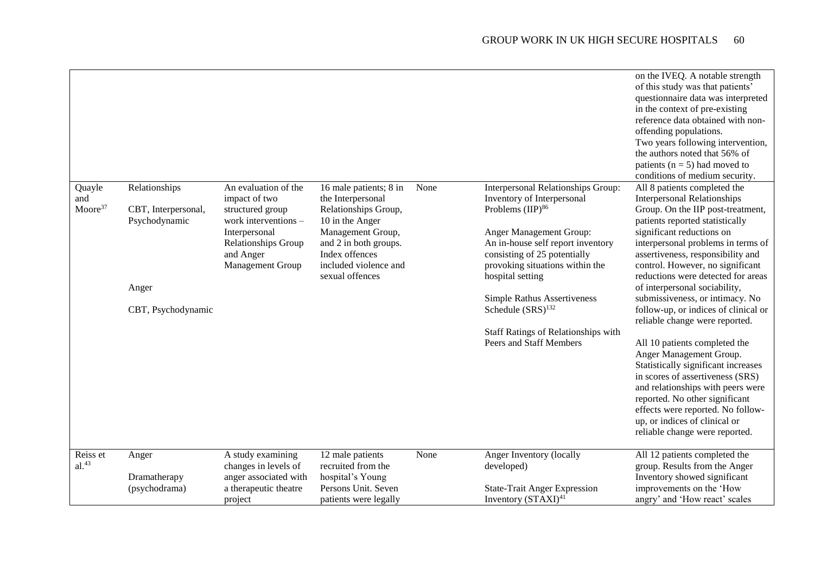|                                      |                                                                                      |                                                                                                                                                            |                                                                                                                                                                                                    |      |                                                                                                                                                                                                                                                                                                                                                                                                         | on the IVEQ. A notable strength<br>of this study was that patients'<br>questionnaire data was interpreted<br>in the context of pre-existing<br>reference data obtained with non-<br>offending populations.<br>Two years following intervention,<br>the authors noted that 56% of<br>patients ( $n = 5$ ) had moved to<br>conditions of medium security.                                                                                                                                                                                                                                                                                                                                                                                                                                          |
|--------------------------------------|--------------------------------------------------------------------------------------|------------------------------------------------------------------------------------------------------------------------------------------------------------|----------------------------------------------------------------------------------------------------------------------------------------------------------------------------------------------------|------|---------------------------------------------------------------------------------------------------------------------------------------------------------------------------------------------------------------------------------------------------------------------------------------------------------------------------------------------------------------------------------------------------------|--------------------------------------------------------------------------------------------------------------------------------------------------------------------------------------------------------------------------------------------------------------------------------------------------------------------------------------------------------------------------------------------------------------------------------------------------------------------------------------------------------------------------------------------------------------------------------------------------------------------------------------------------------------------------------------------------------------------------------------------------------------------------------------------------|
| Quayle<br>and<br>Moore <sup>37</sup> | Relationships<br>CBT, Interpersonal,<br>Psychodynamic<br>Anger<br>CBT, Psychodynamic | An evaluation of the<br>impact of two<br>structured group<br>work interventions -<br>Interpersonal<br>Relationships Group<br>and Anger<br>Management Group | 16 male patients; 8 in<br>the Interpersonal<br>Relationships Group,<br>10 in the Anger<br>Management Group,<br>and 2 in both groups.<br>Index offences<br>included violence and<br>sexual offences | None | Interpersonal Relationships Group:<br>Inventory of Interpersonal<br>Problems (IIP) <sup>86</sup><br>Anger Management Group:<br>An in-house self report inventory<br>consisting of 25 potentially<br>provoking situations within the<br>hospital setting<br><b>Simple Rathus Assertiveness</b><br>Schedule (SRS) <sup>132</sup><br><b>Staff Ratings of Relationships with</b><br>Peers and Staff Members | All 8 patients completed the<br><b>Interpersonal Relationships</b><br>Group. On the IIP post-treatment,<br>patients reported statistically<br>significant reductions on<br>interpersonal problems in terms of<br>assertiveness, responsibility and<br>control. However, no significant<br>reductions were detected for areas<br>of interpersonal sociability,<br>submissiveness, or intimacy. No<br>follow-up, or indices of clinical or<br>reliable change were reported.<br>All 10 patients completed the<br>Anger Management Group.<br>Statistically significant increases<br>in scores of assertiveness (SRS)<br>and relationships with peers were<br>reported. No other significant<br>effects were reported. No follow-<br>up, or indices of clinical or<br>reliable change were reported. |
| Reiss et<br>$al.^{43}$               | Anger                                                                                | A study examining<br>changes in levels of                                                                                                                  | 12 male patients<br>recruited from the                                                                                                                                                             | None | Anger Inventory (locally<br>developed)                                                                                                                                                                                                                                                                                                                                                                  | All 12 patients completed the<br>group. Results from the Anger                                                                                                                                                                                                                                                                                                                                                                                                                                                                                                                                                                                                                                                                                                                                   |
|                                      | Dramatherapy<br>(psychodrama)                                                        | anger associated with<br>a therapeutic theatre<br>project                                                                                                  | hospital's Young<br>Persons Unit. Seven<br>patients were legally                                                                                                                                   |      | <b>State-Trait Anger Expression</b><br>Inventory (STAXI) <sup>41</sup>                                                                                                                                                                                                                                                                                                                                  | Inventory showed significant<br>improvements on the 'How<br>angry' and 'How react' scales                                                                                                                                                                                                                                                                                                                                                                                                                                                                                                                                                                                                                                                                                                        |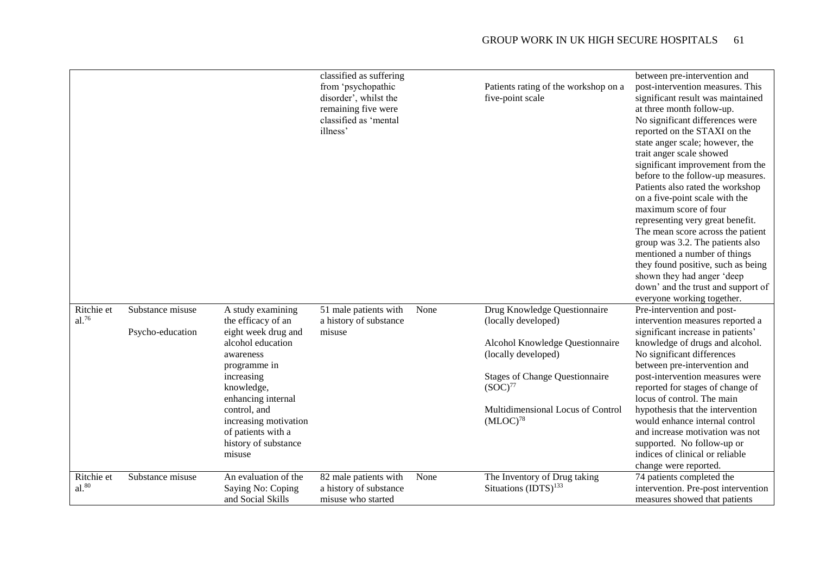|                          |                                      |                                                                                                                                                                                                                                                                     | classified as suffering<br>from 'psychopathic<br>disorder', whilst the<br>remaining five were<br>classified as 'mental<br>illness' |      | Patients rating of the workshop on a<br>five-point scale                                                                                                                                                                     | between pre-intervention and<br>post-intervention measures. This<br>significant result was maintained<br>at three month follow-up.<br>No significant differences were<br>reported on the STAXI on the<br>state anger scale; however, the<br>trait anger scale showed<br>significant improvement from the<br>before to the follow-up measures.<br>Patients also rated the workshop<br>on a five-point scale with the<br>maximum score of four<br>representing very great benefit.<br>The mean score across the patient<br>group was 3.2. The patients also<br>mentioned a number of things<br>they found positive, such as being<br>shown they had anger 'deep<br>down' and the trust and support of |
|--------------------------|--------------------------------------|---------------------------------------------------------------------------------------------------------------------------------------------------------------------------------------------------------------------------------------------------------------------|------------------------------------------------------------------------------------------------------------------------------------|------|------------------------------------------------------------------------------------------------------------------------------------------------------------------------------------------------------------------------------|-----------------------------------------------------------------------------------------------------------------------------------------------------------------------------------------------------------------------------------------------------------------------------------------------------------------------------------------------------------------------------------------------------------------------------------------------------------------------------------------------------------------------------------------------------------------------------------------------------------------------------------------------------------------------------------------------------|
| Ritchie et<br>$al.^{76}$ | Substance misuse<br>Psycho-education | A study examining<br>the efficacy of an<br>eight week drug and<br>alcohol education<br>awareness<br>programme in<br>increasing<br>knowledge,<br>enhancing internal<br>control, and<br>increasing motivation<br>of patients with a<br>history of substance<br>misuse | 51 male patients with<br>a history of substance<br>misuse                                                                          | None | Drug Knowledge Questionnaire<br>(locally developed)<br>Alcohol Knowledge Questionnaire<br>(locally developed)<br><b>Stages of Change Questionnaire</b><br>$(SOC)^{77}$<br>Multidimensional Locus of Control<br>$(MLOC)^{78}$ | everyone working together.<br>Pre-intervention and post-<br>intervention measures reported a<br>significant increase in patients'<br>knowledge of drugs and alcohol.<br>No significant differences<br>between pre-intervention and<br>post-intervention measures were<br>reported for stages of change of<br>locus of control. The main<br>hypothesis that the intervention<br>would enhance internal control<br>and increase motivation was not<br>supported. No follow-up or<br>indices of clinical or reliable<br>change were reported.                                                                                                                                                          |
| Ritchie et<br>$al.^{80}$ | Substance misuse                     | An evaluation of the<br>Saying No: Coping<br>and Social Skills                                                                                                                                                                                                      | 82 male patients with<br>a history of substance<br>misuse who started                                                              | None | The Inventory of Drug taking<br>Situations (IDTS) <sup>133</sup>                                                                                                                                                             | 74 patients completed the<br>intervention. Pre-post intervention<br>measures showed that patients                                                                                                                                                                                                                                                                                                                                                                                                                                                                                                                                                                                                   |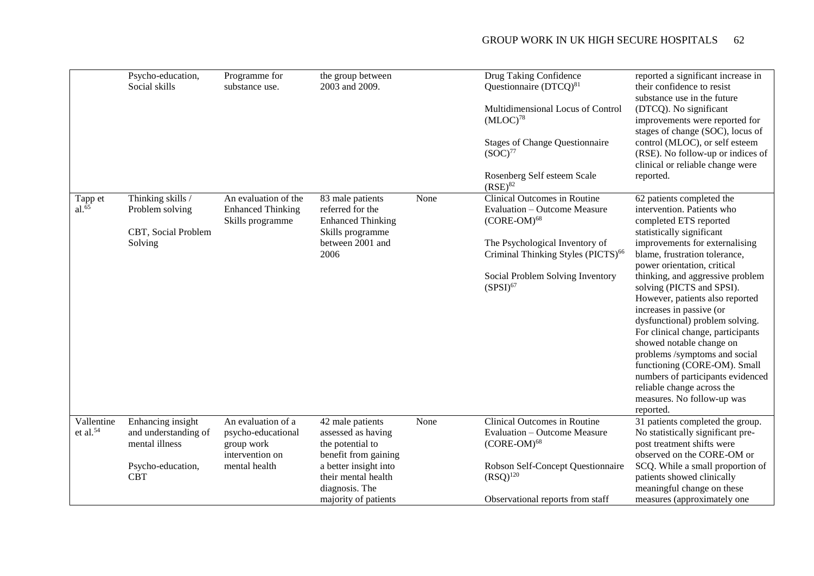|                           | Psycho-education,<br>Social skills                                                             | Programme for<br>substance use.                                                            | the group between<br>2003 and 2009.                                                                                                                                          |      | <b>Drug Taking Confidence</b><br>Questionnaire (DTCQ) <sup>81</sup><br>Multidimensional Locus of Control<br>$(MLOC)^{78}$<br><b>Stages of Change Questionnaire</b><br>$(SOC)^{77}$<br>Rosenberg Self esteem Scale<br>$(RSE)^{82}$ | reported a significant increase in<br>their confidence to resist<br>substance use in the future<br>(DTCQ). No significant<br>improvements were reported for<br>stages of change (SOC), locus of<br>control (MLOC), or self esteem<br>(RSE). No follow-up or indices of<br>clinical or reliable change were<br>reported.                                                                                                                                                                                                                                                                                                             |
|---------------------------|------------------------------------------------------------------------------------------------|--------------------------------------------------------------------------------------------|------------------------------------------------------------------------------------------------------------------------------------------------------------------------------|------|-----------------------------------------------------------------------------------------------------------------------------------------------------------------------------------------------------------------------------------|-------------------------------------------------------------------------------------------------------------------------------------------------------------------------------------------------------------------------------------------------------------------------------------------------------------------------------------------------------------------------------------------------------------------------------------------------------------------------------------------------------------------------------------------------------------------------------------------------------------------------------------|
| Tapp et<br>$al.^{65}$     | Thinking skills /<br>Problem solving<br>CBT, Social Problem<br>Solving                         | An evaluation of the<br><b>Enhanced Thinking</b><br>Skills programme                       | 83 male patients<br>referred for the<br><b>Enhanced Thinking</b><br>Skills programme<br>between 2001 and<br>2006                                                             | None | Clinical Outcomes in Routine<br>Evaluation - Outcome Measure<br>$(CORE-OM)^{68}$<br>The Psychological Inventory of<br>Criminal Thinking Styles (PICTS) <sup>66</sup><br>Social Problem Solving Inventory<br>$(SPSI)^{67}$         | 62 patients completed the<br>intervention. Patients who<br>completed ETS reported<br>statistically significant<br>improvements for externalising<br>blame, frustration tolerance,<br>power orientation, critical<br>thinking, and aggressive problem<br>solving (PICTS and SPSI).<br>However, patients also reported<br>increases in passive (or<br>dysfunctional) problem solving.<br>For clinical change, participants<br>showed notable change on<br>problems /symptoms and social<br>functioning (CORE-OM). Small<br>numbers of participants evidenced<br>reliable change across the<br>measures. No follow-up was<br>reported. |
| Vallentine<br>et al. $54$ | Enhancing insight<br>and understanding of<br>mental illness<br>Psycho-education,<br><b>CBT</b> | An evaluation of a<br>psycho-educational<br>group work<br>intervention on<br>mental health | 42 male patients<br>assessed as having<br>the potential to<br>benefit from gaining<br>a better insight into<br>their mental health<br>diagnosis. The<br>majority of patients | None | Clinical Outcomes in Routine<br><b>Evaluation - Outcome Measure</b><br>$(CORE-OM)^{68}$<br>Robson Self-Concept Questionnaire<br>$(RSO)^{120}$<br>Observational reports from staff                                                 | 31 patients completed the group.<br>No statistically significant pre-<br>post treatment shifts were<br>observed on the CORE-OM or<br>SCQ. While a small proportion of<br>patients showed clinically<br>meaningful change on these<br>measures (approximately one                                                                                                                                                                                                                                                                                                                                                                    |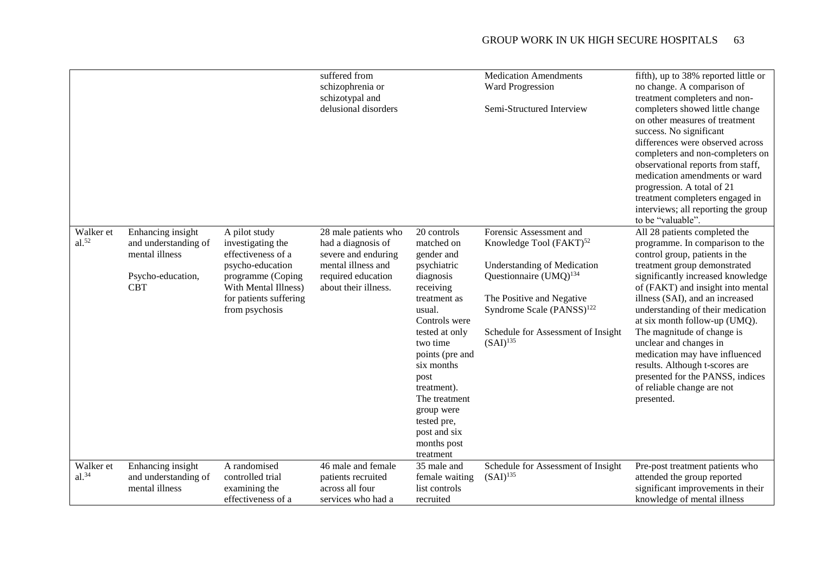|                         |                                                                                                |                                                                                                                                                                       | suffered from<br>schizophrenia or<br>schizotypal and<br>delusional disorders                                                          |                                                                                                                                                                                                                                                                                                             | <b>Medication Amendments</b><br>Ward Progression<br>Semi-Structured Interview                                                                                                                                                                                      | fifth), up to 38% reported little or<br>no change. A comparison of<br>treatment completers and non-<br>completers showed little change<br>on other measures of treatment<br>success. No significant<br>differences were observed across<br>completers and non-completers on<br>observational reports from staff,<br>medication amendments or ward<br>progression. A total of 21<br>treatment completers engaged in<br>interviews; all reporting the group<br>to be "valuable".                                                    |
|-------------------------|------------------------------------------------------------------------------------------------|-----------------------------------------------------------------------------------------------------------------------------------------------------------------------|---------------------------------------------------------------------------------------------------------------------------------------|-------------------------------------------------------------------------------------------------------------------------------------------------------------------------------------------------------------------------------------------------------------------------------------------------------------|--------------------------------------------------------------------------------------------------------------------------------------------------------------------------------------------------------------------------------------------------------------------|-----------------------------------------------------------------------------------------------------------------------------------------------------------------------------------------------------------------------------------------------------------------------------------------------------------------------------------------------------------------------------------------------------------------------------------------------------------------------------------------------------------------------------------|
| Walker et<br>$al.^{52}$ | Enhancing insight<br>and understanding of<br>mental illness<br>Psycho-education,<br><b>CBT</b> | A pilot study<br>investigating the<br>effectiveness of a<br>psycho-education<br>programme (Coping<br>With Mental Illness)<br>for patients suffering<br>from psychosis | 28 male patients who<br>had a diagnosis of<br>severe and enduring<br>mental illness and<br>required education<br>about their illness. | 20 controls<br>matched on<br>gender and<br>psychiatric<br>diagnosis<br>receiving<br>treatment as<br>usual.<br>Controls were<br>tested at only<br>two time<br>points (pre and<br>six months<br>post<br>treatment).<br>The treatment<br>group were<br>tested pre,<br>post and six<br>months post<br>treatment | Forensic Assessment and<br>Knowledge Tool (FAKT) <sup>52</sup><br><b>Understanding of Medication</b><br>Questionnaire $(UMQ)^{134}$<br>The Positive and Negative<br>Syndrome Scale $(PANSS)^{122}$<br>Schedule for Assessment of Insight<br>$(SAI)$ <sup>135</sup> | All 28 patients completed the<br>programme. In comparison to the<br>control group, patients in the<br>treatment group demonstrated<br>significantly increased knowledge<br>of (FAKT) and insight into mental<br>illness (SAI), and an increased<br>understanding of their medication<br>at six month follow-up (UMQ).<br>The magnitude of change is<br>unclear and changes in<br>medication may have influenced<br>results. Although t-scores are<br>presented for the PANSS, indices<br>of reliable change are not<br>presented. |
| Walker et<br>$al.^{34}$ | Enhancing insight<br>and understanding of<br>mental illness                                    | A randomised<br>controlled trial<br>examining the<br>effectiveness of a                                                                                               | 46 male and female<br>patients recruited<br>across all four<br>services who had a                                                     | 35 male and<br>female waiting<br>list controls<br>recruited                                                                                                                                                                                                                                                 | Schedule for Assessment of Insight<br>$(SAI)$ <sup>135</sup>                                                                                                                                                                                                       | Pre-post treatment patients who<br>attended the group reported<br>significant improvements in their<br>knowledge of mental illness                                                                                                                                                                                                                                                                                                                                                                                                |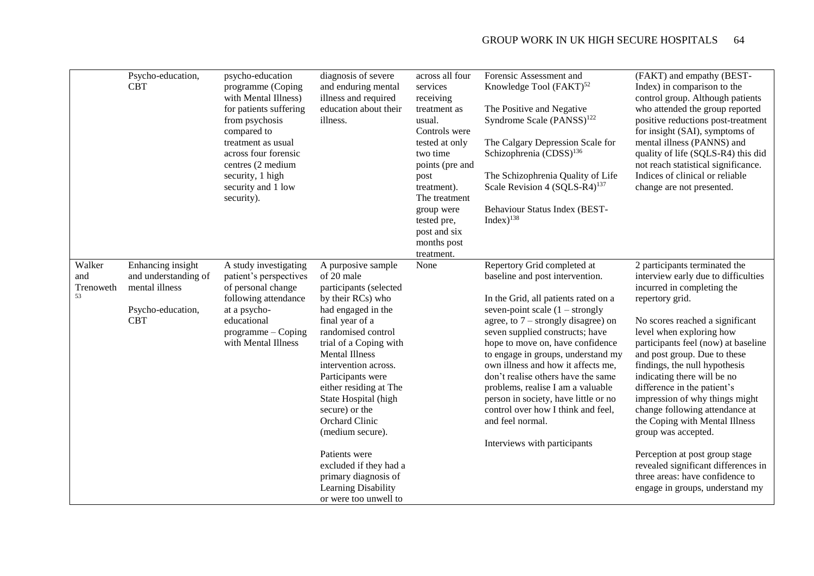|                                  | Psycho-education,<br><b>CBT</b>                                                                | psycho-education<br>programme (Coping<br>with Mental Illness)<br>for patients suffering<br>from psychosis<br>compared to<br>treatment as usual<br>across four forensic<br>centres (2 medium<br>security, 1 high<br>security and 1 low<br>security). | diagnosis of severe<br>and enduring mental<br>illness and required<br>education about their<br>illness.                                                                                                                                                                                                                                                                                                                                                                     | across all four<br>services<br>receiving<br>treatment as<br>usual.<br>Controls were<br>tested at only<br>two time<br>points (pre and<br>post<br>treatment).<br>The treatment<br>group were<br>tested pre,<br>post and six<br>months post<br>treatment. | Forensic Assessment and<br>Knowledge Tool (FAKT) <sup>52</sup><br>The Positive and Negative<br>Syndrome Scale (PANSS) <sup>122</sup><br>The Calgary Depression Scale for<br>Schizophrenia (CDSS) <sup>136</sup><br>The Schizophrenia Quality of Life<br>Scale Revision 4 (SQLS-R4) <sup>137</sup><br>Behaviour Status Index (BEST-<br>Index $)^{138}$                                                                                                                                                                                                | (FAKT) and empathy (BEST-<br>Index) in comparison to the<br>control group. Although patients<br>who attended the group reported<br>positive reductions post-treatment<br>for insight (SAI), symptoms of<br>mental illness (PANNS) and<br>quality of life (SQLS-R4) this did<br>not reach statistical significance.<br>Indices of clinical or reliable<br>change are not presented.                                                                                                                                                                                                                                                     |
|----------------------------------|------------------------------------------------------------------------------------------------|-----------------------------------------------------------------------------------------------------------------------------------------------------------------------------------------------------------------------------------------------------|-----------------------------------------------------------------------------------------------------------------------------------------------------------------------------------------------------------------------------------------------------------------------------------------------------------------------------------------------------------------------------------------------------------------------------------------------------------------------------|--------------------------------------------------------------------------------------------------------------------------------------------------------------------------------------------------------------------------------------------------------|------------------------------------------------------------------------------------------------------------------------------------------------------------------------------------------------------------------------------------------------------------------------------------------------------------------------------------------------------------------------------------------------------------------------------------------------------------------------------------------------------------------------------------------------------|----------------------------------------------------------------------------------------------------------------------------------------------------------------------------------------------------------------------------------------------------------------------------------------------------------------------------------------------------------------------------------------------------------------------------------------------------------------------------------------------------------------------------------------------------------------------------------------------------------------------------------------|
| Walker<br>and<br>Trenoweth<br>53 | Enhancing insight<br>and understanding of<br>mental illness<br>Psycho-education,<br><b>CBT</b> | A study investigating<br>patient's perspectives<br>of personal change<br>following attendance<br>at a psycho-<br>educational<br>$programme - Coping$<br>with Mental Illness                                                                         | A purposive sample<br>of 20 male<br>participants (selected<br>by their RCs) who<br>had engaged in the<br>final year of a<br>randomised control<br>trial of a Coping with<br><b>Mental Illness</b><br>intervention across.<br>Participants were<br>either residing at The<br>State Hospital (high<br>secure) or the<br>Orchard Clinic<br>(medium secure).<br>Patients were<br>excluded if they had a<br>primary diagnosis of<br>Learning Disability<br>or were too unwell to | None                                                                                                                                                                                                                                                   | Repertory Grid completed at<br>baseline and post intervention.<br>In the Grid, all patients rated on a<br>seven-point scale $(1 -$ strongly<br>agree, to $7$ – strongly disagree) on<br>seven supplied constructs; have<br>hope to move on, have confidence<br>to engage in groups, understand my<br>own illness and how it affects me,<br>don't realise others have the same<br>problems, realise I am a valuable<br>person in society, have little or no<br>control over how I think and feel,<br>and feel normal.<br>Interviews with participants | 2 participants terminated the<br>interview early due to difficulties<br>incurred in completing the<br>repertory grid.<br>No scores reached a significant<br>level when exploring how<br>participants feel (now) at baseline<br>and post group. Due to these<br>findings, the null hypothesis<br>indicating there will be no<br>difference in the patient's<br>impression of why things might<br>change following attendance at<br>the Coping with Mental Illness<br>group was accepted.<br>Perception at post group stage<br>revealed significant differences in<br>three areas: have confidence to<br>engage in groups, understand my |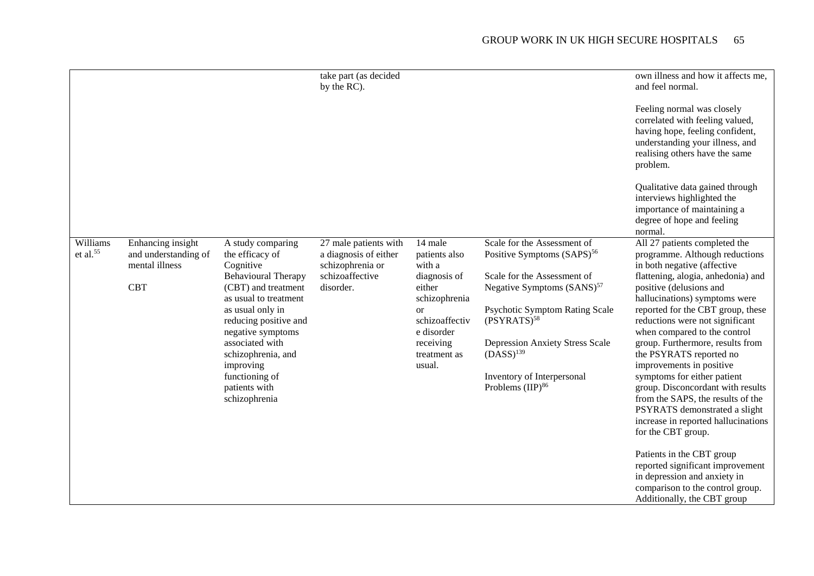|                                  |                                                                           |                                                                                                                                                                                                                                                                                                             | take part (as decided<br>by the RC).                                                               |                                                                                                                                                                       |                                                                                                                                                                                                                                                                                                                                | own illness and how it affects me,<br>and feel normal.<br>Feeling normal was closely<br>correlated with feeling valued,<br>having hope, feeling confident,<br>understanding your illness, and<br>realising others have the same<br>problem.<br>Qualitative data gained through<br>interviews highlighted the<br>importance of maintaining a<br>degree of hope and feeling<br>normal.                                                                                                                                                                                                                                                                                                                                                                                           |
|----------------------------------|---------------------------------------------------------------------------|-------------------------------------------------------------------------------------------------------------------------------------------------------------------------------------------------------------------------------------------------------------------------------------------------------------|----------------------------------------------------------------------------------------------------|-----------------------------------------------------------------------------------------------------------------------------------------------------------------------|--------------------------------------------------------------------------------------------------------------------------------------------------------------------------------------------------------------------------------------------------------------------------------------------------------------------------------|--------------------------------------------------------------------------------------------------------------------------------------------------------------------------------------------------------------------------------------------------------------------------------------------------------------------------------------------------------------------------------------------------------------------------------------------------------------------------------------------------------------------------------------------------------------------------------------------------------------------------------------------------------------------------------------------------------------------------------------------------------------------------------|
| Williams<br>et al. <sup>55</sup> | Enhancing insight<br>and understanding of<br>mental illness<br><b>CBT</b> | A study comparing<br>the efficacy of<br>Cognitive<br><b>Behavioural Therapy</b><br>(CBT) and treatment<br>as usual to treatment<br>as usual only in<br>reducing positive and<br>negative symptoms<br>associated with<br>schizophrenia, and<br>improving<br>functioning of<br>patients with<br>schizophrenia | 27 male patients with<br>a diagnosis of either<br>schizophrenia or<br>schizoaffective<br>disorder. | 14 male<br>patients also<br>with a<br>diagnosis of<br>either<br>schizophrenia<br><sub>or</sub><br>schizoaffectiv<br>e disorder<br>receiving<br>treatment as<br>usual. | Scale for the Assessment of<br>Positive Symptoms (SAPS) <sup>56</sup><br>Scale for the Assessment of<br>Negative Symptoms (SANS) <sup>57</sup><br><b>Psychotic Symptom Rating Scale</b><br>$(PSYRATS)^{58}$<br><b>Depression Anxiety Stress Scale</b><br>$(DASS)^{139}$<br>Inventory of Interpersonal<br>Problems $(IIP)^{86}$ | All 27 patients completed the<br>programme. Although reductions<br>in both negative (affective<br>flattening, alogia, anhedonia) and<br>positive (delusions and<br>hallucinations) symptoms were<br>reported for the CBT group, these<br>reductions were not significant<br>when compared to the control<br>group. Furthermore, results from<br>the PSYRATS reported no<br>improvements in positive<br>symptoms for either patient<br>group. Disconcordant with results<br>from the SAPS, the results of the<br>PSYRATS demonstrated a slight<br>increase in reported hallucinations<br>for the CBT group.<br>Patients in the CBT group<br>reported significant improvement<br>in depression and anxiety in<br>comparison to the control group.<br>Additionally, the CBT group |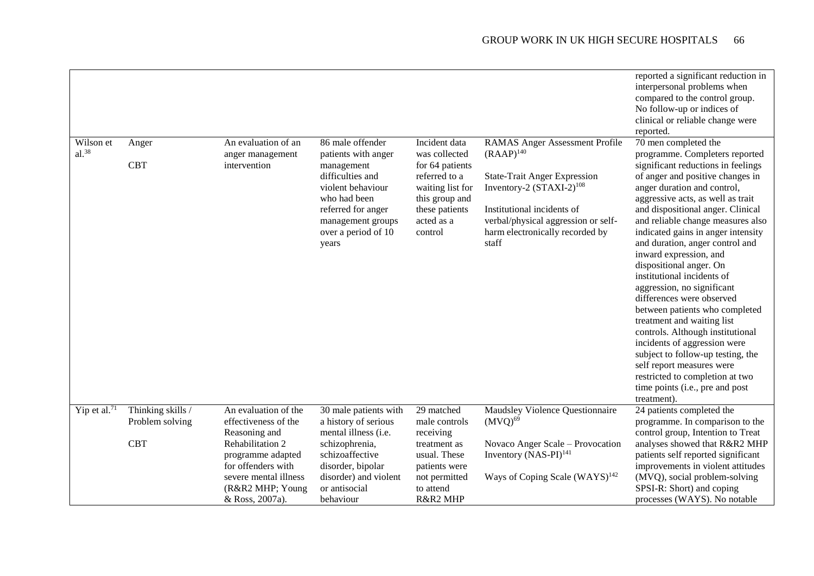|                                                                                                          |                                                                                                                                                                                           |                                                                                                                                                     |                                                                                                                                                                                                                                                  | reported a significant reduction in<br>interpersonal problems when<br>compared to the control group.<br>No follow-up or indices of<br>clinical or reliable change were<br>reported.                                                                                                                                                                                                                                                                                                                                                     |
|----------------------------------------------------------------------------------------------------------|-------------------------------------------------------------------------------------------------------------------------------------------------------------------------------------------|-----------------------------------------------------------------------------------------------------------------------------------------------------|--------------------------------------------------------------------------------------------------------------------------------------------------------------------------------------------------------------------------------------------------|-----------------------------------------------------------------------------------------------------------------------------------------------------------------------------------------------------------------------------------------------------------------------------------------------------------------------------------------------------------------------------------------------------------------------------------------------------------------------------------------------------------------------------------------|
| An evaluation of an<br>anger management<br>intervention                                                  | 86 male offender<br>patients with anger<br>management<br>difficulties and<br>violent behaviour<br>who had been<br>referred for anger<br>management groups<br>over a period of 10<br>years | Incident data<br>was collected<br>for 64 patients<br>referred to a<br>waiting list for<br>this group and<br>these patients<br>acted as a<br>control | <b>RAMAS Anger Assessment Profile</b><br>$(RAAP)^{140}$<br><b>State-Trait Anger Expression</b><br>Inventory-2 $(STAXI-2)^{108}$<br>Institutional incidents of<br>verbal/physical aggression or self-<br>harm electronically recorded by<br>staff | 70 men completed the<br>programme. Completers reported<br>significant reductions in feelings<br>of anger and positive changes in<br>anger duration and control,<br>aggressive acts, as well as trait<br>and dispositional anger. Clinical<br>and reliable change measures also<br>indicated gains in anger intensity<br>and duration, anger control and<br>inward expression, and<br>dispositional anger. On<br>institutional incidents of<br>aggression, no significant<br>differences were observed<br>between patients who completed |
|                                                                                                          |                                                                                                                                                                                           |                                                                                                                                                     |                                                                                                                                                                                                                                                  | treatment and waiting list<br>controls. Although institutional<br>incidents of aggression were<br>subject to follow-up testing, the<br>self report measures were<br>restricted to completion at two<br>time points (i.e., pre and post<br>treatment).                                                                                                                                                                                                                                                                                   |
| An evaluation of the<br>effectiveness of the                                                             | 30 male patients with<br>a history of serious                                                                                                                                             | 29 matched<br>male controls                                                                                                                         | Maudsley Violence Questionnaire<br>$(MVQ)^{69}$                                                                                                                                                                                                  | 24 patients completed the<br>programme. In comparison to the                                                                                                                                                                                                                                                                                                                                                                                                                                                                            |
| Rehabilitation 2<br>programme adapted<br>for offenders with<br>severe mental illness<br>(R&R2 MHP; Young | schizophrenia,<br>schizoaffective<br>disorder, bipolar<br>disorder) and violent<br>or antisocial                                                                                          | treatment as<br>usual. These<br>patients were<br>not permitted<br>to attend                                                                         | Novaco Anger Scale - Provocation<br>Inventory $(NAS-PI)^{141}$<br>Ways of Coping Scale (WAYS) <sup>142</sup>                                                                                                                                     | control group, Intention to Treat<br>analyses showed that R&R2 MHP<br>patients self reported significant<br>improvements in violent attitudes<br>(MVQ), social problem-solving<br>SPSI-R: Short) and coping<br>processes (WAYS). No notable                                                                                                                                                                                                                                                                                             |
|                                                                                                          | Reasoning and<br>& Ross, 2007a).                                                                                                                                                          | mental illness (i.e.<br>behaviour                                                                                                                   | receiving<br>R&R2 MHP                                                                                                                                                                                                                            |                                                                                                                                                                                                                                                                                                                                                                                                                                                                                                                                         |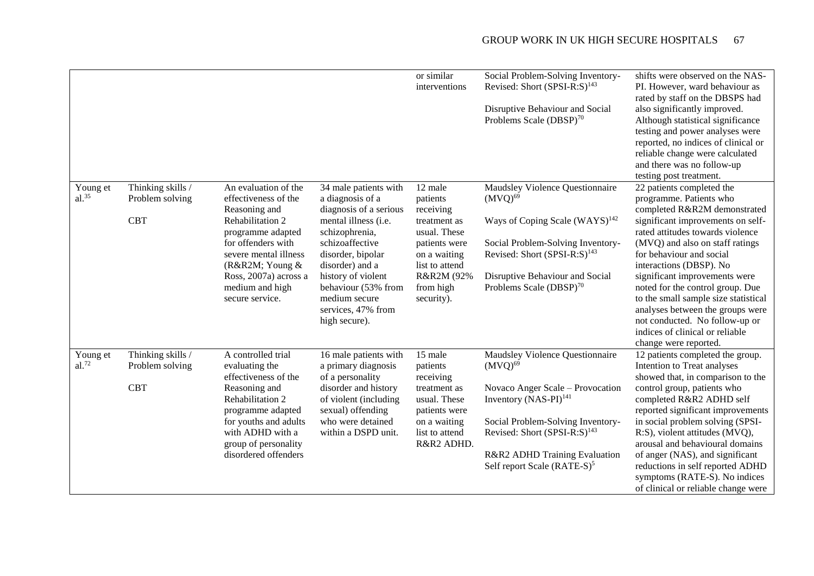|                      |                                                    |                                                                                                                                                                                                                                        |                                                                                                                                                                                                                                                                               | or similar<br>interventions                                                                                                                                  | Social Problem-Solving Inventory-<br>Revised: Short (SPSI-R:S) <sup>143</sup><br>Disruptive Behaviour and Social<br>Problems Scale (DBSP) <sup>70</sup>                                                                                                                               | shifts were observed on the NAS-<br>PI. However, ward behaviour as<br>rated by staff on the DBSPS had<br>also significantly improved.<br>Although statistical significance<br>testing and power analyses were<br>reported, no indices of clinical or<br>reliable change were calculated<br>and there was no follow-up<br>testing post treatment.                                                                                                                                                       |
|----------------------|----------------------------------------------------|----------------------------------------------------------------------------------------------------------------------------------------------------------------------------------------------------------------------------------------|-------------------------------------------------------------------------------------------------------------------------------------------------------------------------------------------------------------------------------------------------------------------------------|--------------------------------------------------------------------------------------------------------------------------------------------------------------|---------------------------------------------------------------------------------------------------------------------------------------------------------------------------------------------------------------------------------------------------------------------------------------|--------------------------------------------------------------------------------------------------------------------------------------------------------------------------------------------------------------------------------------------------------------------------------------------------------------------------------------------------------------------------------------------------------------------------------------------------------------------------------------------------------|
| Young et<br>$al.^35$ | Thinking skills /<br>Problem solving<br><b>CBT</b> | An evaluation of the<br>effectiveness of the<br>Reasoning and<br>Rehabilitation 2<br>programme adapted<br>for offenders with<br>severe mental illness<br>(R&R2M Young &<br>Ross, 2007a) across a<br>medium and high<br>secure service. | 34 male patients with<br>a diagnosis of a<br>diagnosis of a serious<br>mental illness (i.e.<br>schizophrenia,<br>schizoaffective<br>disorder, bipolar<br>disorder) and a<br>history of violent<br>behaviour (53% from<br>medium secure<br>services, 47% from<br>high secure). | 12 male<br>patients<br>receiving<br>treatment as<br>usual. These<br>patients were<br>on a waiting<br>list to attend<br>R&R2M (92%<br>from high<br>security). | Maudsley Violence Questionnaire<br>$(MVQ)^{69}$<br>Ways of Coping Scale $(WAYS)^{142}$<br>Social Problem-Solving Inventory-<br>Revised: Short (SPSI-R:S) <sup>143</sup><br>Disruptive Behaviour and Social<br>Problems Scale (DBSP) <sup>70</sup>                                     | 22 patients completed the<br>programme. Patients who<br>completed R&R2M demonstrated<br>significant improvements on self-<br>rated attitudes towards violence<br>(MVQ) and also on staff ratings<br>for behaviour and social<br>interactions (DBSP). No<br>significant improvements were<br>noted for the control group. Due<br>to the small sample size statistical<br>analyses between the groups were<br>not conducted. No follow-up or<br>indices of clinical or reliable<br>change were reported. |
| Young et<br>al.72    | Thinking skills /<br>Problem solving<br><b>CBT</b> | A controlled trial<br>evaluating the<br>effectiveness of the<br>Reasoning and<br>Rehabilitation 2<br>programme adapted<br>for youths and adults<br>with ADHD with a<br>group of personality<br>disordered offenders                    | 16 male patients with<br>a primary diagnosis<br>of a personality<br>disorder and history<br>of violent (including<br>sexual) offending<br>who were detained<br>within a DSPD unit.                                                                                            | 15 male<br>patients<br>receiving<br>treatment as<br>usual. These<br>patients were<br>on a waiting<br>list to attend<br>R&R2 ADHD.                            | Maudsley Violence Questionnaire<br>$(MVQ)^{69}$<br>Novaco Anger Scale - Provocation<br>Inventory (NAS-PI) <sup>141</sup><br>Social Problem-Solving Inventory-<br>Revised: Short (SPSI-R:S) <sup>143</sup><br>R&R2 ADHD Training Evaluation<br>Self report Scale (RATE-S) <sup>5</sup> | 12 patients completed the group.<br>Intention to Treat analyses<br>showed that, in comparison to the<br>control group, patients who<br>completed R&R2 ADHD self<br>reported significant improvements<br>in social problem solving (SPSI-<br>R:S), violent attitudes (MVQ),<br>arousal and behavioural domains<br>of anger (NAS), and significant<br>reductions in self reported ADHD<br>symptoms (RATE-S). No indices<br>of clinical or reliable change were                                           |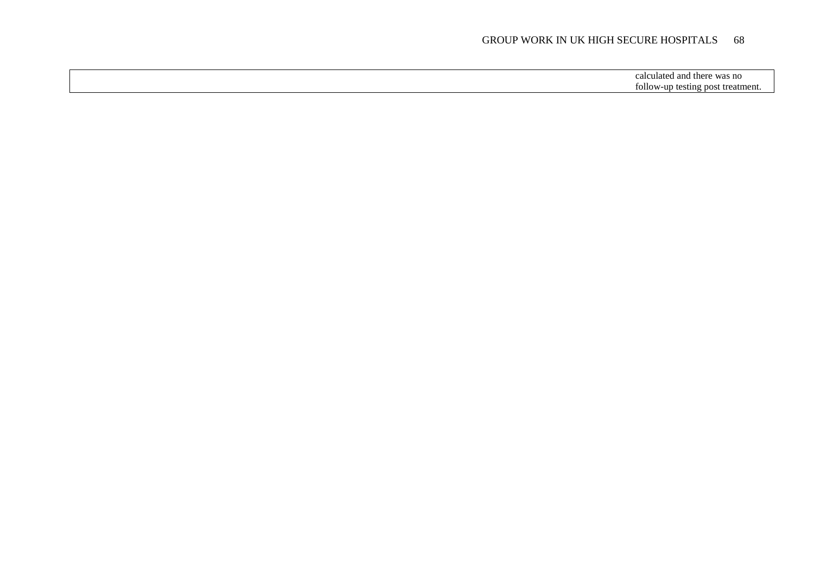calculated and there was no follow-up testing post treatment.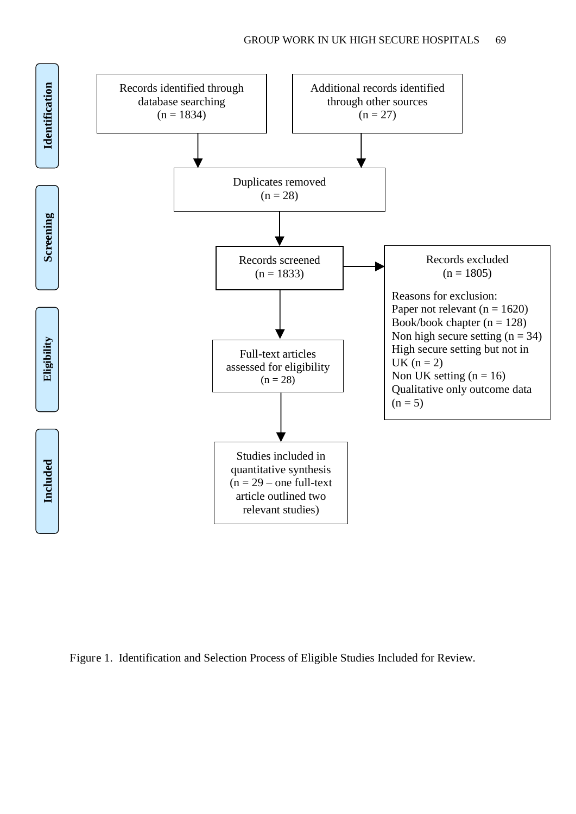

Figure 1. Identification and Selection Process of Eligible Studies Included for Review.